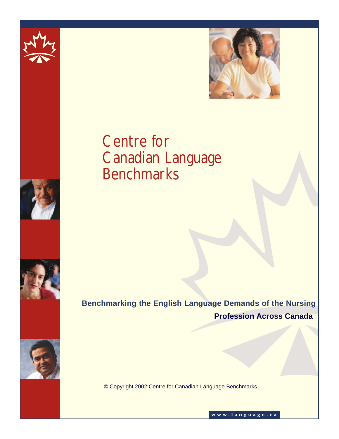



# Centre for Canadian Language **Benchmarks**



**Benchmarking the English Language Demands of the Nursing Profession Across Canada**



© Copyright 2002:Centre for Canadian Language Benchmarks

**www.language.ca**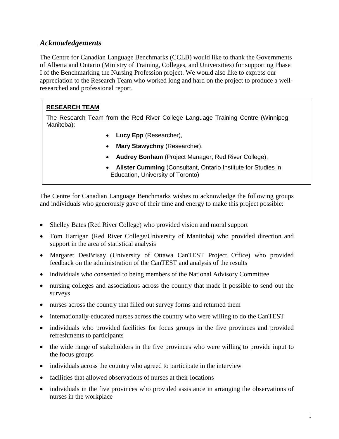# *Acknowledgements*

The Centre for Canadian Language Benchmarks (CCLB) would like to thank the Governments of Alberta and Ontario (Ministry of Training, Colleges, and Universities) for supporting Phase I of the Benchmarking the Nursing Profession project. We would also like to express our appreciation to the Research Team who worked long and hard on the project to produce a wellresearched and professional report.

## **RESEARCH TEAM**

The Research Team from the Red River College Language Training Centre (Winnipeg, Manitoba):

- **Lucy Epp** (Researcher),
- **Mary Stawychny** (Researcher),
- **Audrey Bonham** (Project Manager, Red River College),
- **Alister Cumming** (Consultant, Ontario Institute for Studies in Education, University of Toronto)

The Centre for Canadian Language Benchmarks wishes to acknowledge the following groups and individuals who generously gave of their time and energy to make this project possible:

- Shelley Bates (Red River College) who provided vision and moral support
- Tom Harrigan (Red River College/University of Manitoba) who provided direction and support in the area of statistical analysis
- Margaret DesBrisay (University of Ottawa CanTEST Project Office) who provided feedback on the administration of the CanTEST and analysis of the results
- individuals who consented to being members of the National Advisory Committee
- nursing colleges and associations across the country that made it possible to send out the surveys
- nurses across the country that filled out survey forms and returned them
- internationally-educated nurses across the country who were willing to do the CanTEST
- individuals who provided facilities for focus groups in the five provinces and provided refreshments to participants
- the wide range of stakeholders in the five provinces who were willing to provide input to the focus groups
- individuals across the country who agreed to participate in the interview
- facilities that allowed observations of nurses at their locations
- individuals in the five provinces who provided assistance in arranging the observations of nurses in the workplace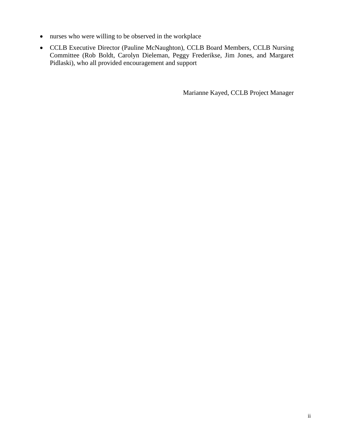- nurses who were willing to be observed in the workplace
- CCLB Executive Director (Pauline McNaughton), CCLB Board Members, CCLB Nursing Committee (Rob Boldt, Carolyn Dieleman, Peggy Frederikse, Jim Jones, and Margaret Pidlaski), who all provided encouragement and support

Marianne Kayed, CCLB Project Manager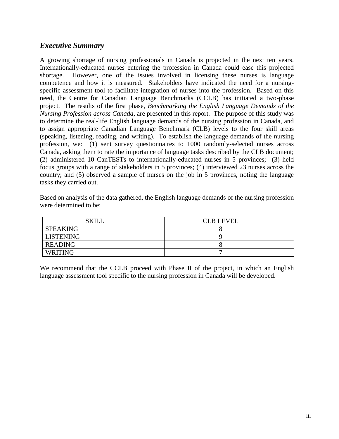# *Executive Summary*

A growing shortage of nursing professionals in Canada is projected in the next ten years. Internationally-educated nurses entering the profession in Canada could ease this projected shortage. However, one of the issues involved in licensing these nurses is language competence and how it is measured. Stakeholders have indicated the need for a nursingspecific assessment tool to facilitate integration of nurses into the profession. Based on this need, the Centre for Canadian Language Benchmarks (CCLB) has initiated a two-phase project. The results of the first phase, *Benchmarking the English Language Demands of the Nursing Profession across Canada*, are presented in this report. The purpose of this study was to determine the real-life English language demands of the nursing profession in Canada, and to assign appropriate Canadian Language Benchmark (CLB) levels to the four skill areas (speaking, listening, reading, and writing). To establish the language demands of the nursing profession, we: (1) sent survey questionnaires to 1000 randomly-selected nurses across Canada, asking them to rate the importance of language tasks described by the CLB document; (2) administered 10 CanTESTs to internationally-educated nurses in 5 provinces; (3) held focus groups with a range of stakeholders in 5 provinces; (4) interviewed 23 nurses across the country; and (5) observed a sample of nurses on the job in 5 provinces, noting the language tasks they carried out.

Based on analysis of the data gathered, the English language demands of the nursing profession were determined to be:

| <b>SKILL</b>    | <b>CLB LEVEL</b> |
|-----------------|------------------|
| <b>SPEAKING</b> |                  |
| LISTENING       |                  |
| <b>READING</b>  |                  |
| <b>WRITING</b>  |                  |

We recommend that the CCLB proceed with Phase II of the project, in which an English language assessment tool specific to the nursing profession in Canada will be developed.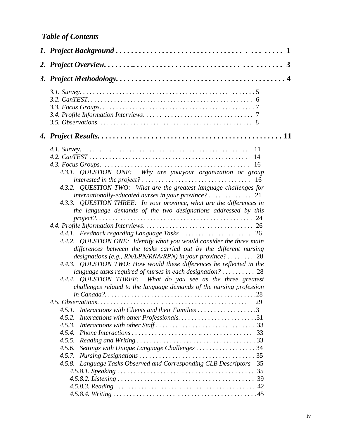| 4.3.1. QUESTION ONE: Why are you/your organization or group<br>4.3.2. QUESTION TWO: What are the greatest language challenges for<br>$internationally-educated$ nurses in your province? $\ldots \ldots \ldots$ 21<br>4.3.3. QUESTION THREE: In your province, what are the differences in<br>the language demands of the two designations addressed by this<br>4.4.2. QUESTION ONE: Identify what you would consider the three main<br>differences between the tasks carried out by the different nursing<br>designations (e.g., RN/LPN/RNA/RPN) in your province? 28<br>4.4.3. QUESTION TWO: How would these differences be reflected in the<br>language tasks required of nurses in each designation? $\ldots \ldots \ldots 28$<br>4.4.4. QUESTION THREE: What do you see as the three greatest<br>challenges related to the language demands of the nursing profession<br>.28<br>29<br>4.5.1. Interactions with Clients and their Families 31<br>4.5.2. Interactions with other Professionals31<br>4.5.3.<br>4.5.4.<br>4.5.5.<br>Settings with Unique Language Challenges  34<br>4.5.6.<br>4.5.7.<br>4.5.8. Language Tasks Observed and Corresponding CLB Descriptors<br>35<br>35 |
|---------------------------------------------------------------------------------------------------------------------------------------------------------------------------------------------------------------------------------------------------------------------------------------------------------------------------------------------------------------------------------------------------------------------------------------------------------------------------------------------------------------------------------------------------------------------------------------------------------------------------------------------------------------------------------------------------------------------------------------------------------------------------------------------------------------------------------------------------------------------------------------------------------------------------------------------------------------------------------------------------------------------------------------------------------------------------------------------------------------------------------------------------------------------------------------|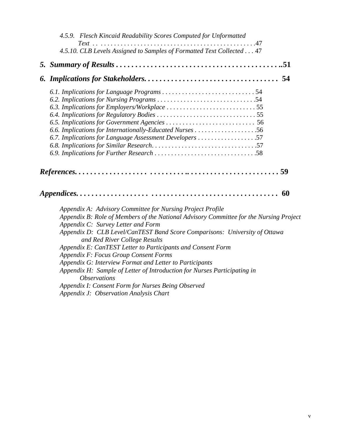| 4.5.9. Flesch Kincaid Readability Scores Computed for Unformatted                                                            |
|------------------------------------------------------------------------------------------------------------------------------|
| 4.5.10. CLB Levels Assigned to Samples of Formatted Text Collected 47                                                        |
|                                                                                                                              |
|                                                                                                                              |
|                                                                                                                              |
|                                                                                                                              |
|                                                                                                                              |
|                                                                                                                              |
|                                                                                                                              |
|                                                                                                                              |
| 6.7. Implications for Language Assessment Developers 57                                                                      |
|                                                                                                                              |
|                                                                                                                              |
| 60                                                                                                                           |
| Appendix A: Advisory Committee for Nursing Project Profile                                                                   |
| Appendix B: Role of Members of the National Advisory Committee for the Nursing Project<br>Appendix C: Survey Letter and Form |
| Appendix D: CLB Level/CanTEST Band Score Comparisons: University of Ottawa<br>and Red River College Results                  |
| Appendix E: CanTEST Letter to Participants and Consent Form                                                                  |
| Appendix F: Focus Group Consent Forms                                                                                        |
| Appendix G: Interview Format and Letter to Participants                                                                      |
| Appendix H: Sample of Letter of Introduction for Nurses Participating in<br><i><b>Observations</b></i>                       |
| Appendix I: Consent Form for Nurses Being Observed                                                                           |
| Appendix J: Observation Analysis Chart                                                                                       |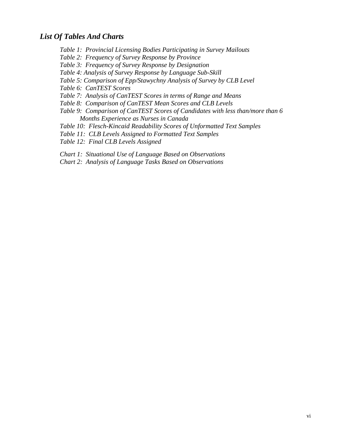## *List Of Tables And Charts*

- *Table 1: Provincial Licensing Bodies Participating in Survey Mailouts*
- *Table 2: Frequency of Survey Response by Province*
- *Table 3: Frequency of Survey Response by Designation*
- *Table 4: Analysis of Survey Response by Language Sub-Skill*
- *Table 5: Comparison of Epp/Stawychny Analysis of Survey by CLB Level*
- *Table 6: CanTEST Scores*
- *Table 7: Analysis of CanTEST Scores in terms of Range and Means*
- *Table 8: Comparison of CanTEST Mean Scores and CLB Levels*
- *Table 9: Comparison of CanTEST Scores of Candidates with less than/more than 6 Months Experience as Nurses in Canada*
- *Table 10: Flesch-Kincaid Readability Scores of Unformatted Text Samples*
- *Table 11: CLB Levels Assigned to Formatted Text Samples*
- *Table 12: Final CLB Levels Assigned*
- *Chart 1: Situational Use of Language Based on Observations*
- *Chart 2: Analysis of Language Tasks Based on Observations*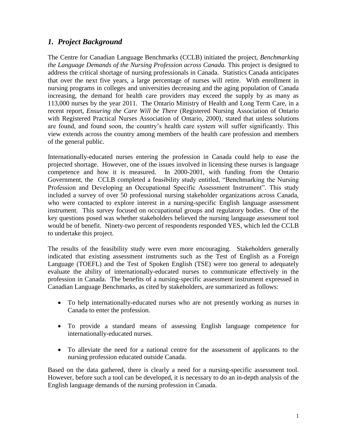# *1. Project Background*

The Centre for Canadian Language Benchmarks (CCLB) initiated the project, *Benchmarking the Language Demands of the Nursing Profession across Canada.* This project is designed to address the critical shortage of nursing professionals in Canada. Statistics Canada anticipates that over the next five years, a large percentage of nurses will retire. With enrollment in nursing programs in colleges and universities decreasing and the aging population of Canada increasing, the demand for health care providers may exceed the supply by as many as 113,000 nurses by the year 2011. The Ontario Ministry of Health and Long Term Care, in a recent report, *Ensuring the Care Will be There* (Registered Nursing Association of Ontario with Registered Practical Nurses Association of Ontario, 2000)*,* stated that unless solutions are found, and found soon, the country"s health care system will suffer significantly. This view extends across the country among members of the health care profession and members of the general public.

Internationally-educated nurses entering the profession in Canada could help to ease the projected shortage. However, one of the issues involved in licensing these nurses is language competence and how it is measured. In 2000-2001, with funding from the Ontario Government, the CCLB completed a feasibility study entitled, "Benchmarking the Nursing Profession and Developing an Occupational Specific Assessment Instrument". This study included a survey of over 50 professional nursing stakeholder organizations across Canada, who were contacted to explore interest in a nursing-specific English language assessment instrument. This survey focused on occupational groups and regulatory bodies. One of the key questions posed was whether stakeholders believed the nursing language assessment tool would be of benefit. Ninety-two percent of respondents responded YES, which led the CCLB to undertake this project.

The results of the feasibility study were even more encouraging. Stakeholders generally indicated that existing assessment instruments such as the Test of English as a Foreign Language (TOEFL) and the Test of Spoken English (TSE) were too general to adequately evaluate the ability of internationally-educated nurses to communicate effectively in the profession in Canada. The benefits of a nursing-specific assessment instrument expressed in Canadian Language Benchmarks, as cited by stakeholders, are summarized as follows:

- To help internationally-educated nurses who are not presently working as nurses in Canada to enter the profession.
- To provide a standard means of assessing English language competence for internationally-educated nurses.
- To alleviate the need for a national centre for the assessment of applicants to the nursing profession educated outside Canada.

Based on the data gathered, there is clearly a need for a nursing-specific assessment tool. However, before such a tool can be developed, it is necessary to do an in-depth analysis of the English language demands of the nursing profession in Canada.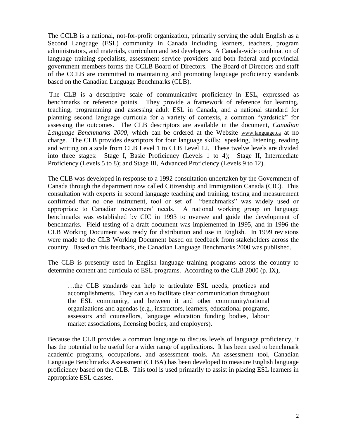The CCLB is a national, not-for-profit organization, primarily serving the adult English as a Second Language (ESL) community in Canada including learners, teachers, program administrators, and materials, curriculum and test developers. A Canada-wide combination of language training specialists, assessment service providers and both federal and provincial government members forms the CCLB Board of Directors. The Board of Directors and staff of the CCLB are committed to maintaining and promoting language proficiency standards based on the Canadian Language Benchmarks (CLB).

The CLB is a descriptive scale of communicative proficiency in ESL, expressed as benchmarks or reference points. They provide a framework of reference for learning, teaching, programming and assessing adult ESL in Canada, and a national standard for planning second language curricula for a variety of contexts, a common "yardstick" for assessing the outcomes. The CLB descriptors are available in the document, *Canadian Language Benchmarks 2000,* which can be ordered at the Website [www.language.ca](http://www.language.ca/) at no charge. The CLB provides descriptors for four language skills: speaking, listening, reading and writing on a scale from CLB Level 1 to CLB Level 12. These twelve levels are divided into three stages: Stage I, Basic Proficiency (Levels 1 to 4); Stage II, Intermediate Proficiency (Levels 5 to 8); and Stage III, Advanced Proficiency (Levels 9 to 12).

The CLB was developed in response to a 1992 consultation undertaken by the Government of Canada through the department now called Citizenship and Immigration Canada (CIC). This consultation with experts in second language teaching and training, testing and measurement confirmed that no one instrument, tool or set of "benchmarks" was widely used or appropriate to Canadian newcomers" needs. A national working group on language benchmarks was established by CIC in 1993 to oversee and guide the development of benchmarks. Field testing of a draft document was implemented in 1995, and in 1996 the CLB Working Document was ready for distribution and use in English. In 1999 revisions were made to the CLB Working Document based on feedback from stakeholders across the country. Based on this feedback, the Canadian Language Benchmarks 2000 was published.

The CLB is presently used in English language training programs across the country to determine content and curricula of ESL programs. According to the CLB 2000 (p. IX),

…the CLB standards can help to articulate ESL needs, practices and accomplishments. They can also facilitate clear communication throughout the ESL community, and between it and other community/national organizations and agendas (e.g., instructors, learners, educational programs, assessors and counsellors, language education funding bodies, labour market associations, licensing bodies, and employers).

Because the CLB provides a common language to discuss levels of language proficiency, it has the potential to be useful for a wider range of applications. It has been used to benchmark academic programs, occupations, and assessment tools. An assessment tool, Canadian Language Benchmarks Assessment (CLBA) has been developed to measure English language proficiency based on the CLB. This tool is used primarily to assist in placing ESL learners in appropriate ESL classes.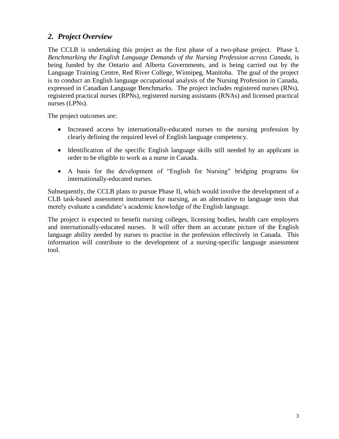# *2. Project Overview*

The CCLB is undertaking this project as the first phase of a two-phase project. Phase I, *Benchmarking the English Language Demands of the Nursing Profession across Canada,* is being funded by the Ontario and Alberta Governments, and is being carried out by the Language Training Centre, Red River College, Winnipeg, Manitoba. The goal of the project is to conduct an English language occupational analysis of the Nursing Profession in Canada, expressed in Canadian Language Benchmarks. The project includes registered nurses (RNs), registered practical nurses (RPNs), registered nursing assistants (RNAs) and licensed practical nurses (LPNs).

The project outcomes are:

- Increased access by internationally-educated nurses to the nursing profession by clearly defining the required level of English language competency.
- Identification of the specific English language skills still needed by an applicant in order to be eligible to work as a nurse in Canada.
- A basis for the development of "English for Nursing" bridging programs for internationally-educated nurses.

Subsequently, the CCLB plans to pursue Phase II, which would involve the development of a CLB task-based assessment instrument for nursing, as an alternative to language tests that merely evaluate a candidate's academic knowledge of the English language.

The project is expected to benefit nursing colleges, licensing bodies, health care employers and internationally-educated nurses. It will offer them an accurate picture of the English language ability needed by nurses to practise in the profession effectively in Canada. This information will contribute to the development of a nursing-specific language assessment tool.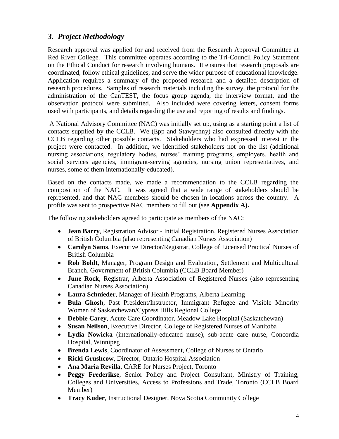# *3. Project Methodology*

Research approval was applied for and received from the Research Approval Committee at Red River College. This committee operates according to the Tri-Council Policy Statement on the Ethical Conduct for research involving humans. It ensures that research proposals are coordinated, follow ethical guidelines, and serve the wider purpose of educational knowledge. Application requires a summary of the proposed research and a detailed description of research procedures. Samples of research materials including the survey, the protocol for the administration of the CanTEST, the focus group agenda, the interview format, and the observation protocol were submitted. Also included were covering letters, consent forms used with participants, and details regarding the use and reporting of results and findings.

A National Advisory Committee (NAC) was initially set up, using as a starting point a list of contacts supplied by the CCLB. We (Epp and Stawychny) also consulted directly with the CCLB regarding other possible contacts. Stakeholders who had expressed interest in the project were contacted. In addition, we identified stakeholders not on the list (additional nursing associations, regulatory bodies, nurses' training programs, employers, health and social services agencies, immigrant-serving agencies, nursing union representatives, and nurses, some of them internationally-educated).

Based on the contacts made, we made a recommendation to the CCLB regarding the composition of the NAC. It was agreed that a wide range of stakeholders should be represented, and that NAC members should be chosen in locations across the country. A profile was sent to prospective NAC members to fill out (see **Appendix A).** 

The following stakeholders agreed to participate as members of the NAC:

- **Jean Barry**, Registration Advisor Initial Registration, Registered Nurses Association of British Columbia (also representing Canadian Nurses Association)
- **Carolyn Sams**, Executive Director/Registrar, College of Licensed Practical Nurses of British Columbia
- **Rob Boldt**, Manager, Program Design and Evaluation, Settlement and Multicultural Branch, Government of British Columbia (CCLB Board Member)
- **June Rock**, Registrar, Alberta Association of Registered Nurses (also representing Canadian Nurses Association)
- **Laura Schnieder**, Manager of Health Programs, Alberta Learning
- **Bula Ghosh**, Past President/Instructor, Immigrant Refugee and Visible Minority Women of Saskatchewan/Cypress Hills Regional College
- **Debbie Carey**, Acute Care Coordinator, Meadow Lake Hospital (Saskatchewan)
- **Susan Neilson**, Executive Director, College of Registered Nurses of Manitoba
- **Lydia Nowicka** (internationally-educated nurse), sub-acute care nurse, Concordia Hospital, Winnipeg
- **Brenda Lewis**, Coordinator of Assessment, College of Nurses of Ontario
- **Ricki Grushcow**, Director, Ontario Hospital Association
- **Ana Maria Revilla**, CARE for Nurses Project, Toronto
- **Peggy Frederikse**, Senior Policy and Project Consultant, Ministry of Training, Colleges and Universities, Access to Professions and Trade, Toronto (CCLB Board Member)
- **Tracy Kuder**, Instructional Designer, Nova Scotia Community College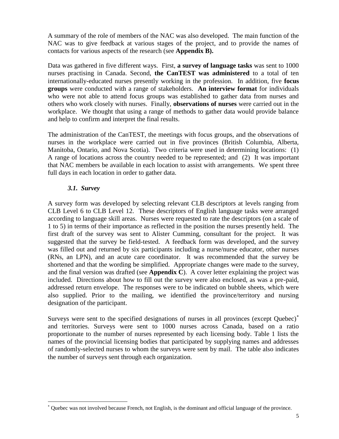A summary of the role of members of the NAC was also developed. The main function of the NAC was to give feedback at various stages of the project, and to provide the names of contacts for various aspects of the research (see **Appendix B).** 

Data was gathered in five different ways. First, **a survey of language tasks** was sent to 1000 nurses practising in Canada. Second, **the CanTEST was administered** to a total of ten internationally-educated nurses presently working in the profession. In addition, five **focus groups** were conducted with a range of stakeholders. **An interview format** for individuals who were not able to attend focus groups was established to gather data from nurses and others who work closely with nurses. Finally, **observations of nurses** were carried out in the workplace. We thought that using a range of methods to gather data would provide balance and help to confirm and interpret the final results.

The administration of the CanTEST, the meetings with focus groups, and the observations of nurses in the workplace were carried out in five provinces (British Columbia, Alberta, Manitoba, Ontario, and Nova Scotia). Two criteria were used in determining locations: (1) A range of locations across the country needed to be represented; and (2) It was important that NAC members be available in each location to assist with arrangements. We spent three full days in each location in order to gather data.

#### *3.1. Survey*

l

A survey form was developed by selecting relevant CLB descriptors at levels ranging from CLB Level 6 to CLB Level 12. These descriptors of English language tasks were arranged according to language skill areas. Nurses were requested to rate the descriptors (on a scale of 1 to 5) in terms of their importance as reflected in the position the nurses presently held. The first draft of the survey was sent to Alister Cumming, consultant for the project. It was suggested that the survey be field-tested. A feedback form was developed, and the survey was filled out and returned by six participants including a nurse/nurse educator, other nurses (RNs, an LPN), and an acute care coordinator. It was recommended that the survey be shortened and that the wording be simplified. Appropriate changes were made to the survey, and the final version was drafted (see **Appendix C**). A cover letter explaining the project was included. Directions about how to fill out the survey were also enclosed, as was a pre-paid, addressed return envelope. The responses were to be indicated on bubble sheets, which were also supplied. Prior to the mailing, we identified the province/territory and nursing designation of the participant.

Surveys were sent to the specified designations of nurses in all provinces (except Quebec) and territories. Surveys were sent to 1000 nurses across Canada, based on a ratio proportionate to the number of nurses represented by each licensing body. Table 1 lists the names of the provincial licensing bodies that participated by supplying names and addresses of randomly-selected nurses to whom the surveys were sent by mail. The table also indicates the number of surveys sent through each organization.

Quebec was not involved because French, not English, is the dominant and official language of the province.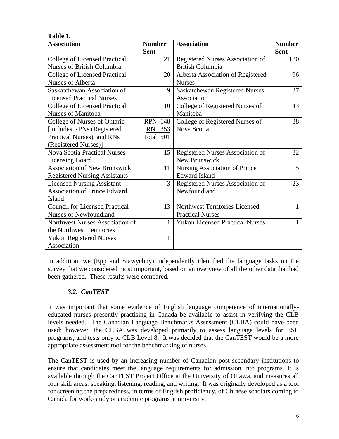| 1 avit 1.                             |                |                                        |               |
|---------------------------------------|----------------|----------------------------------------|---------------|
| <b>Association</b>                    | <b>Number</b>  | <b>Association</b>                     | <b>Number</b> |
|                                       | <b>Sent</b>    |                                        | <b>Sent</b>   |
| <b>College of Licensed Practical</b>  | 21             | Registered Nurses Association of       | 120           |
| <b>Nurses of British Columbia</b>     |                | <b>British Columbia</b>                |               |
| College of Licensed Practical         | 20             | Alberta Association of Registered      | 96            |
| <b>Nurses of Alberta</b>              |                | <b>Nurses</b>                          |               |
| Saskatchewan Association of           | 9              | Saskatchewan Registered Nurses         | 37            |
| <b>Licensed Practical Nurses</b>      |                | Association                            |               |
| <b>College of Licensed Practical</b>  | 10             | College of Registered Nurses of        | 43            |
| Nurses of Manitoba                    |                | Manitoba                               |               |
| College of Nurses of Ontario          | <b>RPN 148</b> | College of Registered Nurses of        | 38            |
| [includes RPNs (Registered            | RN 353         | Nova Scotia                            |               |
| Practical Nurses) and RNs             | Total 501      |                                        |               |
| (Registered Nurses)]                  |                |                                        |               |
| <b>Nova Scotia Practical Nurses</b>   | 15             | Registered Nurses Association of       | 32            |
| <b>Licensing Board</b>                |                | New Brunswick                          |               |
| <b>Association of New Brunswick</b>   | 11             | Nursing Association of Prince          | 5             |
| <b>Registered Nursing Assistants</b>  |                | <b>Edward Island</b>                   |               |
| <b>Licensed Nursing Assistant</b>     | 3              | Registered Nurses Association of       | 23            |
| <b>Association of Prince Edward</b>   |                | Newfoundland                           |               |
| Island                                |                |                                        |               |
| <b>Council for Licensed Practical</b> | 13             | Northwest Territories Licensed         | 1             |
| <b>Nurses of Newfoundland</b>         |                | <b>Practical Nurses</b>                |               |
| Northwest Nurses Association of       | 1              | <b>Yukon Licensed Practical Nurses</b> |               |
| the Northwest Territories             |                |                                        |               |
| <b>Yukon Registered Nurses</b>        | 1              |                                        |               |
| Association                           |                |                                        |               |

In addition, we (Epp and Stawychny) independently identified the language tasks on the survey that we considered most important, based on an overview of all the other data that had been gathered. These results were compared.

## *3.2. CanTEST*

**Table 1.**

It was important that some evidence of English language competence of internationallyeducated nurses presently practising in Canada be available to assist in verifying the CLB levels needed. The Canadian Language Benchmarks Assessment (CLBA) could have been used; however, the CLBA was developed primarily to assess language levels for ESL programs, and tests only to CLB Level 8. It was decided that the CanTEST would be a more appropriate assessment tool for the benchmarking of nurses.

The CanTEST is used by an increasing number of Canadian post-secondary institutions to ensure that candidates meet the language requirements for admission into programs. It is available through the CanTEST Project Office at the University of Ottawa, and measures all four skill areas: speaking, listening, reading, and writing. It was originally developed as a tool for screening the preparedness, in terms of English proficiency, of Chinese scholars coming to Canada for work-study or academic programs at university.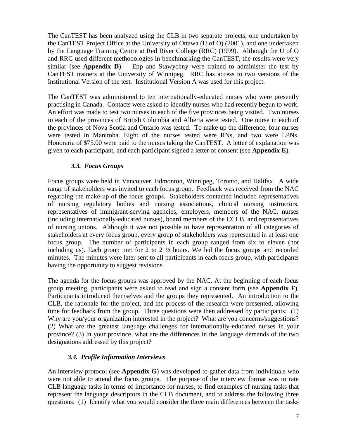The CanTEST has been analyzed using the CLB in two separate projects, one undertaken by the CanTEST Project Office at the University of Ottawa (U of O) (2001), and one undertaken by the Language Training Centre at Red River College (RRC) (1999). Although the U of O and RRC used different methodologies in benchmarking the CanTEST, the results were very similar (see **Appendix D**). Epp and Stawychny were trained to administer the test by CanTEST trainers at the University of Winnipeg. RRC has access to two versions of the Institutional Version of the test. Institutional Version A was used for this project.

The CanTEST was administered to ten internationally-educated nurses who were presently practising in Canada. Contacts were asked to identify nurses who had recently begun to work. An effort was made to test two nurses in each of the five provinces being visited. Two nurses in each of the provinces of British Columbia and Alberta were tested. One nurse in each of the provinces of Nova Scotia and Ontario was tested. To make up the difference, four nurses were tested in Manitoba. Eight of the nurses tested were RNs, and two were LPNs. Honoraria of \$75.00 were paid to the nurses taking the CanTEST. A letter of explanation was given to each participant, and each participant signed a letter of consent (see **Appendix E**).

#### *3.3. Focus Groups*

Focus groups were held in Vancouver, Edmonton, Winnipeg, Toronto, and Halifax. A wide range of stakeholders was invited to each focus group. Feedback was received from the NAC regarding the make-up of the focus groups. Stakeholders contacted included representatives of nursing regulatory bodies and nursing associations, clinical nursing instructors, representatives of immigrant-serving agencies, employers, members of the NAC, nurses (including internationally-educated nurses), board members of the CCLB, and representatives of nursing unions. Although it was not possible to have representation of all categories of stakeholders at every focus group, every group of stakeholders was represented in at least one focus group. The number of participants in each group ranged from six to eleven (not including us). Each group met for 2 to 2 ½ hours. We led the focus groups and recorded minutes. The minutes were later sent to all participants in each focus group, with participants having the opportunity to suggest revisions.

The agenda for the focus groups was approved by the NAC. At the beginning of each focus group meeting, participants were asked to read and sign a consent form (see **Appendix F**). Participants introduced themselves and the groups they represented. An introduction to the CLB, the rationale for the project, and the process of the research were presented, allowing time for feedback from the group. Three questions were then addressed by participants: (1) Why are you/your organization interested in the project? What are you concerns/suggestions? (2) What are the greatest language challenges for internationally-educated nurses in your province? (3) In your province, what are the differences in the language demands of the two designations addressed by this project?

#### *3.4. Profile Information Interviews*

An interview protocol (see **Appendix G**) was developed to gather data from individuals who were not able to attend the focus groups. The purpose of the interview format was to rate CLB language tasks in terms of importance for nurses, to find examples of nursing tasks that represent the language descriptors in the CLB document, and to address the following three questions: (1) Identify what you would consider the three main differences between the tasks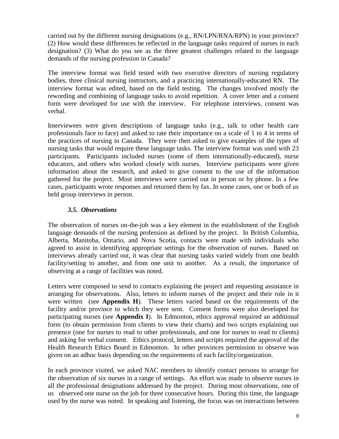carried out by the different nursing designations (e.g., RN/LPN/RNA/RPN) in your province? (2) How would these differences be reflected in the language tasks required of nurses in each designation? (3) What do you see as the three greatest challenges related to the language demands of the nursing profession in Canada?

The interview format was field tested with two executive directors of nursing regulatory bodies, three clinical nursing instructors, and a practicing internationally-educated RN. The interview format was edited, based on the field testing. The changes involved mostly the rewording and combining of language tasks to avoid repetition. A cover letter and a consent form were developed for use with the interview. For telephone interviews, consent was verbal.

Interviewees were given descriptions of language tasks (e.g., talk to other health care professionals face to face) and asked to rate their importance on a scale of 1 to 4 in terms of the practices of nursing in Canada. They were then asked to give examples of the types of nursing tasks that would require these language tasks. The interview format was used with 23 participants. Participants included nurses (some of them internationally-educated), nurse educators, and others who worked closely with nurses. Interview participants were given information about the research, and asked to give consent to the use of the information gathered for the project. Most interviews were carried out in person or by phone. In a few cases, participants wrote responses and returned them by fax. In some cases, one or both of us held group interviews in person.

#### *3.5. Observations*

The observation of nurses on-the-job was a key element in the establishment of the English language demands of the nursing profession as defined by the project. In British Columbia, Alberta, Manitoba, Ontario, and Nova Scotia, contacts were made with individuals who agreed to assist in identifying appropriate settings for the observation of nurses. Based on interviews already carried out, it was clear that nursing tasks varied widely from one health facility/setting to another, and from one unit to another. As a result, the importance of observing at a range of facilities was noted.

Letters were composed to send to contacts explaining the project and requesting assistance in arranging for observations. Also, letters to inform nurses of the project and their role in it were written (see **Appendix H**). These letters varied based on the requirements of the facility and/or province to which they were sent. Consent forms were also developed for participating nurses (see **Appendix I**). In Edmonton, ethics approval required an additional form (to obtain permission from clients to view their charts) and two scripts explaining our presence (one for nurses to read to other professionals, and one for nurses to read to clients) and asking for verbal consent. Ethics protocol, letters and scripts required the approval of the Health Research Ethics Board in Edmonton. In other provinces permission to observe was given on an adhoc basis depending on the requirements of each facility/organization.

In each province visited, we asked NAC members to identify contact persons to arrange for the observation of six nurses in a range of settings. An effort was made to observe nurses in all the professional designations addressed by the project. During most observations, one of us observed one nurse on the job for three consecutive hours. During this time, the language used by the nurse was noted. In speaking and listening, the focus was on interactions between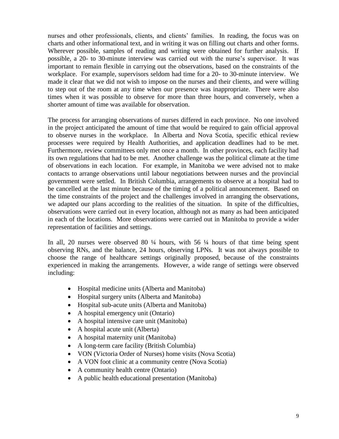nurses and other professionals, clients, and clients' families. In reading, the focus was on charts and other informational text, and in writing it was on filling out charts and other forms. Wherever possible, samples of reading and writing were obtained for further analysis. If possible, a 20- to 30-minute interview was carried out with the nurse"s supervisor. It was important to remain flexible in carrying out the observations, based on the constraints of the workplace. For example, supervisors seldom had time for a 20- to 30-minute interview. We made it clear that we did not wish to impose on the nurses and their clients, and were willing to step out of the room at any time when our presence was inappropriate. There were also times when it was possible to observe for more than three hours, and conversely, when a shorter amount of time was available for observation.

The process for arranging observations of nurses differed in each province. No one involved in the project anticipated the amount of time that would be required to gain official approval to observe nurses in the workplace. In Alberta and Nova Scotia, specific ethical review processes were required by Health Authorities, and application deadlines had to be met. Furthermore, review committees only met once a month. In other provinces, each facility had its own regulations that had to be met. Another challenge was the political climate at the time of observations in each location. For example, in Manitoba we were advised not to make contacts to arrange observations until labour negotiations between nurses and the provincial government were settled. In British Columbia, arrangements to observe at a hospital had to be cancelled at the last minute because of the timing of a political announcement. Based on the time constraints of the project and the challenges involved in arranging the observations, we adapted our plans according to the realities of the situation. In spite of the difficulties, observations were carried out in every location, although not as many as had been anticipated in each of the locations. More observations were carried out in Manitoba to provide a wider representation of facilities and settings.

In all, 20 nurses were observed 80 ¼ hours, with 56 ¼ hours of that time being spent observing RNs, and the balance, 24 hours, observing LPNs. It was not always possible to choose the range of healthcare settings originally proposed, because of the constraints experienced in making the arrangements. However, a wide range of settings were observed including:

- Hospital medicine units (Alberta and Manitoba)
- Hospital surgery units (Alberta and Manitoba)
- Hospital sub-acute units (Alberta and Manitoba)
- A hospital emergency unit (Ontario)
- A hospital intensive care unit (Manitoba)
- A hospital acute unit (Alberta)
- A hospital maternity unit (Manitoba)
- A long-term care facility (British Columbia)
- VON (Victoria Order of Nurses) home visits (Nova Scotia)
- A VON foot clinic at a community centre (Nova Scotia)
- A community health centre (Ontario)
- A public health educational presentation (Manitoba)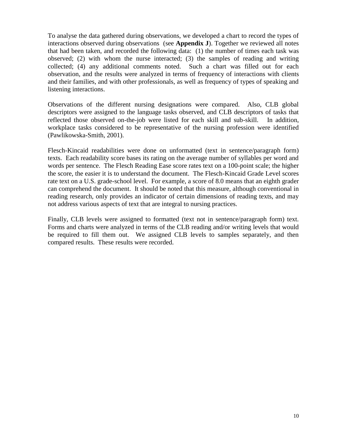To analyse the data gathered during observations, we developed a chart to record the types of interactions observed during observations (see **Appendix J**). Together we reviewed all notes that had been taken, and recorded the following data: (1) the number of times each task was observed; (2) with whom the nurse interacted; (3) the samples of reading and writing collected; (4) any additional comments noted. Such a chart was filled out for each observation, and the results were analyzed in terms of frequency of interactions with clients and their families, and with other professionals, as well as frequency of types of speaking and listening interactions.

Observations of the different nursing designations were compared. Also, CLB global descriptors were assigned to the language tasks observed, and CLB descriptors of tasks that reflected those observed on-the-job were listed for each skill and sub-skill. In addition, workplace tasks considered to be representative of the nursing profession were identified (Pawlikowska-Smith, 2001).

Flesch-Kincaid readabilities were done on unformatted (text in sentence/paragraph form) texts. Each readability score bases its rating on the average number of syllables per word and words per sentence. The Flesch Reading Ease score rates text on a 100-point scale; the higher the score, the easier it is to understand the document. The Flesch-Kincaid Grade Level scores rate text on a U.S. grade-school level. For example, a score of 8.0 means that an eighth grader can comprehend the document. It should be noted that this measure, although conventional in reading research, only provides an indicator of certain dimensions of reading texts, and may not address various aspects of text that are integral to nursing practices.

Finally, CLB levels were assigned to formatted (text not in sentence/paragraph form) text. Forms and charts were analyzed in terms of the CLB reading and/or writing levels that would be required to fill them out. We assigned CLB levels to samples separately, and then compared results. These results were recorded.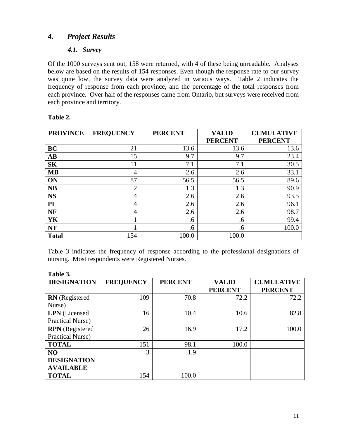## *4. Project Results*

## *4.1. Survey*

Of the 1000 surveys sent out, 158 were returned, with 4 of these being unreadable. Analyses below are based on the results of 154 responses. Even though the response rate to our survey was quite low, the survey data were analyzed in various ways. Table 2 indicates the frequency of response from each province, and the percentage of the total responses from each province. Over half of the responses came from Ontario, but surveys were received from each province and territory.

| <b>PROVINCE</b>        | <b>FREQUENCY</b> | <b>PERCENT</b> | <b>VALID</b><br><b>PERCENT</b> | <b>CUMULATIVE</b><br><b>PERCENT</b> |
|------------------------|------------------|----------------|--------------------------------|-------------------------------------|
| BC                     | 21               | 13.6           | 13.6                           | 13.6                                |
| $\mathbf{A}\mathbf{B}$ | 15               | 9.7            | 9.7                            | 23.4                                |
| <b>SK</b>              | 11               | 7.1            | 7.1                            | 30.5                                |
| <b>MB</b>              | 4                | 2.6            | 2.6                            | 33.1                                |
| ON                     | 87               | 56.5           | 56.5                           | 89.6                                |
| <b>NB</b>              | $\overline{2}$   | 1.3            | 1.3                            | 90.9                                |
| <b>NS</b>              | 4                | 2.6            | 2.6                            | 93.5                                |
| PI                     | 4                | 2.6            | 2.6                            | 96.1                                |
| <b>NF</b>              | 4                | 2.6            | 2.6                            | 98.7                                |
| YK                     | 1                | .6             | .6                             | 99.4                                |
| <b>NT</b>              | 1                | .6             | .6                             | 100.0                               |
| <b>Total</b>           | 154              | 100.0          | 100.0                          |                                     |

#### **Table 2.**

Table 3 indicates the frequency of response according to the professional designations of nursing. Most respondents were Registered Nurses.

| Table 3.               |                  |                |                                |                                     |
|------------------------|------------------|----------------|--------------------------------|-------------------------------------|
| <b>DESIGNATION</b>     | <b>FREQUENCY</b> | <b>PERCENT</b> | <b>VALID</b><br><b>PERCENT</b> | <b>CUMULATIVE</b><br><b>PERCENT</b> |
| <b>RN</b> (Registered  | 109              | 70.8           | 72.2                           | 72.2                                |
| Nurse)                 |                  |                |                                |                                     |
| <b>LPN</b> (Licensed   | 16               | 10.4           | 10.6                           | 82.8                                |
| Practical Nurse)       |                  |                |                                |                                     |
| <b>RPN</b> (Registered | 26               | 16.9           | 17.2                           | 100.0                               |
| Practical Nurse)       |                  |                |                                |                                     |
| <b>TOTAL</b>           | 151              | 98.1           | 100.0                          |                                     |
| N <sub>O</sub>         | 3                | 1.9            |                                |                                     |
| <b>DESIGNATION</b>     |                  |                |                                |                                     |
| <b>AVAILABLE</b>       |                  |                |                                |                                     |
| <b>TOTAL</b>           | 154              | 100.0          |                                |                                     |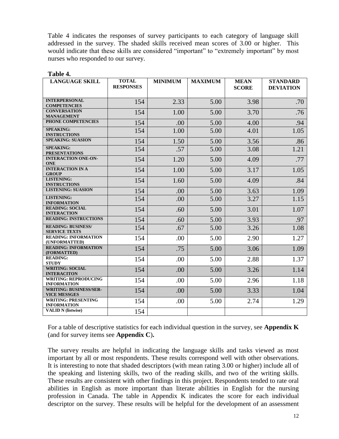Table 4 indicates the responses of survey participants to each category of language skill addressed in the survey. The shaded skills received mean scores of 3.00 or higher. This would indicate that these skills are considered "important" to "extremely important" by most nurses who responded to our survey.

| <b>LANGUAGE SKILL</b>                                | <b>TOTAL</b>     | <b>MINIMUM</b> | <b>MAXIMUM</b> | <b>MEAN</b>  | <b>STANDARD</b>  |
|------------------------------------------------------|------------------|----------------|----------------|--------------|------------------|
|                                                      | <b>RESPONSES</b> |                |                | <b>SCORE</b> | <b>DEVIATION</b> |
|                                                      |                  |                |                |              |                  |
| <b>INTERPERSONAL</b>                                 | 154              | 2.33           | 5.00           | 3.98         | .70              |
| <b>COMPETENCIES</b><br><b>CONVERSATION</b>           |                  |                |                |              |                  |
| <b>MANAGEMENT</b>                                    | 154              | 1.00           | 5.00           | 3.70         | .76              |
| PHONE COMPETENCIES                                   | 154              | .00            | 5.00           | 4.00         | .94              |
| <b>SPEAKING:</b><br><b>INSTRUCTIONS</b>              | 154              | 1.00           | 5.00           | 4.01         | 1.05             |
| <b>SPEAKING: SUASION</b>                             | 154              | 1.50           | 5.00           | 3.56         | .86              |
| <b>SPEAKING:</b><br><b>PRESENTATIONS</b>             | 154              | .57            | 5.00           | 3.08         | 1.21             |
| <b>INTERACTION ONE-ON-</b><br><b>ONE</b>             | 154              | 1.20           | 5.00           | 4.09         | .77              |
| <b>INTERACTION IN A</b><br><b>GROUP</b>              | 154              | 1.00           | 5.00           | 3.17         | 1.05             |
| <b>LISTENING:</b><br><b>INSTRUCTIONS</b>             | 154              | 1.60           | 5.00           | 4.09         | .84              |
| <b>LISTENING: SUASION</b>                            | 154              | .00            | 5.00           | 3.63         | 1.09             |
| <b>LISTENING:</b><br><b>INFORMATION</b>              | 154              | .00            | 5.00           | 3.27         | 1.15             |
| <b>READING: SOCIAL</b><br><b>INTERACTION</b>         | 154              | .60            | 5.00           | 3.01         | 1.07             |
| <b>READING: INSTRUCTIONS</b>                         | 154              | .60            | 5.00           | 3.93         | .97              |
| <b>READING: BUSINESS/</b><br><b>SERVICE TEXTS</b>    | 154              | .67            | 5.00           | 3.26         | 1.08             |
| <b>READING: INFORMATION</b><br>(UNFORMATTED)         | 154              | .00            | 5.00           | 2.90         | 1.27             |
| <b>READING: INFORMATION</b><br>(FORMATTED)           | 154              | .75            | 5.00           | 3.06         | 1.09             |
| <b>READING:</b><br><b>STUDY</b>                      | 154              | .00            | 5.00           | 2.88         | 1.37             |
| <b>WRITING: SOCIAL</b><br><b>INTERACITON</b>         | 154              | .00            | 5.00           | 3.26         | 1.14             |
| <b>WRITING: REPRODUCING</b><br><b>INFORMATION</b>    | 154              | .00.           | 5.00           | 2.96         | 1.18             |
| <b>WRITING: BUSINESS/SER-</b><br><b>VICE MESSGES</b> | 154              | .00            | 5.00           | 3.33         | 1.04             |
| <b>WRITING: PRESENTING</b><br><b>INFORMATION</b>     | 154              | .00            | 5.00           | 2.74         | 1.29             |
| <b>VALID N</b> (listwise)                            | 154              |                |                |              |                  |

**Table 4.**

For a table of descriptive statistics for each individual question in the survey, see **Appendix K**  (and for survey items see **Appendix C**)**.**

The survey results are helpful in indicating the language skills and tasks viewed as most important by all or most respondents. These results correspond well with other observations. It is interesting to note that shaded descriptors (with mean rating 3.00 or higher) include all of the speaking and listening skills, two of the reading skills, and two of the writing skills. These results are consistent with other findings in this project. Respondents tended to rate oral abilities in English as more important than literate abilities in English for the nursing profession in Canada. The table in Appendix K indicates the score for each individual descriptor on the survey. These results will be helpful for the development of an assessment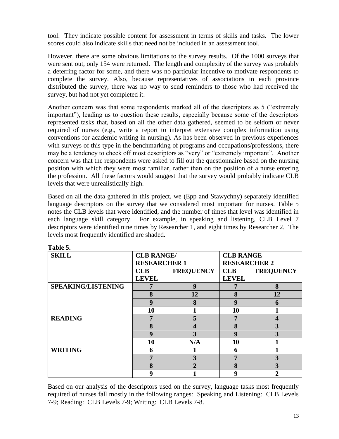tool. They indicate possible content for assessment in terms of skills and tasks. The lower scores could also indicate skills that need not be included in an assessment tool.

However, there are some obvious limitations to the survey results. Of the 1000 surveys that were sent out, only 154 were returned. The length and complexity of the survey was probably a deterring factor for some, and there was no particular incentive to motivate respondents to complete the survey. Also, because representatives of associations in each province distributed the survey, there was no way to send reminders to those who had received the survey, but had not yet completed it.

Another concern was that some respondents marked all of the descriptors as 5 ("extremely important"), leading us to question these results, especially because some of the descriptors represented tasks that, based on all the other data gathered, seemed to be seldom or never required of nurses (e.g., write a report to interpret extensive complex information using conventions for academic writing in nursing). As has been observed in previous experiences with surveys of this type in the benchmarking of programs and occupations/professions, there may be a tendency to check off most descriptors as "very" or "extremely important". Another concern was that the respondents were asked to fill out the questionnaire based on the nursing position with which they were most familiar, rather than on the position of a nurse entering the profession. All these factors would suggest that the survey would probably indicate CLB levels that were unrealistically high.

Based on all the data gathered in this project, we (Epp and Stawychny) separately identified language descriptors on the survey that we considered most important for nurses. Table 5 notes the CLB levels that were identified, and the number of times that level was identified in each language skill category. For example, in speaking and listening, CLB Level 7 descriptors were identified nine times by Researcher 1, and eight times by Researcher 2. The levels most frequently identified are shaded.

| 1 adie 5.                 |                   |                     |              |                     |  |
|---------------------------|-------------------|---------------------|--------------|---------------------|--|
| <b>SKILL</b>              | <b>CLB RANGE/</b> |                     |              | <b>CLB RANGE</b>    |  |
|                           |                   | <b>RESEARCHER 1</b> |              | <b>RESEARCHER 2</b> |  |
|                           | CLB               | <b>FREQUENCY</b>    | CLB          | <b>FREQUENCY</b>    |  |
|                           | <b>LEVEL</b>      |                     | <b>LEVEL</b> |                     |  |
| <b>SPEAKING/LISTENING</b> | 7                 | 9                   |              | 8                   |  |
|                           | 8                 | 12                  | 8            | 12                  |  |
|                           | 9                 | 8                   | 9            | 6                   |  |
|                           | 10                |                     | 10           |                     |  |
| <b>READING</b>            | 7                 | 5                   | 7            | 4                   |  |
|                           | 8                 |                     | 8            | 3                   |  |
|                           | 9                 | 3                   | 9            | 3                   |  |
|                           | 10                | N/A                 | 10           |                     |  |
| <b>WRITING</b>            | 6                 |                     | 6            |                     |  |
|                           | 7                 | 3                   |              | 3                   |  |
|                           | 8                 | 2                   | 8            | 3                   |  |
|                           | 9                 |                     | 9            | $\mathbf{2}$        |  |

**Table 5.**

Based on our analysis of the descriptors used on the survey, language tasks most frequently required of nurses fall mostly in the following ranges: Speaking and Listening: CLB Levels 7-9; Reading: CLB Levels 7-9; Writing: CLB Levels 7-8.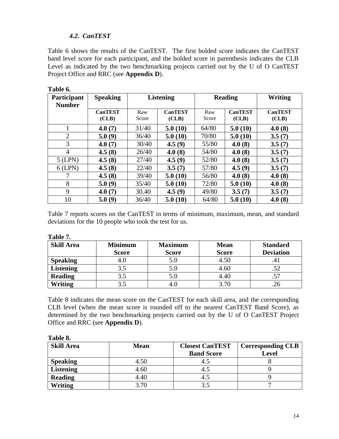## *4.2. CanTEST*

Table 6 shows the results of the CanTEST. The first bolded score indicates the CanTEST band level score for each participant, and the bolded score in parenthesis indicates the CLB Level as indicated by the two benchmarking projects carried out by the U of O CanTEST Project Office and RRC (see **Appendix D**).

| Participant<br><b>Number</b> | <b>Speaking</b>         |              | <b>Listening</b>        | <b>Reading</b> |                         | Writing                 |
|------------------------------|-------------------------|--------------|-------------------------|----------------|-------------------------|-------------------------|
|                              | <b>CanTEST</b><br>(CLB) | Raw<br>Score | <b>CanTEST</b><br>(CLB) | Raw<br>Score   | <b>CanTEST</b><br>(CLB) | <b>CanTEST</b><br>(CLB) |
|                              | 4.0(7)                  | 31/40        | 5.0(10)                 | 64/80          | 5.0(10)                 | 4.0(8)                  |
| $\overline{2}$               | 5.0(9)                  | 36/40        | 5.0(10)                 | 70/80          | 5.0(10)                 | 3.5(7)                  |
| 3                            | 4.0(7)                  | 30/40        | 4.5(9)                  | 55/80          | 4.0(8)                  | 3.5(7)                  |
| 4                            | 4.5(8)                  | 26/40        | 4.0(8)                  | 54/80          | 4.0(8)                  | 3.5(7)                  |
| $5$ (LPN)                    | 4.5(8)                  | 27/40        | 4.5(9)                  | 52/80          | 4.0(8)                  | 3.5(7)                  |
| $6$ (LPN)                    | 4.5(8)                  | 22/40        | 3.5(7)                  | 57/80          | 4.5(9)                  | 3.5(7)                  |
|                              | 4.5(8)                  | 39/40        | 5.0(10)                 | 56/80          | 4.0(8)                  | 4.0(8)                  |
| 8                            | 5.0(9)                  | 35/40        | 5.0(10)                 | 72/80          | 5.0(10)                 | 4.0(8)                  |
| 9                            | 4.0(7)                  | 30.40        | 4.5(9)                  | 49/80          | 3.5(7)                  | 3.5(7)                  |
| 10                           | 5.0(9)                  | 36/40        | 5.0(10)                 | 64/80          | 5.0(10)                 | 4.0(8)                  |

**Table 6.**

Table 7 reports scores on the CanTEST in terms of minimum, maximum, mean, and standard deviations for the 10 people who took the test for us.

| <b>Skill Area</b> | <b>Minimum</b> | <b>Maximum</b> | <b>Mean</b>  | <b>Standard</b>  |
|-------------------|----------------|----------------|--------------|------------------|
|                   | <b>Score</b>   | <b>Score</b>   | <b>Score</b> | <b>Deviation</b> |
| <b>Speaking</b>   | 4.0            | 5.0            | 4.50         | .41              |
| <b>Listening</b>  | 3.5            | 5.0            | 4.60         | .52              |
| <b>Reading</b>    | 3.5            | 5.0            | 4.40         | .57              |
| <b>Writing</b>    | 3.5            | 4.C            | 3.70         |                  |

Table 8 indicates the mean score on the CanTEST for each skill area, and the corresponding CLB level (when the mean score is rounded off to the nearest CanTEST Band Score), as determined by the two benchmarking projects carried out by the U of O CanTEST Project Office and RRC (see **Appendix D**).

| Table 8.          |             |                                             |                                          |  |  |  |  |
|-------------------|-------------|---------------------------------------------|------------------------------------------|--|--|--|--|
| <b>Skill Area</b> | <b>Mean</b> | <b>Closest CanTEST</b><br><b>Band Score</b> | <b>Corresponding CLB</b><br><b>Level</b> |  |  |  |  |
| <b>Speaking</b>   | 4.50        | 4.5                                         |                                          |  |  |  |  |
| <b>Listening</b>  | 4.60        | 4.5                                         |                                          |  |  |  |  |
| <b>Reading</b>    | 4.40        | 4.5                                         |                                          |  |  |  |  |
| <b>Writing</b>    | 3.70        | 3.5                                         |                                          |  |  |  |  |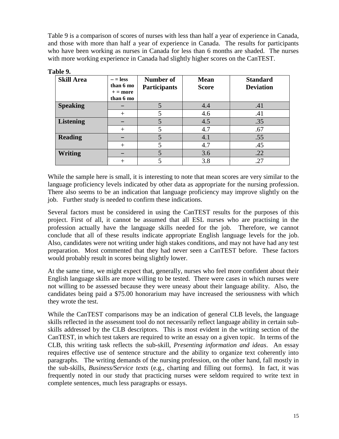Table 9 is a comparison of scores of nurses with less than half a year of experience in Canada, and those with more than half a year of experience in Canada. The results for participants who have been working as nurses in Canada for less than 6 months are shaded. The nurses with more working experience in Canada had slightly higher scores on the CanTEST.

| <b>Skill Area</b> | $-$ = less<br>than 6 mo<br>$+ =$ more<br>than 6 mo | Number of<br><b>Participants</b> | <b>Mean</b><br><b>Score</b> | <b>Standard</b><br><b>Deviation</b> |
|-------------------|----------------------------------------------------|----------------------------------|-----------------------------|-------------------------------------|
| <b>Speaking</b>   |                                                    |                                  | 4.4                         | .41                                 |
|                   | $+$                                                |                                  | 4.6                         | .41                                 |
| Listening         |                                                    |                                  | 4.5                         | .35                                 |
|                   | $^{+}$                                             |                                  | 4.7                         | .67                                 |
| <b>Reading</b>    |                                                    |                                  | 4.1                         | .55                                 |
|                   | $+$                                                | 5                                | 4.7                         | .45                                 |
| <b>Writing</b>    |                                                    |                                  | 3.6                         | .22                                 |
|                   | $^{+}$                                             |                                  | 3.8                         | .27                                 |

| Table 9 |  |
|---------|--|
|---------|--|

While the sample here is small, it is interesting to note that mean scores are very similar to the language proficiency levels indicated by other data as appropriate for the nursing profession. There also seems to be an indication that language proficiency may improve slightly on the job. Further study is needed to confirm these indications.

Several factors must be considered in using the CanTEST results for the purposes of this project. First of all, it cannot be assumed that all ESL nurses who are practising in the profession actually have the language skills needed for the job. Therefore, we cannot conclude that all of these results indicate appropriate English language levels for the job. Also, candidates were not writing under high stakes conditions, and may not have had any test preparation. Most commented that they had never seen a CanTEST before. These factors would probably result in scores being slightly lower.

At the same time, we might expect that, generally, nurses who feel more confident about their English language skills are more willing to be tested. There were cases in which nurses were not willing to be assessed because they were uneasy about their language ability. Also, the candidates being paid a \$75.00 honorarium may have increased the seriousness with which they wrote the test.

While the CanTEST comparisons may be an indication of general CLB levels, the language skills reflected in the assessment tool do not necessarily reflect language ability in certain subskills addressed by the CLB descriptors. This is most evident in the writing section of the CanTEST, in which test takers are required to write an essay on a given topic. In terms of the CLB, this writing task reflects the sub-skill, *Presenting information and ideas*. An essay requires effective use of sentence structure and the ability to organize text coherently into paragraphs. The writing demands of the nursing profession, on the other hand, fall mostly in the sub-skills, *Business/Service texts* (e.g., charting and filling out forms). In fact, it was frequently noted in our study that practicing nurses were seldom required to write text in complete sentences, much less paragraphs or essays.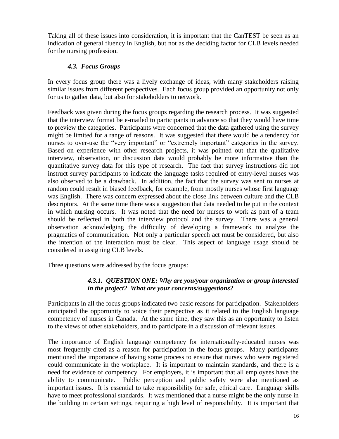Taking all of these issues into consideration, it is important that the CanTEST be seen as an indication of general fluency in English, but not as the deciding factor for CLB levels needed for the nursing profession.

### *4.3. Focus Groups*

In every focus group there was a lively exchange of ideas, with many stakeholders raising similar issues from different perspectives. Each focus group provided an opportunity not only for us to gather data, but also for stakeholders to network.

Feedback was given during the focus groups regarding the research process. It was suggested that the interview format be e-mailed to participants in advance so that they would have time to preview the categories. Participants were concerned that the data gathered using the survey might be limited for a range of reasons. It was suggested that there would be a tendency for nurses to over-use the "very important" or "extremely important" categories in the survey. Based on experience with other research projects, it was pointed out that the qualitative interview, observation, or discussion data would probably be more informative than the quantitative survey data for this type of research. The fact that survey instructions did not instruct survey participants to indicate the language tasks required of entry-level nurses was also observed to be a drawback. In addition, the fact that the survey was sent to nurses at random could result in biased feedback, for example, from mostly nurses whose first language was English. There was concern expressed about the close link between culture and the CLB descriptors. At the same time there was a suggestion that data needed to be put in the context in which nursing occurs. It was noted that the need for nurses to work as part of a team should be reflected in both the interview protocol and the survey. There was a general observation acknowledging the difficulty of developing a framework to analyze the pragmatics of communication. Not only a particular speech act must be considered, but also the intention of the interaction must be clear. This aspect of language usage should be considered in assigning CLB levels.

Three questions were addressed by the focus groups:

## *4.3.1. QUESTION ONE: Why are you/your organization or group interested in the project? What are your concerns/suggestions?*

Participants in all the focus groups indicated two basic reasons for participation. Stakeholders anticipated the opportunity to voice their perspective as it related to the English language competency of nurses in Canada. At the same time, they saw this as an opportunity to listen to the views of other stakeholders, and to participate in a discussion of relevant issues.

The importance of English language competency for internationally-educated nurses was most frequently cited as a reason for participation in the focus groups. Many participants mentioned the importance of having some process to ensure that nurses who were registered could communicate in the workplace. It is important to maintain standards, and there is a need for evidence of competency. For employers, it is important that all employees have the ability to communicate. Public perception and public safety were also mentioned as important issues. It is essential to take responsibility for safe, ethical care. Language skills have to meet professional standards. It was mentioned that a nurse might be the only nurse in the building in certain settings, requiring a high level of responsibility. It is important that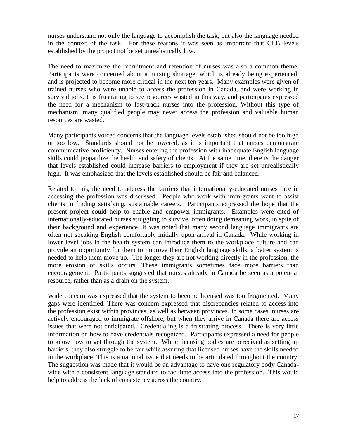nurses understand not only the language to accomplish the task, but also the language needed in the context of the task. For these reasons it was seen as important that CLB levels established by the project not be set unrealistically low.

The need to maximize the recruitment and retention of nurses was also a common theme. Participants were concerned about a nursing shortage, which is already being experienced, and is projected to become more critical in the next ten years. Many examples were given of trained nurses who were unable to access the profession in Canada, and were working in survival jobs. It is frustrating to see resources wasted in this way, and participants expressed the need for a mechanism to fast-track nurses into the profession. Without this type of mechanism, many qualified people may never access the profession and valuable human resources are wasted.

Many participants voiced concerns that the language levels established should not be too high or too low. Standards should not be lowered, as it is important that nurses demonstrate communicative proficiency. Nurses entering the profession with inadequate English language skills could jeopardize the health and safety of clients. At the same time, there is the danger that levels established could increase barriers to employment if they are set unrealistically high. It was emphasized that the levels established should be fair and balanced.

Related to this, the need to address the barriers that internationally-educated nurses face in accessing the profession was discussed. People who work with immigrants want to assist clients in finding satisfying, sustainable careers. Participants expressed the hope that the present project could help to enable and empower immigrants. Examples were cited of internationally-educated nurses struggling to survive, often doing demeaning work, in spite of their background and experience. It was noted that many second language immigrants are often not speaking English comfortably initially upon arrival in Canada. While working in lower level jobs in the health system can introduce them to the workplace culture and can provide an opportunity for them to improve their English language skills, a better system is needed to help them move up. The longer they are not working directly in the profession, the more erosion of skills occurs. These immigrants sometimes face more barriers than encouragement. Participants suggested that nurses already in Canada be seen as a potential resource, rather than as a drain on the system.

Wide concern was expressed that the system to become licensed was too fragmented. Many gaps were identified. There was concern expressed that discrepancies related to access into the profession exist within provinces, as well as between provinces. In some cases, nurses are actively encouraged to immigrate offshore, but when they arrive in Canada there are access issues that were not anticipated. Credentialing is a frustrating process. There is very little information on how to have credentials recognized. Participants expressed a need for people to know how to get through the system. While licensing bodies are perceived as setting up barriers, they also struggle to be fair while assuring that licensed nurses have the skills needed in the workplace. This is a national issue that needs to be articulated throughout the country. The suggestion was made that it would be an advantage to have one regulatory body Canadawide with a consistent language standard to facilitate access into the profession. This would help to address the lack of consistency across the country.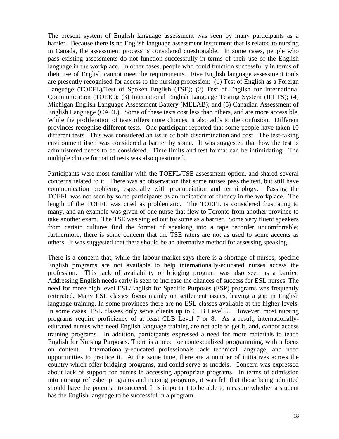The present system of English language assessment was seen by many participants as a barrier. Because there is no English language assessment instrument that is related to nursing in Canada, the assessment process is considered questionable. In some cases, people who pass existing assessments do not function successfully in terms of their use of the English language in the workplace. In other cases, people who could function successfully in terms of their use of English cannot meet the requirements. Five English language assessment tools are presently recognised for access to the nursing profession: (1) Test of English as a Foreign Language (TOEFL)/Test of Spoken English (TSE); (2) Test of English for International Communication (TOEIC); (3) International English Language Testing System (IELTS); (4) Michigan English Language Assessment Battery (MELAB); and (5) Canadian Assessment of English Language (CAEL). Some of these tests cost less than others, and are more accessible. While the proliferation of tests offers more choices, it also adds to the confusion. Different provinces recognise different tests. One participant reported that some people have taken 10 different tests. This was considered an issue of both discrimination and cost. The test-taking environment itself was considered a barrier by some. It was suggested that how the test is administered needs to be considered. Time limits and test format can be intimidating. The multiple choice format of tests was also questioned.

Participants were most familiar with the TOEFL/TSE assessment option, and shared several concerns related to it. There was an observation that some nurses pass the test, but still have communication problems, especially with pronunciation and terminology. Passing the TOEFL was not seen by some participants as an indication of fluency in the workplace. The length of the TOEFL was cited as problematic. The TOEFL is considered frustrating to many, and an example was given of one nurse that flew to Toronto from another province to take another exam. The TSE was singled out by some as a barrier. Some very fluent speakers from certain cultures find the format of speaking into a tape recorder uncomfortable; furthermore, there is some concern that the TSE raters are not as used to some accents as others. It was suggested that there should be an alternative method for assessing speaking.

There is a concern that, while the labour market says there is a shortage of nurses, specific English programs are not available to help internationally-educated nurses access the profession. This lack of availability of bridging program was also seen as a barrier. Addressing English needs early is seen to increase the chances of success for ESL nurses. The need for more high level ESL/English for Specific Purposes (ESP) programs was frequently reiterated. Many ESL classes focus mainly on settlement issues, leaving a gap in English language training. In some provinces there are no ESL classes available at the higher levels. In some cases, ESL classes only serve clients up to CLB Level 5. However, most nursing programs require proficiency of at least CLB Level 7 or 8. As a result, internationallyeducated nurses who need English language training are not able to get it, and, cannot access training programs. In addition, participants expressed a need for more materials to teach English for Nursing Purposes. There is a need for contextualized programming, with a focus on content. Internationally-educated professionals lack technical language, and need opportunities to practice it. At the same time, there are a number of initiatives across the country which offer bridging programs, and could serve as models. Concern was expressed about lack of support for nurses in accessing appropriate programs. In terms of admission into nursing refresher programs and nursing programs, it was felt that those being admitted should have the potential to succeed. It is important to be able to measure whether a student has the English language to be successful in a program.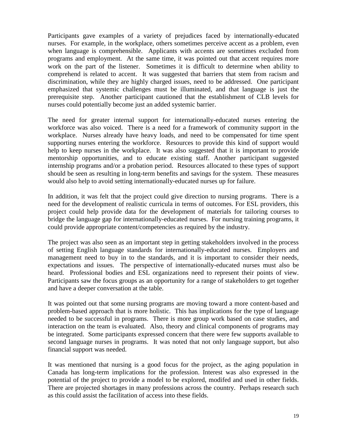Participants gave examples of a variety of prejudices faced by internationally-educated nurses. For example, in the workplace, others sometimes perceive accent as a problem, even when language is comprehensible. Applicants with accents are sometimes excluded from programs and employment. At the same time, it was pointed out that accent requires more work on the part of the listener. Sometimes it is difficult to determine when ability to comprehend is related to accent. It was suggested that barriers that stem from racism and discrimination, while they are highly charged issues, need to be addressed. One participant emphasized that systemic challenges must be illuminated, and that language is just the prerequisite step. Another participant cautioned that the establishment of CLB levels for nurses could potentially become just an added systemic barrier.

The need for greater internal support for internationally-educated nurses entering the workforce was also voiced. There is a need for a framework of community support in the workplace. Nurses already have heavy loads, and need to be compensated for time spent supporting nurses entering the workforce. Resources to provide this kind of support would help to keep nurses in the workplace. It was also suggested that it is important to provide mentorship opportunities, and to educate existing staff. Another participant suggested internship programs and/or a probation period. Resources allocated to these types of support should be seen as resulting in long-term benefits and savings for the system. These measures would also help to avoid setting internationally-educated nurses up for failure.

In addition, it was felt that the project could give direction to nursing programs. There is a need for the development of realistic curricula in terms of outcomes. For ESL providers, this project could help provide data for the development of materials for tailoring courses to bridge the language gap for internationally-educated nurses. For nursing training programs, it could provide appropriate content/competencies as required by the industry.

The project was also seen as an important step in getting stakeholders involved in the process of setting English language standards for internationally-educated nurses. Employers and management need to buy in to the standards, and it is important to consider their needs, expectations and issues. The perspective of internationally-educated nurses must also be heard. Professional bodies and ESL organizations need to represent their points of view. Participants saw the focus groups as an opportunity for a range of stakeholders to get together and have a deeper conversation at the table.

It was pointed out that some nursing programs are moving toward a more content-based and problem-based approach that is more holistic. This has implications for the type of language needed to be successful in programs. There is more group work based on case studies, and interaction on the team is evaluated. Also, theory and clinical components of programs may be integrated. Some participants expressed concern that there were few supports available to second language nurses in programs. It was noted that not only language support, but also financial support was needed.

It was mentioned that nursing is a good focus for the project, as the aging population in Canada has long-term implications for the profession. Interest was also expressed in the potential of the project to provide a model to be explored, modifed and used in other fields. There are projected shortages in many professions across the country. Perhaps research such as this could assist the facilitation of access into these fields.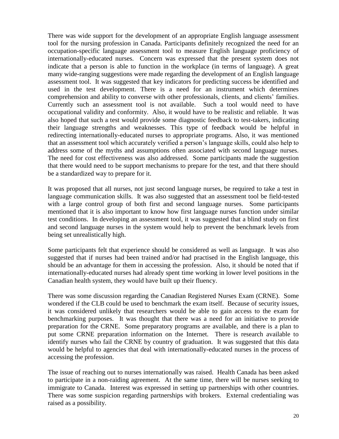There was wide support for the development of an appropriate English language assessment tool for the nursing profession in Canada. Participants definitely recognized the need for an occupation-specific language assessment tool to measure English language proficiency of internationally-educated nurses. Concern was expressed that the present system does not indicate that a person is able to function in the workplace (in terms of language). A great many wide-ranging suggestions were made regarding the development of an English language assessment tool. It was suggested that key indicators for predicting success be identified and used in the test development. There is a need for an instrument which determines comprehension and ability to converse with other professionals, clients, and clients' families. Currently such an assessment tool is not available. Such a tool would need to have occupational validity and conformity. Also, it would have to be realistic and reliable. It was also hoped that such a test would provide some diagnostic feedback to test-takers, indicating their language strengths and weaknesses. This type of feedback would be helpful in redirecting internationally-educated nurses to appropriate programs. Also, it was mentioned that an assessment tool which accurately verified a person"s language skills, could also help to address some of the myths and assumptions often associated with second language nurses. The need for cost effectiveness was also addressed. Some participants made the suggestion that there would need to be support mechanisms to prepare for the test, and that there should be a standardized way to prepare for it.

It was proposed that all nurses, not just second language nurses, be required to take a test in language communication skills. It was also suggested that an assessment tool be field-tested with a large control group of both first and second language nurses. Some participants mentioned that it is also important to know how first language nurses function under similar test conditions. In developing an assessment tool, it was suggested that a blind study on first and second language nurses in the system would help to prevent the benchmark levels from being set unrealistically high.

Some participants felt that experience should be considered as well as language. It was also suggested that if nurses had been trained and/or had practised in the English language, this should be an advantage for them in accessing the profession. Also, it should be noted that if internationally-educated nurses had already spent time working in lower level positions in the Canadian health system, they would have built up their fluency.

There was some discussion regarding the Canadian Registered Nurses Exam (CRNE). Some wondered if the CLB could be used to benchmark the exam itself. Because of security issues, it was considered unlikely that researchers would be able to gain access to the exam for benchmarking purposes. It was thought that there was a need for an initiative to provide preparation for the CRNE. Some preparatory programs are available, and there is a plan to put some CRNE preparation information on the Internet. There is research available to identify nurses who fail the CRNE by country of graduation. It was suggested that this data would be helpful to agencies that deal with internationally-educated nurses in the process of accessing the profession.

The issue of reaching out to nurses internationally was raised. Health Canada has been asked to participate in a non-raiding agreement. At the same time, there will be nurses seeking to immigrate to Canada. Interest was expressed in setting up partnerships with other countries. There was some suspicion regarding partnerships with brokers. External credentialing was raised as a possibility.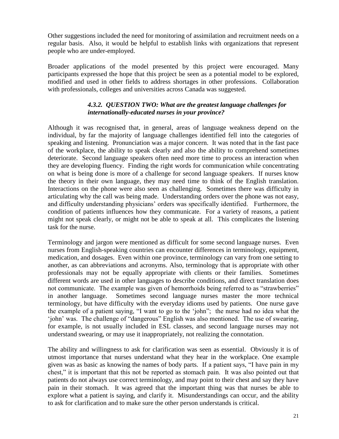Other suggestions included the need for monitoring of assimilation and recruitment needs on a regular basis. Also, it would be helpful to establish links with organizations that represent people who are under-employed.

Broader applications of the model presented by this project were encouraged. Many participants expressed the hope that this project be seen as a potential model to be explored, modified and used in other fields to address shortages in other professions. Collaboration with professionals, colleges and universities across Canada was suggested.

#### *4.3.2. QUESTION TWO: What are the greatest language challenges for internationally-educated nurses in your province?*

Although it was recognised that, in general, areas of language weakness depend on the individual, by far the majority of language challenges identified fell into the categories of speaking and listening. Pronunciation was a major concern. It was noted that in the fast pace of the workplace, the ability to speak clearly and also the ability to comprehend sometimes deteriorate. Second language speakers often need more time to process an interaction when they are developing fluency. Finding the right words for communication while concentrating on what is being done is more of a challenge for second language speakers. If nurses know the theory in their own language, they may need time to think of the English translation. Interactions on the phone were also seen as challenging. Sometimes there was difficulty in articulating why the call was being made. Understanding orders over the phone was not easy, and difficulty understanding physicians' orders was specifically identified. Furthermore, the condition of patients influences how they communicate. For a variety of reasons, a patient might not speak clearly, or might not be able to speak at all. This complicates the listening task for the nurse.

Terminology and jargon were mentioned as difficult for some second language nurses. Even nurses from English-speaking countries can encounter differences in terminology, equipment, medication, and dosages. Even within one province, terminology can vary from one setting to another, as can abbreviations and acronyms. Also, terminology that is appropriate with other professionals may not be equally appropriate with clients or their families. Sometimes different words are used in other languages to describe conditions, and direct translation does not communicate. The example was given of hemorrhoids being referred to as "strawberries" in another language. Sometimes second language nurses master the more technical terminology, but have difficulty with the everyday idioms used by patients. One nurse gave the example of a patient saying, "I want to go to the "john"; the nurse had no idea what the "john" was. The challenge of "dangerous" English was also mentioned. The use of swearing, for example, is not usually included in ESL classes, and second language nurses may not understand swearing, or may use it inappropriately, not realizing the connotation.

The ability and willingness to ask for clarification was seen as essential. Obviously it is of utmost importance that nurses understand what they hear in the workplace. One example given was as basic as knowing the names of body parts. If a patient says, "I have pain in my chest," it is important that this not be reported as stomach pain. It was also pointed out that patients do not always use correct terminology, and may point to their chest and say they have pain in their stomach. It was agreed that the important thing was that nurses be able to explore what a patient is saying, and clarify it. Misunderstandings can occur, and the ability to ask for clarification and to make sure the other person understands is critical.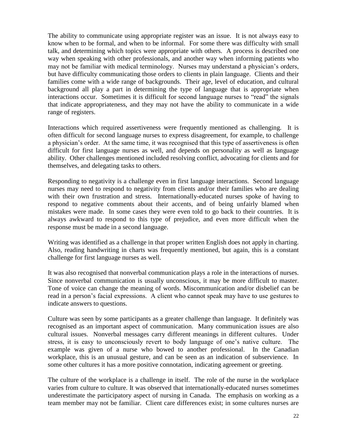The ability to communicate using appropriate register was an issue. It is not always easy to know when to be formal, and when to be informal. For some there was difficulty with small talk, and determining which topics were appropriate with others. A process is described one way when speaking with other professionals, and another way when informing patients who may not be familiar with medical terminology. Nurses may understand a physician's orders, but have difficulty communicating those orders to clients in plain language. Clients and their families come with a wide range of backgrounds. Their age, level of education, and cultural background all play a part in determining the type of language that is appropriate when interactions occur. Sometimes it is difficult for second language nurses to "read" the signals that indicate appropriateness, and they may not have the ability to communicate in a wide range of registers.

Interactions which required assertiveness were frequently mentioned as challenging. It is often difficult for second language nurses to express disagreement, for example, to challenge a physician's order. At the same time, it was recognised that this type of assertiveness is often difficult for first language nurses as well, and depends on personality as well as language ability. Other challenges mentioned included resolving conflict, advocating for clients and for themselves, and delegating tasks to others.

Responding to negativity is a challenge even in first language interactions. Second language nurses may need to respond to negativity from clients and/or their families who are dealing with their own frustration and stress. Internationally-educated nurses spoke of having to respond to negative comments about their accents, and of being unfairly blamed when mistakes were made. In some cases they were even told to go back to their countries. It is always awkward to respond to this type of prejudice, and even more difficult when the response must be made in a second language.

Writing was identified as a challenge in that proper written English does not apply in charting. Also, reading handwriting in charts was frequently mentioned, but again, this is a constant challenge for first language nurses as well.

It was also recognised that nonverbal communication plays a role in the interactions of nurses. Since nonverbal communication is usually unconscious, it may be more difficult to master. Tone of voice can change the meaning of words. Miscommunication and/or disbelief can be read in a person"s facial expressions. A client who cannot speak may have to use gestures to indicate answers to questions.

Culture was seen by some participants as a greater challenge than language. It definitely was recognised as an important aspect of communication. Many communication issues are also cultural issues. Nonverbal messages carry different meanings in different cultures. Under stress, it is easy to unconsciously revert to body language of one"s native culture. The example was given of a nurse who bowed to another professional. In the Canadian workplace, this is an unusual gesture, and can be seen as an indication of subservience. In some other cultures it has a more positive connotation, indicating agreement or greeting.

The culture of the workplace is a challenge in itself. The role of the nurse in the workplace varies from culture to culture. It was observed that internationally-educated nurses sometimes underestimate the participatory aspect of nursing in Canada. The emphasis on working as a team member may not be familiar. Client care differences exist; in some cultures nurses are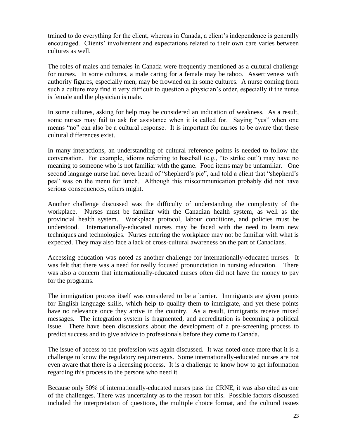trained to do everything for the client, whereas in Canada, a client"s independence is generally encouraged. Clients' involvement and expectations related to their own care varies between cultures as well.

The roles of males and females in Canada were frequently mentioned as a cultural challenge for nurses. In some cultures, a male caring for a female may be taboo. Assertiveness with authority figures, especially men, may be frowned on in some cultures. A nurse coming from such a culture may find it very difficult to question a physician's order, especially if the nurse is female and the physician is male.

In some cultures, asking for help may be considered an indication of weakness. As a result, some nurses may fail to ask for assistance when it is called for. Saying "yes" when one means "no" can also be a cultural response. It is important for nurses to be aware that these cultural differences exist.

In many interactions, an understanding of cultural reference points is needed to follow the conversation. For example, idioms referring to baseball (e.g., "to strike out") may have no meaning to someone who is not familiar with the game. Food items may be unfamiliar. One second language nurse had never heard of "shepherd's pie", and told a client that "shepherd's pea" was on the menu for lunch. Although this miscommunication probably did not have serious consequences, others might.

Another challenge discussed was the difficulty of understanding the complexity of the workplace. Nurses must be familiar with the Canadian health system, as well as the provincial health system. Workplace protocol, labour conditions, and policies must be understood. Internationally-educated nurses may be faced with the need to learn new techniques and technologies. Nurses entering the workplace may not be familiar with what is expected. They may also face a lack of cross-cultural awareness on the part of Canadians.

Accessing education was noted as another challenge for internationally-educated nurses. It was felt that there was a need for really focused pronunciation in nursing education. There was also a concern that internationally-educated nurses often did not have the money to pay for the programs.

The immigration process itself was considered to be a barrier. Immigrants are given points for English language skills, which help to qualify them to immigrate, and yet these points have no relevance once they arrive in the country. As a result, immigrants receive mixed messages. The integration system is fragmented, and accreditation is becoming a political issue. There have been discussions about the development of a pre-screening process to predict success and to give advice to professionals before they come to Canada.

The issue of access to the profession was again discussed. It was noted once more that it is a challenge to know the regulatory requirements. Some internationally-educated nurses are not even aware that there is a licensing process. It is a challenge to know how to get information regarding this process to the persons who need it.

Because only 50% of internationally-educated nurses pass the CRNE, it was also cited as one of the challenges. There was uncertainty as to the reason for this. Possible factors discussed included the interpretation of questions, the multiple choice format, and the cultural issues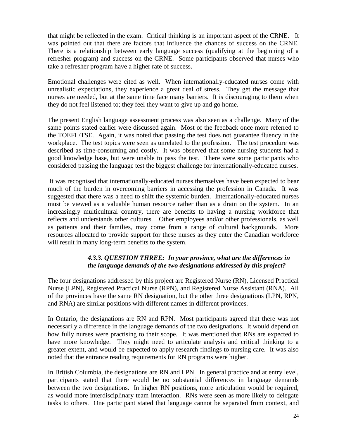that might be reflected in the exam. Critical thinking is an important aspect of the CRNE. It was pointed out that there are factors that influence the chances of success on the CRNE. There is a relationship between early language success (qualifying at the beginning of a refresher program) and success on the CRNE. Some participants observed that nurses who take a refresher program have a higher rate of success.

Emotional challenges were cited as well. When internationally-educated nurses come with unrealistic expectations, they experience a great deal of stress. They get the message that nurses are needed, but at the same time face many barriers. It is discouraging to them when they do not feel listened to; they feel they want to give up and go home.

The present English language assessment process was also seen as a challenge. Many of the same points stated earlier were discussed again. Most of the feedback once more referred to the TOEFL/TSE. Again, it was noted that passing the test does not guarantee fluency in the workplace. The test topics were seen as unrelated to the profession. The test procedure was described as time-consuming and costly. It was observed that some nursing students had a good knowledge base, but were unable to pass the test. There were some participants who considered passing the language test the biggest challenge for internationally-educated nurses.

It was recognised that internationally-educated nurses themselves have been expected to bear much of the burden in overcoming barriers in accessing the profession in Canada. It was suggested that there was a need to shift the systemic burden. Internationally-educated nurses must be viewed as a valuable human resource rather than as a drain on the system. In an increasingly multicultural country, there are benefits to having a nursing workforce that reflects and understands other cultures. Other employees and/or other professionals, as well as patients and their families, may come from a range of cultural backgrounds. More resources allocated to provide support for these nurses as they enter the Canadian workforce will result in many long-term benefits to the system.

## *4.3.3. QUESTION THREE: In your province, what are the differences in the language demands of the two designations addressed by this project?*

The four designations addressed by this project are Registered Nurse (RN), Licensed Practical Nurse (LPN), Registered Practical Nurse (RPN), and Registered Nurse Assistant (RNA). All of the provinces have the same RN designation, but the other three designations (LPN, RPN, and RNA) are similar positions with different names in different provinces.

In Ontario, the designations are RN and RPN. Most participants agreed that there was not necessarily a difference in the language demands of the two designations. It would depend on how fully nurses were practising to their scope. It was mentioned that RNs are expected to have more knowledge. They might need to articulate analysis and critical thinking to a greater extent, and would be expected to apply research findings to nursing care. It was also noted that the entrance reading requirements for RN programs were higher.

In British Columbia, the designations are RN and LPN. In general practice and at entry level, participants stated that there would be no substantial differences in language demands between the two designations. In higher RN positions, more articulation would be required, as would more interdisciplinary team interaction. RNs were seen as more likely to delegate tasks to others. One participant stated that language cannot be separated from context, and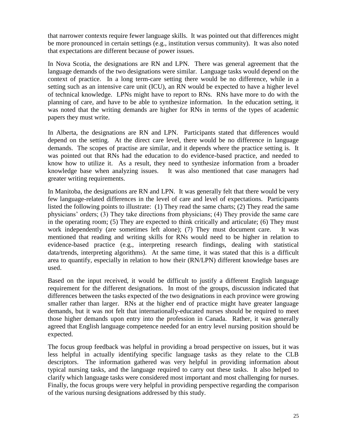that narrower contexts require fewer language skills. It was pointed out that differences might be more pronounced in certain settings (e.g., institution versus community). It was also noted that expectations are different because of power issues.

In Nova Scotia, the designations are RN and LPN. There was general agreement that the language demands of the two designations were similar. Language tasks would depend on the context of practice. In a long term-care setting there would be no difference, while in a setting such as an intensive care unit (ICU), an RN would be expected to have a higher level of technical knowledge. LPNs might have to report to RNs. RNs have more to do with the planning of care, and have to be able to synthesize information. In the education setting, it was noted that the writing demands are higher for RNs in terms of the types of academic papers they must write.

In Alberta, the designations are RN and LPN. Participants stated that differences would depend on the setting. At the direct care level, there would be no difference in language demands. The scopes of practise are similar, and it depends where the practice setting is. It was pointed out that RNs had the education to do evidence-based practice, and needed to know how to utilize it. As a result, they need to synthesize information from a broader knowledge base when analyzing issues. It was also mentioned that case managers had greater writing requirements.

In Manitoba, the designations are RN and LPN. It was generally felt that there would be very few language-related differences in the level of care and level of expectations. Participants listed the following points to illustrate: (1) They read the same charts; (2) They read the same physicians" orders; (3) They take directions from physicians; (4) They provide the same care in the operating room; (5) They are expected to think critically and articulate; (6) They must work independently (are sometimes left alone); (7) They must document care. It was mentioned that reading and writing skills for RNs would need to be higher in relation to evidence-based practice (e.g., interpreting research findings, dealing with statistical data/trends, interpreting algorithms). At the same time, it was stated that this is a difficult area to quantify, especially in relation to how their (RN/LPN) different knowledge bases are used.

Based on the input received, it would be difficult to justify a different English language requirement for the different designations. In most of the groups, discussion indicated that differences between the tasks expected of the two designations in each province were growing smaller rather than larger. RNs at the higher end of practice might have greater language demands, but it was not felt that internationally-educated nurses should be required to meet those higher demands upon entry into the profession in Canada. Rather, it was generally agreed that English language competence needed for an entry level nursing position should be expected.

The focus group feedback was helpful in providing a broad perspective on issues, but it was less helpful in actually identifying specific language tasks as they relate to the CLB descriptors.The information gathered was very helpful in providing information about typical nursing tasks, and the language required to carry out these tasks. It also helped to clarify which language tasks were considered most important and most challenging for nurses. Finally, the focus groups were very helpful in providing perspective regarding the comparison of the various nursing designations addressed by this study.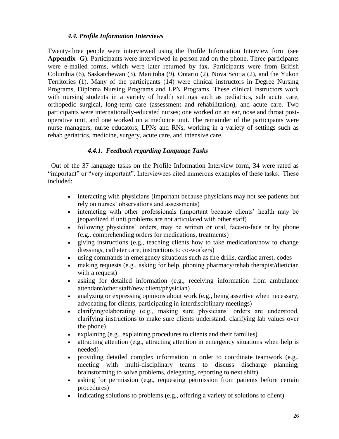#### *4.4. Profile Information Interviews*

Twenty-three people were interviewed using the Profile Information Interview form (see **Appendix G**). Participants were interviewed in person and on the phone. Three participants were e-mailed forms, which were later returned by fax. Participants were from British Columbia (6), Saskatchewan (3), Manitoba (9), Ontario (2), Nova Scotia (2), and the Yukon Territories (1). Many of the participants (14) were clinical instructors in Degree Nursing Programs, Diploma Nursing Programs and LPN Programs. These clinical instructors work with nursing students in a variety of health settings such as pediatrics, sub acute care, orthopedic surgical, long-term care (assessment and rehabilitation), and acute care. Two participants were internationally-educated nurses; one worked on an ear, nose and throat postoperative unit, and one worked on a medicine unit. The remainder of the participants were nurse managers, nurse educators, LPNs and RNs, working in a variety of settings such as rehab geriatrics, medicine, surgery, acute care, and intensive care.

#### *4.4.1. Feedback regarding Language Tasks*

 Out of the 37 language tasks on the Profile Information Interview form, 34 were rated as "important" or "very important". Interviewees cited numerous examples of these tasks. These included:

- interacting with physicians (important because physicians may not see patients but rely on nurses" observations and assessments)
- interacting with other professionals (important because clients' health may be jeopardized if unit problems are not articulated with other staff)
- following physicians' orders, may be written or oral, face-to-face or by phone (e.g., comprehending orders for medications, treatments)
- giving instructions (e.g., teaching clients how to take medication/how to change dressings, catheter care, instructions to co-workers)
- using commands in emergency situations such as fire drills, cardiac arrest, codes
- making requests (e.g., asking for help, phoning pharmacy/rehab therapist/dietician with a request)
- asking for detailed information (e.g., receiving information from ambulance attendant/other staff/new client/physician)
- analyzing or expressing opinions about work (e.g., being assertive when necessary, advocating for clients, participating in interdisciplinary meetings)
- clarifying/elaborating (e.g., making sure physicians' orders are understood, clarifying instructions to make sure clients understand, clarifying lab values over the phone)
- explaining (e.g., explaining procedures to clients and their families)
- attracting attention (e.g., attracting attention in emergency situations when help is needed)
- providing detailed complex information in order to coordinate teamwork (e.g., meeting with multi-disciplinary teams to discuss discharge planning, brainstorming to solve problems, delegating, reporting to next shift)
- asking for permission (e.g., requesting permission from patients before certain procedures)
- indicating solutions to problems (e.g., offering a variety of solutions to client)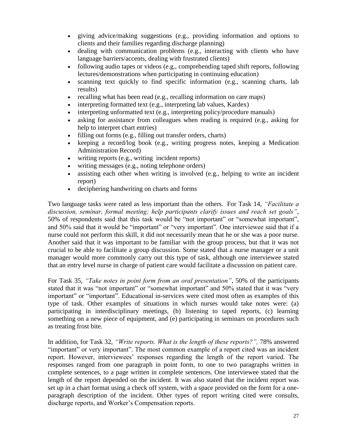- giving advice/making suggestions (e.g., providing information and options to clients and their families regarding discharge planning)
- dealing with communication problems (e.g., interacting with clients who have language barriers/accents, dealing with frustrated clients)
- following audio tapes or videos (e.g., comprehending taped shift reports, following lectures/demonstrations when participating in continuing education)
- scanning text quickly to find specific information (e.g., scanning charts, lab results)
- recalling what has been read (e.g., recalling information on care maps)
- interpreting formatted text (e.g., interpreting lab values, Kardex)
- interpreting unformatted text (e.g., interpreting policy/procedure manuals)
- asking for assistance from colleagues when reading is required (e.g., asking for help to interpret chart entries)
- filling out forms (e.g., filling out transfer orders, charts)
- $\bullet$  keeping a record/log book (e.g., writing progress notes, keeping a Medication Administration Record)
- writing reports (e.g., writing incident reports)
- writing messages (e.g., noting telephone orders)
- assisting each other when writing is involved (e.g., helping to write an incident report)
- deciphering handwriting on charts and forms

Two language tasks were rated as less important than the others. For Task 14, *"Facilitate a discussion, seminar, formal meeting; help participants clarify issues and reach set goals"*, 50% of respondents said that this task would be "not important" or "somewhat important", and 50% said that it would be "important" or "very important". One interviewee said that if a nurse could not perform this skill, it did not necessarily mean that he or she was a poor nurse. Another said that it was important to be familiar with the group process, but that it was not crucial to be able to facilitate a group discussion. Some stated that a nurse manager or a unit manager would more commonly carry out this type of task, although one interviewee stated that an entry level nurse in charge of patient care would facilitate a discussion on patient care.

For Task 35, *"Take notes in point form from an oral presentation"*, 50% of the participants stated that it was "not important" or "somewhat important" and 50% stated that it was "very important" or "important". Educational in-services were cited most often as examples of this type of task. Other examples of situations in which nurses would take notes were: (a) participating in interdisciplinary meetings, (b) listening to taped reports, (c) learning something on a new piece of equipment, and (e) participating in seminars on procedures such as treating frost bite.

In addition, for Task 32, *"Write reports. What is the length of these reports?",* 78% answered "important" or very important". The most common example of a report cited was an incident report. However, interviewees' responses regarding the length of the report varied. The responses ranged from one paragraph in point form, to one to two paragraphs written in complete sentences, to a page written in complete sentences. One interviewee stated that the length of the report depended on the incident. It was also stated that the incident report was set up in a chart format using a check off system, with a space provided on the form for a oneparagraph description of the incident. Other types of report writing cited were consults, discharge reports, and Worker"s Compensation reports.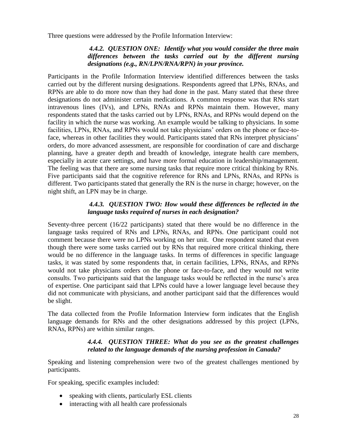Three questions were addressed by the Profile Information Interview:

#### *4.4.2. QUESTION ONE: Identify what you would consider the three main differences between the tasks carried out by the different nursing designations (e.g., RN/LPN/RNA/RPN) in your province.*

Participants in the Profile Information Interview identified differences between the tasks carried out by the different nursing designations. Respondents agreed that LPNs, RNAs, and RPNs are able to do more now than they had done in the past. Many stated that these three designations do not administer certain medications. A common response was that RNs start intravenous lines (IVs), and LPNs, RNAs and RPNs maintain them. However, many respondents stated that the tasks carried out by LPNs, RNAs, and RPNs would depend on the facility in which the nurse was working. An example would be talking to physicians. In some facilities, LPNs, RNAs, and RPNs would not take physicians' orders on the phone or face-toface, whereas in other facilities they would. Participants stated that RNs interpret physicians' orders, do more advanced assessment, are responsible for coordination of care and discharge planning, have a greater depth and breadth of knowledge, integrate health care members, especially in acute care settings, and have more formal education in leadership/management. The feeling was that there are some nursing tasks that require more critical thinking by RNs. Five participants said that the cognitive reference for RNs and LPNs, RNAs, and RPNs is different. Two participants stated that generally the RN is the nurse in charge; however, on the night shift, an LPN may be in charge.

#### *4.4.3. QUESTION TWO: How would these differences be reflected in the language tasks required of nurses in each designation?*

Seventy-three percent (16/22 participants) stated that there would be no difference in the language tasks required of RNs and LPNs, RNAs, and RPNs. One participant could not comment because there were no LPNs working on her unit. One respondent stated that even though there were some tasks carried out by RNs that required more critical thinking, there would be no difference in the language tasks. In terms of differences in specific language tasks, it was stated by some respondents that, in certain facilities, LPNs, RNAs, and RPNs would not take physicians orders on the phone or face-to-face, and they would not write consults. Two participants said that the language tasks would be reflected in the nurse"s area of expertise. One participant said that LPNs could have a lower language level because they did not communicate with physicians, and another participant said that the differences would be slight.

The data collected from the Profile Information Interview form indicates that the English language demands for RNs and the other designations addressed by this project (LPNs, RNAs, RPNs) are within similar ranges.

#### *4.4.4. QUESTION THREE: What do you see as the greatest challenges related to the language demands of the nursing profession in Canada?*

Speaking and listening comprehension were two of the greatest challenges mentioned by participants.

For speaking, specific examples included:

- speaking with clients, particularly ESL clients
- interacting with all health care professionals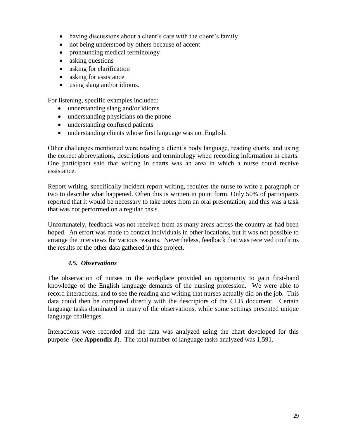- having discussions about a client's care with the client's family
- not being understood by others because of accent
- pronouncing medical terminology
- asking questions
- asking for clarification
- asking for assistance
- using slang and/or idioms.

For listening, specific examples included:

- understanding slang and/or idioms
- understanding physicians on the phone
- understanding confused patients
- understanding clients whose first language was not English.

Other challenges mentioned were reading a client"s body language, reading charts, and using the correct abbreviations, descriptions and terminology when recording information in charts. One participant said that writing in charts was an area in which a nurse could receive assistance.

Report writing, specifically incident report writing, requires the nurse to write a paragraph or two to describe what happened. Often this is written in point form. Only 50% of participants reported that it would be necessary to take notes from an oral presentation, and this was a task that was not performed on a regular basis.

Unfortunately, feedback was not received from as many areas across the country as had been hoped. An effort was made to contact individuals in other locations, but it was not possible to arrange the interviews for various reasons. Nevertheless, feedback that was received confirms the results of the other data gathered in this project.

#### *4.5. Observations*

The observation of nurses in the workplace provided an opportunity to gain first-hand knowledge of the English language demands of the nursing profession. We were able to record interactions, and to see the reading and writing that nurses actually did on the job. This data could then be compared directly with the descriptors of the CLB document. Certain language tasks dominated in many of the observations, while some settings presented unique language challenges.

Interactions were recorded and the data was analyzed using the chart developed for this purpose (see **Appendix J**). The total number of language tasks analyzed was 1,591.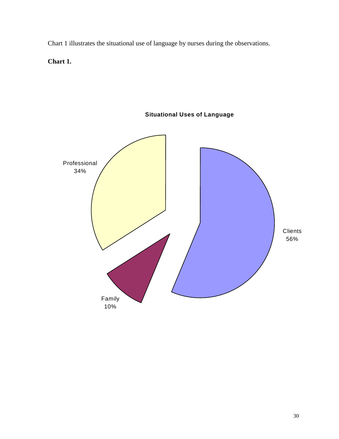Chart 1 illustrates the situational use of language by nurses during the observations.

**Chart 1.**



**Situational Uses of Language**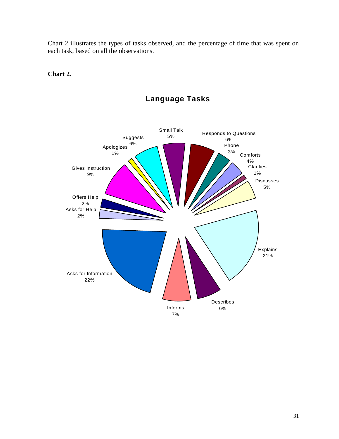Chart 2 illustrates the types of tasks observed, and the percentage of time that was spent on each task, based on all the observations.

## **Chart 2.**



# **Language Tasks**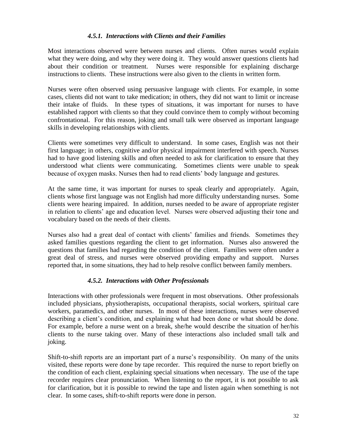#### *4.5.1. Interactions with Clients and their Families*

Most interactions observed were between nurses and clients. Often nurses would explain what they were doing, and why they were doing it. They would answer questions clients had about their condition or treatment. Nurses were responsible for explaining discharge instructions to clients. These instructions were also given to the clients in written form.

Nurses were often observed using persuasive language with clients. For example, in some cases, clients did not want to take medication; in others, they did not want to limit or increase their intake of fluids. In these types of situations, it was important for nurses to have established rapport with clients so that they could convince them to comply without becoming confrontational. For this reason, joking and small talk were observed as important language skills in developing relationships with clients.

Clients were sometimes very difficult to understand. In some cases, English was not their first language; in others, cognitive and/or physical impairment interfered with speech. Nurses had to have good listening skills and often needed to ask for clarification to ensure that they understood what clients were communicating. Sometimes clients were unable to speak because of oxygen masks. Nurses then had to read clients" body language and gestures.

At the same time, it was important for nurses to speak clearly and appropriately. Again, clients whose first language was not English had more difficulty understanding nurses. Some clients were hearing impaired. In addition, nurses needed to be aware of appropriate register in relation to clients" age and education level. Nurses were observed adjusting their tone and vocabulary based on the needs of their clients.

Nurses also had a great deal of contact with clients" families and friends. Sometimes they asked families questions regarding the client to get information. Nurses also answered the questions that families had regarding the condition of the client. Families were often under a great deal of stress, and nurses were observed providing empathy and support. Nurses reported that, in some situations, they had to help resolve conflict between family members.

## *4.5.2. Interactions with Other Professionals*

Interactions with other professionals were frequent in most observations. Other professionals included physicians, physiotherapists, occupational therapists, social workers, spiritual care workers, paramedics, and other nurses. In most of these interactions, nurses were observed describing a client's condition, and explaining what had been done or what should be done. For example, before a nurse went on a break, she/he would describe the situation of her/his clients to the nurse taking over. Many of these interactions also included small talk and joking.

Shift-to-shift reports are an important part of a nurse"s responsibility. On many of the units visited, these reports were done by tape recorder. This required the nurse to report briefly on the condition of each client, explaining special situations when necessary. The use of the tape recorder requires clear pronunciation. When listening to the report, it is not possible to ask for clarification, but it is possible to rewind the tape and listen again when something is not clear. In some cases, shift-to-shift reports were done in person.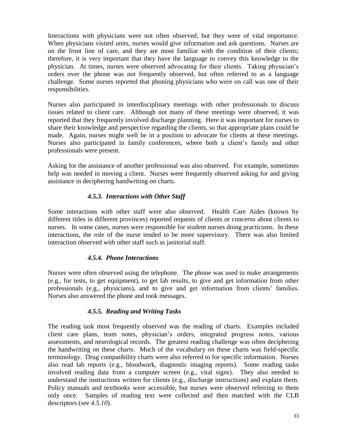Interactions with physicians were not often observed, but they were of vital importance. When physicians visited units, nurses would give information and ask questions. Nurses are on the front line of care, and they are most familiar with the condition of their clients; therefore, it is very important that they have the language to convey this knowledge to the physician. At times, nurses were observed advocating for their clients. Taking physician"s orders over the phone was not frequently observed, but often referred to as a language challenge. Some nurses reported that phoning physicians who were on call was one of their responsibilities.

Nurses also participated in interdisciplinary meetings with other professionals to discuss issues related to client care. Although not many of these meetings were observed, it was reported that they frequently involved discharge planning. Here it was important for nurses to share their knowledge and perspective regarding the clients, so that appropriate plans could be made. Again, nurses might well be in a position to advocate for clients at these meetings. Nurses also participated in family conferences, where both a client"s family and other professionals were present.

Asking for the assistance of another professional was also observed. For example, sometimes help was needed in moving a client. Nurses were frequently observed asking for and giving assistance in deciphering handwriting on charts.

## *4.5.3. Interactions with Other Staff*

Some interactions with other staff were also observed. Health Care Aides (known by different titles in different provinces) reported requests of clients or concerns about clients to nurses. In some cases, nurses were responsible for student nurses doing practicums. In these interactions, the role of the nurse tended to be more supervisory. There was also limited interaction observed with other staff such as janitorial staff.

## *4.5.4. Phone Interactions*

Nurses were often observed using the telephone. The phone was used to make arrangements (e.g., for tests, to get equipment), to get lab results, to give and get information from other professionals (e.g., physicians), and to give and get information from clients' families. Nurses also answered the phone and took messages.

## *4.5.5. Reading and Writing Tasks*

The reading task most frequently observed was the reading of charts. Examples included client care plans, team notes, physician"s orders, integrated progress notes, various assessments, and neurological records. The greatest reading challenge was often deciphering the handwriting on these charts. Much of the vocabulary on these charts was field-specific terminology. Drug compatibility charts were also referred to for specific information. Nurses also read lab reports (e.g., bloodwork, diagnostic imaging reports). Some reading tasks involved reading data from a computer screen (e.g., vital signs). They also needed to understand the instructions written for clients (e.g., discharge instructions) and explain them. Policy manuals and textbooks were accessible, but nurses were observed referring to them only once. Samples of reading text were collected and then matched with the CLB descriptors (see *4.5.10*).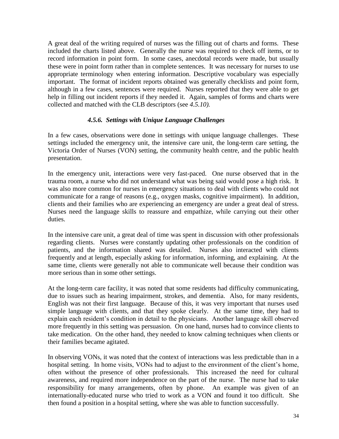A great deal of the writing required of nurses was the filling out of charts and forms. These included the charts listed above. Generally the nurse was required to check off items, or to record information in point form. In some cases, anecdotal records were made, but usually these were in point form rather than in complete sentences. It was necessary for nurses to use appropriate terminology when entering information. Descriptive vocabulary was especially important. The format of incident reports obtained was generally checklists and point form, although in a few cases, sentences were required. Nurses reported that they were able to get help in filling out incident reports if they needed it. Again, samples of forms and charts were collected and matched with the CLB descriptors (see *4.5.10).*

## *4.5.6. Settings with Unique Language Challenges*

In a few cases, observations were done in settings with unique language challenges. These settings included the emergency unit, the intensive care unit, the long-term care setting, the Victoria Order of Nurses (VON) setting, the community health centre, and the public health presentation.

In the emergency unit, interactions were very fast-paced. One nurse observed that in the trauma room, a nurse who did not understand what was being said would pose a high risk. It was also more common for nurses in emergency situations to deal with clients who could not communicate for a range of reasons (e.g., oxygen masks, cognitive impairment). In addition, clients and their families who are experiencing an emergency are under a great deal of stress. Nurses need the language skills to reassure and empathize, while carrying out their other duties.

In the intensive care unit, a great deal of time was spent in discussion with other professionals regarding clients. Nurses were constantly updating other professionals on the condition of patients, and the information shared was detailed. Nurses also interacted with clients frequently and at length, especially asking for information, informing, and explaining. At the same time, clients were generally not able to communicate well because their condition was more serious than in some other settings.

At the long-term care facility, it was noted that some residents had difficulty communicating, due to issues such as hearing impairment, strokes, and dementia. Also, for many residents, English was not their first language. Because of this, it was very important that nurses used simple language with clients, and that they spoke clearly. At the same time, they had to explain each resident"s condition in detail to the physicians. Another language skill observed more frequently in this setting was persuasion. On one hand, nurses had to convince clients to take medication. On the other hand, they needed to know calming techniques when clients or their families became agitated.

In observing VONs, it was noted that the context of interactions was less predictable than in a hospital setting. In home visits, VONs had to adjust to the environment of the client's home, often without the presence of other professionals. This increased the need for cultural awareness, and required more independence on the part of the nurse. The nurse had to take responsibility for many arrangements, often by phone. An example was given of an internationally-educated nurse who tried to work as a VON and found it too difficult. She then found a position in a hospital setting, where she was able to function successfully.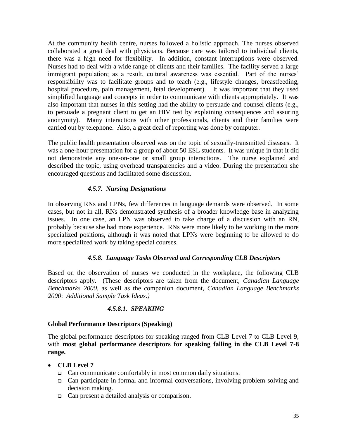At the community health centre, nurses followed a holistic approach. The nurses observed collaborated a great deal with physicians. Because care was tailored to individual clients, there was a high need for flexibility. In addition, constant interruptions were observed. Nurses had to deal with a wide range of clients and their families. The facility served a large immigrant population; as a result, cultural awareness was essential. Part of the nurses' responsibility was to facilitate groups and to teach (e.g., lifestyle changes, breastfeeding, hospital procedure, pain management, fetal development). It was important that they used simplified language and concepts in order to communicate with clients appropriately. It was also important that nurses in this setting had the ability to persuade and counsel clients (e.g., to persuade a pregnant client to get an HIV test by explaining consequences and assuring anonymity). Many interactions with other professionals, clients and their families were carried out by telephone. Also, a great deal of reporting was done by computer.

The public health presentation observed was on the topic of sexually-transmitted diseases. It was a one-hour presentation for a group of about 50 ESL students. It was unique in that it did not demonstrate any one-on-one or small group interactions. The nurse explained and described the topic, using overhead transparencies and a video. During the presentation she encouraged questions and facilitated some discussion.

## *4.5.7. Nursing Designations*

In observing RNs and LPNs, few differences in language demands were observed. In some cases, but not in all, RNs demonstrated synthesis of a broader knowledge base in analyzing issues. In one case, an LPN was observed to take charge of a discussion with an RN, probably because she had more experience. RNs were more likely to be working in the more specialized positions, although it was noted that LPNs were beginning to be allowed to do more specialized work by taking special courses.

## *4.5.8. Language Tasks Observed and Corresponding CLB Descriptors*

Based on the observation of nurses we conducted in the workplace, the following CLB descriptors apply. (These descriptors are taken from the document, *Canadian Language Benchmarks 2000*, as well as the companion document, *Canadian Language Benchmarks 2000*: *Additional Sample Task Ideas.)*

#### *4.5.8.1. SPEAKING*

## **Global Performance Descriptors (Speaking)**

The global performance descriptors for speaking ranged from CLB Level 7 to CLB Level 9, with **most global performance descriptors for speaking falling in the CLB Level 7-8 range.**

## **CLB Level 7**

- □ Can communicate comfortably in most common daily situations.
- $\Box$  Can participate in formal and informal conversations, involving problem solving and decision making.
- Can present a detailed analysis or comparison.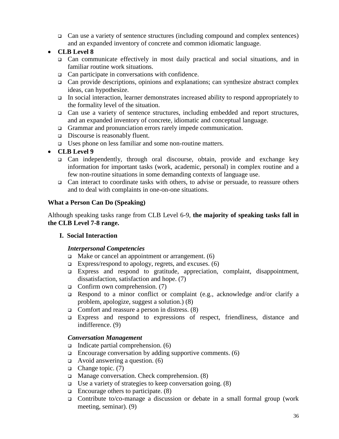Can use a variety of sentence structures (including compound and complex sentences) and an expanded inventory of concrete and common idiomatic language.

## **CLB Level 8**

- Can communicate effectively in most daily practical and social situations, and in familiar routine work situations.
- $\Box$  Can participate in conversations with confidence.
- $\Box$  Can provide descriptions, opinions and explanations; can synthesize abstract complex ideas, can hypothesize.
- In social interaction, learner demonstrates increased ability to respond appropriately to the formality level of the situation.
- Can use a variety of sentence structures, including embedded and report structures, and an expanded inventory of concrete, idiomatic and conceptual language.
- Grammar and pronunciation errors rarely impede communication.
- □ Discourse is reasonably fluent.
- Uses phone on less familiar and some non-routine matters.
- **CLB Level 9**
	- $\Box$  Can independently, through oral discourse, obtain, provide and exchange key information for important tasks (work, academic, personal) in complex routine and a few non-routine situations in some demanding contexts of language use.
	- $\Box$  Can interact to coordinate tasks with others, to advise or persuade, to reassure others and to deal with complaints in one-on-one situations.

## **What a Person Can Do (Speaking)**

Although speaking tasks range from CLB Level 6-9, **the majority of speaking tasks fall in the CLB Level 7-8 range.**

## **I. Social Interaction**

## *Interpersonal Competencies*

- $\Box$  Make or cancel an appointment or arrangement. (6)
- Express/respond to apology, regrets, and excuses.  $(6)$
- Express and respond to gratitude, appreciation, complaint, disappointment, dissatisfaction, satisfaction and hope. (7)
- Confirm own comprehension.  $(7)$
- **Example 1** Respond to a minor conflict or complaint (e.g., acknowledge and/or clarify a problem, apologize, suggest a solution.) (8)
- Comfort and reassure a person in distress.  $(8)$
- Express and respond to expressions of respect, friendliness, distance and indifference. (9)

## *Conversation Management*

- Indicate partial comprehension.  $(6)$
- $\Box$  Encourage conversation by adding supportive comments. (6)
- $\Box$  Avoid answering a question. (6)
- $\Box$  Change topic. (7)
- $\Box$  Manage conversation. Check comprehension. (8)
- □ Use a variety of strategies to keep conversation going.  $(8)$
- $\Box$  Encourage others to participate. (8)
- Contribute to/co-manage a discussion or debate in a small formal group (work meeting, seminar). (9)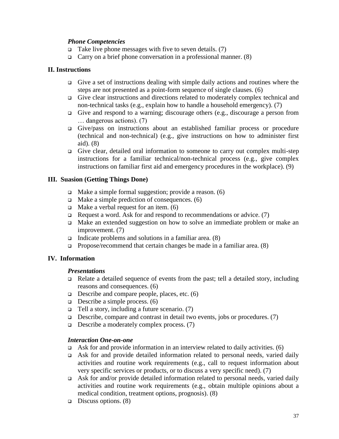#### *Phone Competencies*

- Take live phone messages with five to seven details. (7)
- Carry on a brief phone conversation in a professional manner. (8)

#### **II. Instructions**

- Give a set of instructions dealing with simple daily actions and routines where the steps are not presented as a point-form sequence of single clauses. (6)
- Give clear instructions and directions related to moderately complex technical and non-technical tasks (e.g., explain how to handle a household emergency). (7)
- Give and respond to a warning; discourage others (e.g., discourage a person from … dangerous actions). (7)
- Give/pass on instructions about an established familiar process or procedure (technical and non-technical) (e.g., give instructions on how to administer first aid). (8)
- Give clear, detailed oral information to someone to carry out complex multi-step instructions for a familiar technical/non-technical process (e.g., give complex instructions on familiar first aid and emergency procedures in the workplace). (9)

#### **III. Suasion (Getting Things Done)**

- $\Box$  Make a simple formal suggestion; provide a reason. (6)
- $\Box$  Make a simple prediction of consequences. (6)
- $\Box$  Make a verbal request for an item. (6)
- $\Box$  Request a word. Ask for and respond to recommendations or advice. (7)
- Make an extended suggestion on how to solve an immediate problem or make an improvement. (7)
- Indicate problems and solutions in a familiar area.  $(8)$
- **Propose/recommend that certain changes be made in a familiar area.** (8)

#### **IV. Information**

#### *Presentations*

- Relate a detailed sequence of events from the past; tell a detailed story, including reasons and consequences. (6)
- $\Box$  Describe and compare people, places, etc. (6)
- $\Box$  Describe a simple process. (6)
- $\Box$  Tell a story, including a future scenario. (7)
- $\Box$  Describe, compare and contrast in detail two events, jobs or procedures. (7)
- $\Box$  Describe a moderately complex process. (7)

#### *Interaction One-on-one*

- Ask for and provide information in an interview related to daily activities. (6)
- Ask for and provide detailed information related to personal needs, varied daily activities and routine work requirements (e.g., call to request information about very specific services or products, or to discuss a very specific need). (7)
- $\Box$  Ask for and/or provide detailed information related to personal needs, varied daily activities and routine work requirements (e.g., obtain multiple opinions about a medical condition, treatment options, prognosis). (8)
- **Discuss options.** (8)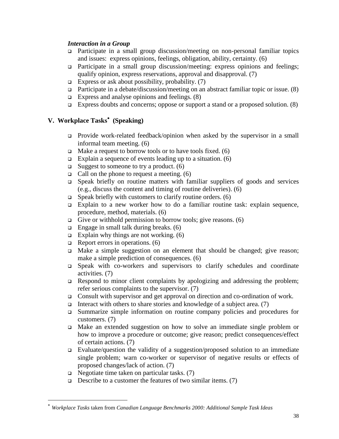#### *Interaction in a Group*

- Participate in a small group discussion/meeting on non-personal familiar topics and issues: express opinions, feelings, obligation, ability, certainty. (6)
- Participate in a small group discussion/meeting: express opinions and feelings; qualify opinion, express reservations, approval and disapproval. (7)
- Express or ask about possibility, probability. (7)
- Participate in a debate/discussion/meeting on an abstract familiar topic or issue. (8)
- Express and analyse opinions and feelings.  $(8)$
- Express doubts and concerns; oppose or support a stand or a proposed solution.  $(8)$

# **V. Workplace Tasks (Speaking)**

- Provide work-related feedback/opinion when asked by the supervisor in a small informal team meeting. (6)
- $\Box$  Make a request to borrow tools or to have tools fixed. (6)
- Explain a sequence of events leading up to a situation.  $(6)$
- $\Box$  Suggest to someone to try a product. (6)
- Call on the phone to request a meeting.  $(6)$
- $\Box$  Speak briefly on routine matters with familiar suppliers of goods and services (e.g., discuss the content and timing of routine deliveries). (6)
- $\Box$  Speak briefly with customers to clarify routine orders. (6)
- Explain to a new worker how to do a familiar routine task: explain sequence, procedure, method, materials. (6)
- Give or withhold permission to borrow tools; give reasons.  $(6)$
- $\Box$  Engage in small talk during breaks. (6)
- Explain why things are not working.  $(6)$
- $\Box$  Report errors in operations. (6)
- Make a simple suggestion on an element that should be changed; give reason; make a simple prediction of consequences. (6)
- Speak with co-workers and supervisors to clarify schedules and coordinate activities. (7)
- $\Box$  Respond to minor client complaints by apologizing and addressing the problem; refer serious complaints to the supervisor. (7)
- Consult with supervisor and get approval on direction and co-ordination of work.
- Interact with others to share stories and knowledge of a subject area. (7)
- Summarize simple information on routine company policies and procedures for customers. (7)
- Make an extended suggestion on how to solve an immediate single problem or how to improve a procedure or outcome; give reason; predict consequences/effect of certain actions. (7)
- Evaluate/question the validity of a suggestion/proposed solution to an immediate single problem; warn co-worker or supervisor of negative results or effects of proposed changes/lack of action. (7)
- $\Box$  Negotiate time taken on particular tasks. (7)

l

**Describe to a customer the features of two similar items.** (7)

*Workplace Tasks* taken from *Canadian Language Benchmarks 2000: Additional Sample Task Ideas*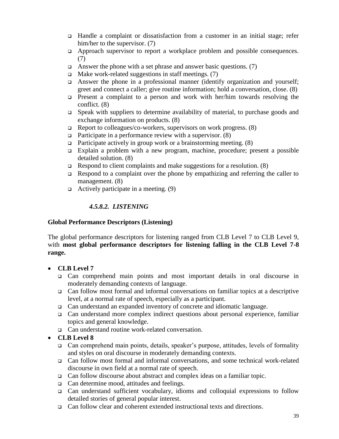- Handle a complaint or dissatisfaction from a customer in an initial stage; refer him/her to the supervisor. (7)
- $\Box$  Approach supervisor to report a workplace problem and possible consequences. (7)
- Answer the phone with a set phrase and answer basic questions. (7)
- $\Box$  Make work-related suggestions in staff meetings. (7)
- Answer the phone in a professional manner (identify organization and yourself; greet and connect a caller; give routine information; hold a conversation, close. (8)
- Present a complaint to a person and work with her/him towards resolving the conflict. (8)
- □ Speak with suppliers to determine availability of material, to purchase goods and exchange information on products. (8)
- $\Box$  Report to colleagues/co-workers, supervisors on work progress. (8)
- $\Box$  Participate in a performance review with a supervisor. (8)
- **Participate actively in group work or a brainstorming meeting.** (8)
- Explain a problem with a new program, machine, procedure; present a possible detailed solution. (8)
- $\Box$  Respond to client complaints and make suggestions for a resolution. (8)
- Respond to a complaint over the phone by empathizing and referring the caller to management. (8)
- $\Box$  Actively participate in a meeting. (9)

## *4.5.8.2. LISTENING*

#### **Global Performance Descriptors (Listening)**

The global performance descriptors for listening ranged from CLB Level 7 to CLB Level 9, with **most global performance descriptors for listening falling in the CLB Level 7-8 range.**

- **CLB Level 7**
	- Can comprehend main points and most important details in oral discourse in moderately demanding contexts of language.
	- $\Box$  Can follow most formal and informal conversations on familiar topics at a descriptive level, at a normal rate of speech, especially as a participant.
	- Can understand an expanded inventory of concrete and idiomatic language.
	- Can understand more complex indirect questions about personal experience, familiar topics and general knowledge.
	- Can understand routine work-related conversation.

## **CLB Level 8**

- □ Can comprehend main points, details, speaker's purpose, attitudes, levels of formality and styles on oral discourse in moderately demanding contexts.
- Can follow most formal and informal conversations, and some technical work-related discourse in own field at a normal rate of speech.
- Can follow discourse about abstract and complex ideas on a familiar topic.
- □ Can determine mood, attitudes and feelings.
- Can understand sufficient vocabulary, idioms and colloquial expressions to follow detailed stories of general popular interest.
- $\Box$  Can follow clear and coherent extended instructional texts and directions.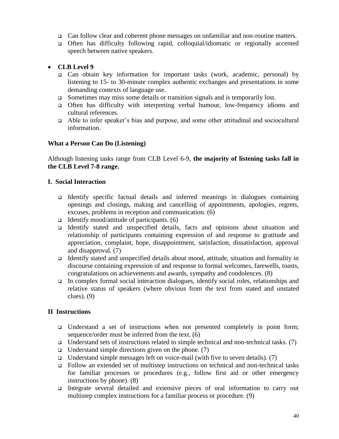- Can follow clear and coherent phone messages on unfamiliar and non-routine matters.
- Often has difficulty following rapid, colloquial/idiomatic or regionally accented speech between native speakers.

## **CLB Level 9**

- Can obtain key information for important tasks (work, academic, personal) by listening to 15- to 30-minute complex authentic exchanges and presentations in some demanding contexts of language use.
- $\Box$  Sometimes may miss some details or transition signals and is temporarily lost.
- Often has difficulty with interpreting verbal humour, low-frequency idioms and cultural references.
- Able to infer speaker"s bias and purpose, and some other attitudinal and sociocultural information.

#### **What a Person Can Do (Listening)**

Although listening tasks range from CLB Level 6-9, **the majority of listening tasks fall in the CLB Level 7-8 range.**

#### **I. Social Interaction**

- Identify specific factual details and inferred meanings in dialogues containing openings and closings, making and cancelling of appointments, apologies, regrets, excuses, problems in reception and communication. (6)
- Identify mood/attitude of participants.  $(6)$
- Identify stated and unspecified details, facts and opinions about situation and relationship of participants containing expression of and response to gratitude and appreciation, complaint, hope, disappointment, satisfaction, dissatisfaction, approval and disapproval. (7)
- Identify stated and unspecified details about mood, attitude, situation and formality in discourse containing expression of and response to formal welcomes, farewells, toasts, congratulations on achievements and awards, sympathy and condolences. (8)
- In complex formal social interaction dialogues, identify social roles, relationships and relative status of speakers (where obvious from the text from stated and unstated clues). (9)

## **II Instructions**

- Understand a set of instructions when not presented completely in point form; sequence/order must be inferred from the text. (6)
- □ Understand sets of instructions related to simple technical and non-technical tasks. (7)
- $\Box$  Understand simple directions given on the phone. (7)
- □ Understand simple messages left on voice-mail (with five to seven details).  $(7)$
- Follow an extended set of multistep instructions on technical and non-technical tasks for familiar processes or procedures (e.g., follow first aid or other emergency instructions by phone). (8)
- Integrate several detailed and extensive pieces of oral information to carry out multistep complex instructions for a familiar process or procedure. (9)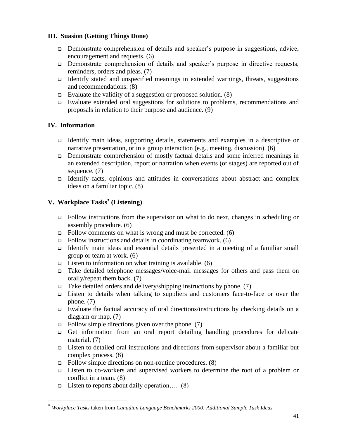## **III. Suasion (Getting Things Done)**

- Demonstrate comprehension of details and speaker"s purpose in suggestions, advice, encouragement and requests. (6)
- □ Demonstrate comprehension of details and speaker's purpose in directive requests, reminders, orders and pleas. (7)
- Identify stated and unspecified meanings in extended warnings, threats, suggestions and recommendations. (8)
- Evaluate the validity of a suggestion or proposed solution.  $(8)$
- Evaluate extended oral suggestions for solutions to problems, recommendations and proposals in relation to their purpose and audience. (9)

# **IV. Information**

l

- Identify main ideas, supporting details, statements and examples in a descriptive or narrative presentation, or in a group interaction (e.g., meeting, discussion). (6)
- Demonstrate comprehension of mostly factual details and some inferred meanings in an extended description, report or narration when events (or stages) are reported out of sequence. (7)
- Identify facts, opinions and attitudes in conversations about abstract and complex ideas on a familiar topic. (8)

# **V. Workplace Tasks (Listening)**

- Follow instructions from the supervisor on what to do next, changes in scheduling or assembly procedure. (6)
- $\Box$  Follow comments on what is wrong and must be corrected. (6)
- $\Box$  Follow instructions and details in coordinating teamwork. (6)
- Identify main ideas and essential details presented in a meeting of a familiar small group or team at work. (6)
- **Listen to information on what training is available.** (6)
- Take detailed telephone messages/voice-mail messages for others and pass them on orally/repeat them back. (7)
- $\Box$  Take detailed orders and delivery/shipping instructions by phone. (7)
- Listen to details when talking to suppliers and customers face-to-face or over the phone. (7)
- Evaluate the factual accuracy of oral directions/instructions by checking details on a diagram or map. (7)
- $\Box$  Follow simple directions given over the phone. (7)
- Get information from an oral report detailing handling procedures for delicate material. (7)
- Listen to detailed oral instructions and directions from supervisor about a familiar but complex process. (8)
- $\Box$  Follow simple directions on non-routine procedures. (8)
- Listen to co-workers and supervised workers to determine the root of a problem or conflict in a team. (8)
- □ Listen to reports about daily operation....  $(8)$

*Workplace Tasks* taken from *Canadian Language Benchmarks 2000: Additional Sample Task Ideas*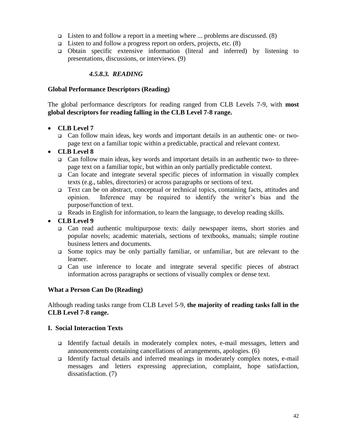- □ Listen to and follow a report in a meeting where  $\dots$  problems are discussed. (8)
- **□** Listen to and follow a progress report on orders, projects, etc.  $(8)$
- Obtain specific extensive information (literal and inferred) by listening to presentations, discussions, or interviews. (9)

#### *4.5.8.3. READING*

#### **Global Performance Descriptors (Reading)**

The global performance descriptors for reading ranged from CLB Levels 7-9, with **most global descriptors for reading falling in the CLB Level 7-8 range.**

#### **CLB Level 7**

 Can follow main ideas, key words and important details in an authentic one- or twopage text on a familiar topic within a predictable, practical and relevant context.

#### **CLB Level 8**

- Can follow main ideas, key words and important details in an authentic two- to threepage text on a familiar topic, but within an only partially predictable context.
- $\Box$  Can locate and integrate several specific pieces of information in visually complex texts (e.g., tables, directories) or across paragraphs or sections of text.
- Text can be on abstract, conceptual or technical topics, containing facts, attitudes and opinion. Inference may be required to identify the writer"s bias and the purpose/function of text.
- □ Reads in English for information, to learn the language, to develop reading skills.

#### **CLB Level 9**

- Can read authentic multipurpose texts: daily newspaper items, short stories and popular novels; academic materials, sections of textbooks, manuals; simple routine business letters and documents.
- Some topics may be only partially familiar, or unfamiliar, but are relevant to the learner.
- Can use inference to locate and integrate several specific pieces of abstract information across paragraphs or sections of visually complex or dense text.

#### **What a Person Can Do (Reading)**

Although reading tasks range from CLB Level 5-9, **the majority of reading tasks fall in the CLB Level 7-8 range.**

#### **I. Social Interaction Texts**

- Identify factual details in moderately complex notes, e-mail messages, letters and announcements containing cancellations of arrangements, apologies. (6)
- Identify factual details and inferred meanings in moderately complex notes, e-mail messages and letters expressing appreciation, complaint, hope satisfaction, dissatisfaction. (7)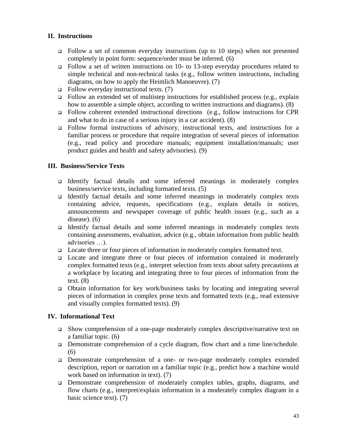## **II. Instructions**

- $\Box$  Follow a set of common everyday instructions (up to 10 steps) when not presented completely in point form: sequence/order must be inferred. (6)
- Follow a set of written instructions on 10- to 13-step everyday procedures related to simple technical and non-technical tasks (e.g., follow written instructions, including diagrams, on how to apply the Heimlich Manoeuvre). (7)
- $\Box$  Follow everyday instructional texts. (7)
- $\Box$  Follow an extended set of multistep instructions for established process (e.g., explain how to assemble a simple object, according to written instructions and diagrams). (8)
- Follow coherent extended instructional directions (e.g., follow instructions for CPR and what to do in case of a serious injury in a car accident). (8)
- Follow formal instructions of advisory, instructional texts, and instructions for a familiar process or procedure that require integration of several pieces of information (e.g., read policy and procedure manuals; equipment installation/manuals; user product guides and health and safety advisories). (9)

## **III. Business/Service Texts**

- Identify factual details and some inferred meanings in moderately complex business/service texts, including formatted texts. (5)
- Identify factual details and some inferred meanings in moderately complex texts containing advice, requests, specifications (e.g., explain details in notices, announcements and newspaper coverage of public health issues (e.g., such as a disease). (6)
- Identify factual details and some inferred meanings in moderately complex texts containing assessments, evaluation, advice (e.g., obtain information from public health advisories …).
- $\Box$  Locate three or four pieces of information in moderately complex formatted text.
- Locate and integrate three or four pieces of information contained in moderately complex formatted texts (e.g., interpret selection from texts about safety precautions at a workplace by locating and integrating three to four pieces of information from the text.  $(8)$
- Obtain information for key work/business tasks by locating and integrating several pieces of information in complex prose texts and formatted texts (e.g., read extensive and visually complex formatted texts). (9)

## **IV. Informational Text**

- $\Box$  Show comprehension of a one-page moderately complex descriptive/narrative text on a familiar topic. (6)
- □ Demonstrate comprehension of a cycle diagram, flow chart and a time line/schedule. (6)
- Demonstrate comprehension of a one- or two-page moderately complex extended description, report or narration on a familiar topic (e.g., predict how a machine would work based on information in text). (7)
- Demonstrate comprehension of moderately complex tables, graphs, diagrams, and flow charts (e.g., interpret/explain information in a moderately complex diagram in a basic science text). (7)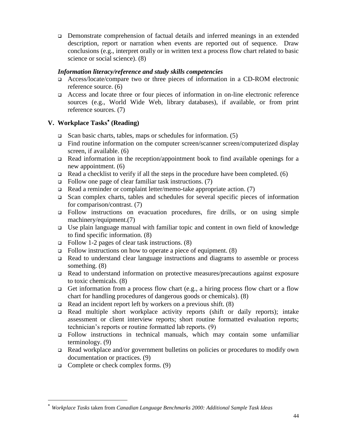Demonstrate comprehension of factual details and inferred meanings in an extended description, report or narration when events are reported out of sequence. Draw conclusions (e.g., interpret orally or in written text a process flow chart related to basic science or social science). (8)

## *Information literacy/reference and study skills competencies*

- Access/locate/compare two or three pieces of information in a CD-ROM electronic reference source. (6)
- Access and locate three or four pieces of information in on-line electronic reference sources (e.g., World Wide Web, library databases), if available, or from print reference sources. (7)

# **V. Workplace Tasks (Reading)**

- Scan basic charts, tables, maps or schedules for information.  $(5)$
- Find routine information on the computer screen/scanner screen/computerized display screen, if available. (6)
- $\Box$  Read information in the reception/appointment book to find available openings for a new appointment. (6)
- $\Box$  Read a checklist to verify if all the steps in the procedure have been completed. (6)
- $\Box$  Follow one page of clear familiar task instructions. (7)
- $\Box$  Read a reminder or complaint letter/memo-take appropriate action. (7)
- $\Box$  Scan complex charts, tables and schedules for several specific pieces of information for comparison/contrast. (7)
- Follow instructions on evacuation procedures, fire drills, or on using simple machinery/equipment.(7)
- Use plain language manual with familiar topic and content in own field of knowledge to find specific information. (8)
- $\Box$  Follow 1-2 pages of clear task instructions. (8)
- $\Box$  Follow instructions on how to operate a piece of equipment. (8)
- Read to understand clear language instructions and diagrams to assemble or process something. (8)
- Read to understand information on protective measures/precautions against exposure to toxic chemicals. (8)
- Get information from a process flow chart (e.g., a hiring process flow chart or a flow chart for handling procedures of dangerous goods or chemicals). (8)
- $\Box$  Read an incident report left by workers on a previous shift. (8)
- Read multiple short workplace activity reports (shift or daily reports); intake assessment or client interview reports; short routine formatted evaluation reports; technician"s reports or routine formatted lab reports. (9)
- Follow instructions in technical manuals, which may contain some unfamiliar terminology. (9)
- □ Read workplace and/or government bulletins on policies or procedures to modify own documentation or practices. (9)
- Complete or check complex forms.  $(9)$

l

*Workplace Tasks* taken from *Canadian Language Benchmarks 2000: Additional Sample Task Ideas*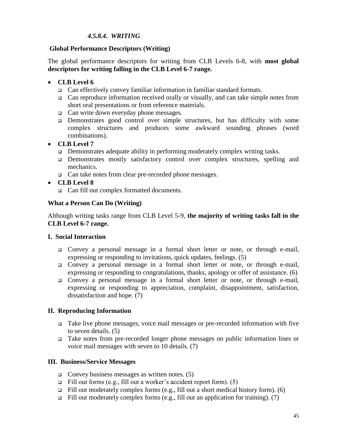## *4.5.8.4. WRITING*

#### **Global Performance Descriptors (Writing)**

The global performance descriptors for writing from CLB Levels 6-8, with **most global descriptors for writing falling in the CLB Level 6-7 range.**

#### **CLB Level 6**

- Can effectively convey familiar information in familiar standard formats.
- $\Box$  Can reproduce information received orally or visually, and can take simple notes from short oral presentations or from reference materials.
- $\Box$  Can write down everyday phone messages.
- Demonstrates good control over simple structures, but has difficulty with some complex structures and produces some awkward sounding phrases (word combinations).

#### **CLB Level 7**

- Demonstrates adequate ability in performing moderately complex writing tasks.
- Demonstrates mostly satisfactory control over complex structures, spelling and mechanics.
- □ Can take notes from clear pre-recorded phone messages.
- **CLB Level 8**
	- Can fill out complex formatted documents.

#### **What a Person Can Do (Writing)**

Although writing tasks range from CLB Level 5-9, **the majority of writing tasks fall in the CLB Level 6-7 range.**

#### **I. Social Interaction**

- Convey a personal message in a formal short letter or note, or through e-mail, expressing or responding to invitations, quick updates, feelings. (5)
- Convey a personal message in a formal short letter or note, or through e-mail, expressing or responding to congratulations, thanks, apology or offer of assistance. (6)
- Convey a personal message in a formal short letter or note, or through e-mail, expressing or responding to appreciation, complaint, disappointment, satisfaction, dissatisfaction and hope. (7)

## **II. Reproducing Information**

- Take live phone messages, voice mail messages or pre-recorded information with five to seven details. (5)
- Take notes from pre-recorded longer phone messages on public information lines or voice mail messages with seven to 10 details. (7)

#### **III. Business/Service Messages**

- Convey business messages as written notes.  $(5)$
- Fill out forms (e.g., fill out a worker's accident report form). (5)
- Fill out moderately complex forms (e.g., fill out a short medical history form). (6)
- Fill out moderately complex forms (e.g., fill out an application for training). (7)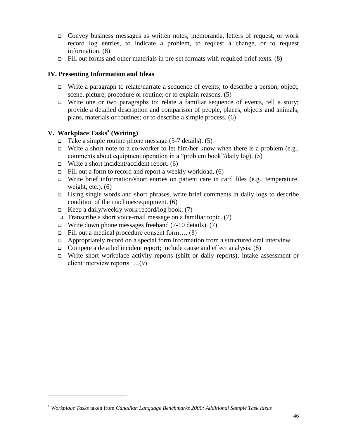- Convey business messages as written notes, memoranda, letters of request, or work record log entries, to indicate a problem, to request a change, or to request information. (8)
- Fill out forms and other materials in pre-set formats with required brief texts.  $(8)$

#### **IV. Presenting Information and Ideas**

- $\Box$  Write a paragraph to relate/narrate a sequence of events; to describe a person, object, scene, picture, procedure or routine; or to explain reasons. (5)
- $\Box$  Write one or two paragraphs to: relate a familiar sequence of events, tell a story; provide a detailed description and comparison of people, places, objects and animals, plans, materials or routines; or to describe a simple process. (6)

# **V. Workplace Tasks (Writing)**

l

- Take a simple routine phone message  $(5-7 \text{ details})$ . (5)
- Write a short note to a co-worker to let him/her know when there is a problem (e.g., comments about equipment operation in a "problem book"/daily log). (5)
- Write a short incident/accident report.  $(6)$
- Fill out a form to record and report a weekly workload.  $(6)$
- $\Box$  Write brief information/short entries on patient care in card files (e.g., temperature, weight, etc.).  $(6)$
- Using single words and short phrases, write brief comments in daily logs to describe condition of the machines/equipment. (6)
- **Example 3** Keep a daily/weekly work record/log book. (7)
- **Transcribe a short voice-mail message on a familiar topic.** (7)
- $\Box$  Write down phone messages freehand (7-10 details). (7)
- Fill out a medical procedure consent form.... $(8)$
- □ Appropriately record on a special form information from a structured oral interview.
- Compete a detailed incident report; include cause and effect analysis.  $(8)$
- $\Box$  Write short workplace activity reports (shift or daily reports); intake assessment or client interview reports ….(9)

*Workplace Tasks* taken from *Canadian Language Benchmarks 2000: Additional Sample Task Ideas*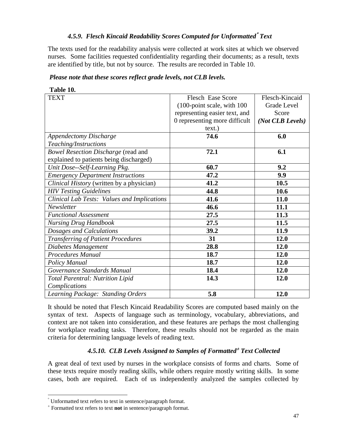# *4.5.9. Flesch Kincaid Readability Scores Computed for Unformatted Text*

The texts used for the readability analysis were collected at work sites at which we observed nurses. Some facilities requested confidentiality regarding their documents; as a result, texts are identified by title, but not by source. The results are recorded in Table 10.

| Please note that these scores reflect grade levels, not CLB levels. |  |
|---------------------------------------------------------------------|--|
|---------------------------------------------------------------------|--|

| l'able 10. |  |
|------------|--|
|            |  |

| <b>TEXT</b>                                 | <b>Flesch Ease Score</b>      | Flesch-Kincaid   |
|---------------------------------------------|-------------------------------|------------------|
|                                             | (100-point scale, with 100    | Grade Level      |
|                                             | representing easier text, and | Score            |
|                                             | 0 representing more difficult | (Not CLB Levels) |
|                                             | text.)                        |                  |
| <b>Appendectomy Discharge</b>               | 74.6                          | 6.0              |
| Teaching/Instructions                       |                               |                  |
| <b>Bowel Resection Discharge (read and</b>  | 72.1                          | 6.1              |
| explained to patients being discharged)     |                               |                  |
| Unit Dose--Self-Learning Pkg.               | 60.7                          | 9.2              |
| <b>Emergency Department Instructions</b>    | 47.2                          | 9.9              |
| Clinical History (written by a physician)   | 41.2                          | 10.5             |
| <b>HIV Testing Guidelines</b>               | 44.8                          | 10.6             |
| Clinical Lab Tests: Values and Implications | 41.6                          | 11.0             |
| Newsletter                                  | 46.6                          | 11.1             |
| <b>Functional Assessment</b>                | 27.5                          | 11.3             |
| <b>Nursing Drug Handbook</b>                | 27.5                          | 11.5             |
| Dosages and Calculations                    | 39.2                          | 11.9             |
| <b>Transferring of Patient Procedures</b>   | 31                            | 12.0             |
| Diabetes Management                         | 28.8                          | 12.0             |
| <b>Procedures Manual</b>                    | 18.7                          | 12.0             |
| Policy Manual                               | 18.7                          | 12.0             |
| Governance Standards Manual                 | 18.4                          | 12.0             |
| <b>Total Parentral: Nutrition Lipid</b>     | 14.3                          | 12.0             |
| Complications                               |                               |                  |
| Learning Package: Standing Orders           | 5.8                           | 12.0             |

It should be noted that Flesch Kincaid Readability Scores are computed based mainly on the syntax of text. Aspects of language such as terminology, vocabulary, abbreviations, and context are not taken into consideration, and these features are perhaps the most challenging for workplace reading tasks. Therefore, these results should not be regarded as the main criteria for determining language levels of reading text.

# *4.5.10. CLB Levels Assigned to Samples of Formatted Text Collected*

A great deal of text used by nurses in the workplace consists of forms and charts. Some of these texts require mostly reading skills, while others require mostly writing skills. In some cases, both are required. Each of us independently analyzed the samples collected by

l

Unformatted text refers to text in sentence/paragraph format.

Formatted text refers to text **not** in sentence/paragraph format.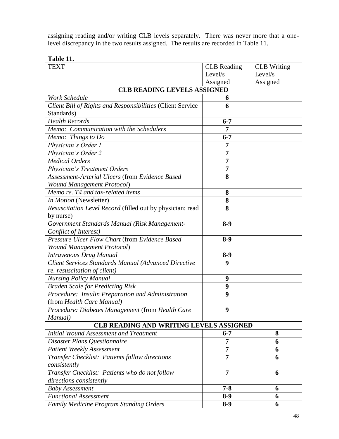assigning reading and/or writing CLB levels separately. There was never more that a onelevel discrepancy in the two results assigned. The results are recorded in Table 11.

| Table 11. |  |
|-----------|--|
|-----------|--|

| <b>TEXT</b>                                                | <b>CLB</b> Reading | <b>CLB</b> Writing |
|------------------------------------------------------------|--------------------|--------------------|
|                                                            | Level/s            | Level/s            |
|                                                            | Assigned           | Assigned           |
| <b>CLB READING LEVELS ASSIGNED</b>                         |                    |                    |
| <b>Work Schedule</b>                                       | 6                  |                    |
| Client Bill of Rights and Responsibilities (Client Service | 6                  |                    |
| Standards)                                                 |                    |                    |
| <b>Health Records</b>                                      | $6 - 7$            |                    |
| Memo: Communication with the Schedulers                    | 7                  |                    |
| Memo: Things to Do                                         | $6 - 7$            |                    |
| Physician's Order 1                                        | 7                  |                    |
| Physician's Order 2                                        | 7                  |                    |
| <b>Medical Orders</b>                                      | $\overline{7}$     |                    |
| <b>Physician's Treatment Orders</b>                        | 7                  |                    |
| Assessment-Arterial Ulcers (from Evidence Based            | 8                  |                    |
| <b>Wound Management Protocol)</b>                          |                    |                    |
| Memo re. T4 and tax-related items                          | 8                  |                    |
| In Motion (Newsletter)                                     | 8                  |                    |
| Resuscitation Level Record (filled out by physician; read  | 8                  |                    |
| by nurse)                                                  |                    |                    |
| Government Standards Manual (Risk Management-              | $8-9$              |                    |
| Conflict of Interest)                                      |                    |                    |
| Pressure Ulcer Flow Chart (from Evidence Based             | $8-9$              |                    |
| <b>Wound Management Protocol)</b>                          |                    |                    |
| Intravenous Drug Manual                                    | $8-9$              |                    |
| Client Services Standards Manual (Advanced Directive       | $\boldsymbol{9}$   |                    |
| re. resuscitation of client)                               |                    |                    |
| <b>Nursing Policy Manual</b>                               | 9                  |                    |
| <b>Braden Scale for Predicting Risk</b>                    | 9                  |                    |
| Procedure: Insulin Preparation and Administration          | 9                  |                    |
| (from Health Care Manual)                                  |                    |                    |
| Procedure: Diabetes Management (from Health Care           | 9                  |                    |
| Manual)                                                    |                    |                    |
| CLB READING AND WRITING LEVELS ASSIGNED                    |                    |                    |
| <b>Initial Wound Assessment and Treatment</b>              | $6 - 7$            | 8                  |
| Disaster Plans Questionnaire                               | 7                  | 6                  |
| <b>Patient Weekly Assessment</b>                           | 7                  | 6                  |
| Transfer Checklist: Patients follow directions             | 7                  | 6                  |
| consistently                                               |                    |                    |
| Transfer Checklist: Patients who do not follow             | $\overline{7}$     | 6                  |
| directions consistently                                    |                    |                    |
| <b>Baby Assessment</b>                                     | $7 - 8$            | 6                  |
| <b>Functional Assessment</b>                               | $8-9$              | 6                  |
| <b>Family Medicine Program Standing Orders</b>             | $8-9$              | 6                  |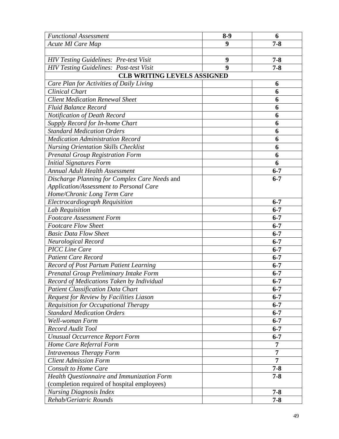| <b>Functional Assessment</b>                   | $8-9$                                                 | 6              |
|------------------------------------------------|-------------------------------------------------------|----------------|
| Acute MI Care Map                              | 9                                                     | $7 - 8$        |
|                                                |                                                       |                |
| <b>HIV Testing Guidelines: Pre-test Visit</b>  | 9                                                     | $7 - 8$        |
| <b>HIV Testing Guidelines: Post-test Visit</b> | $\boldsymbol{Q}$                                      | $7 - 8$        |
| CLB WRITING LEVELS ASSIGNED                    |                                                       |                |
| Care Plan for Activities of Daily Living       |                                                       | 6              |
| <b>Clinical Chart</b>                          |                                                       | 6              |
| <b>Client Medication Renewal Sheet</b>         |                                                       | 6              |
| <b>Fluid Balance Record</b>                    |                                                       | 6              |
| Notification of Death Record                   |                                                       | 6              |
| Supply Record for In-home Chart                |                                                       | 6              |
| <b>Standard Medication Orders</b>              |                                                       | 6              |
| <b>Medication Administration Record</b>        |                                                       | 6              |
| <b>Nursing Orientation Skills Checklist</b>    |                                                       | 6              |
| <b>Prenatal Group Registration Form</b>        |                                                       | 6              |
| <b>Initial Signatures Form</b>                 |                                                       | 6              |
| <b>Annual Adult Health Assessment</b>          |                                                       | $6 - 7$        |
| Discharge Planning for Complex Care Needs and  |                                                       | $6 - 7$        |
| Application/Assessment to Personal Care        |                                                       |                |
| Home/Chronic Long Term Care                    |                                                       |                |
| <b>Electrocardiograph Requisition</b>          |                                                       | $6 - 7$        |
| Lab Requisition                                |                                                       | $6 - 7$        |
| <b>Footcare Assessment Form</b>                |                                                       | $6 - 7$        |
| <b>Footcare Flow Sheet</b>                     |                                                       | $6 - 7$        |
| <b>Basic Data Flow Sheet</b>                   |                                                       | $6 - 7$        |
| Neurological Record                            |                                                       | $6 - 7$        |
| <b>PICC</b> Line Care                          |                                                       | $6 - 7$        |
| <b>Patient Care Record</b>                     |                                                       | $6 - 7$        |
| <b>Record of Post Partum Patient Learning</b>  |                                                       | $6 - 7$        |
| Prenatal Group Preliminary Intake Form         |                                                       | $6 - 7$        |
| Record of Medications Taken by Individual      |                                                       | $6 - 7$        |
| <b>Patient Classification Data Chart</b>       |                                                       | $6 - 7$        |
| Request for Review by Facilities Liason        |                                                       | $6 - 7$        |
| <b>Requisition for Occupational Therapy</b>    |                                                       | $6 - 7$        |
| <b>Standard Medication Orders</b>              |                                                       | $6 - 7$        |
| Well-woman Form                                |                                                       | $6 - 7$        |
| <b>Record Audit Tool</b>                       |                                                       | $6 - 7$        |
| <b>Unusual Occurrence Report Form</b>          |                                                       | $6 - 7$        |
| Home Care Referral Form                        |                                                       | $\overline{7}$ |
| Intravenous Therapy Form                       |                                                       | $\overline{7}$ |
| <b>Client Admission Form</b>                   |                                                       | $\overline{7}$ |
| <b>Consult to Home Care</b>                    |                                                       | $7 - 8$        |
|                                                | Health Questionnaire and Immunization Form<br>$7 - 8$ |                |
| (completion required of hospital employees)    |                                                       |                |
| <b>Nursing Diagnosis Index</b>                 |                                                       | $7 - 8$        |
| Rehab/Geriatric Rounds                         |                                                       | $7 - 8$        |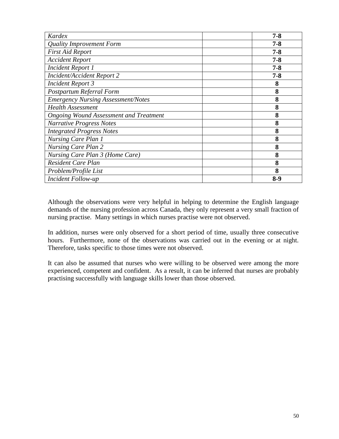| Kardex                                        | $7 - 8$ |
|-----------------------------------------------|---------|
| <b>Quality Improvement Form</b>               | $7 - 8$ |
| <b>First Aid Report</b>                       | $7 - 8$ |
| <b>Accident Report</b>                        | $7 - 8$ |
| <b>Incident Report 1</b>                      | $7 - 8$ |
| <b>Incident/Accident Report 2</b>             | $7 - 8$ |
| <b>Incident Report 3</b>                      | 8       |
| Postpartum Referral Form                      | 8       |
| <b>Emergency Nursing Assessment/Notes</b>     | 8       |
| <b>Health Assessment</b>                      | 8       |
| <b>Ongoing Wound Assessment and Treatment</b> | 8       |
| <b>Narrative Progress Notes</b>               | 8       |
| <b>Integrated Progress Notes</b>              | 8       |
| Nursing Care Plan 1                           | 8       |
| <b>Nursing Care Plan 2</b>                    | 8       |
| Nursing Care Plan 3 (Home Care)               | 8       |
| Resident Care Plan                            | 8       |
| Problem/Profile List                          | 8       |
| Incident Follow-up                            | $8-9$   |

Although the observations were very helpful in helping to determine the English language demands of the nursing profession across Canada, they only represent a very small fraction of nursing practise. Many settings in which nurses practise were not observed.

In addition, nurses were only observed for a short period of time, usually three consecutive hours. Furthermore, none of the observations was carried out in the evening or at night. Therefore, tasks specific to those times were not observed.

It can also be assumed that nurses who were willing to be observed were among the more experienced, competent and confident. As a result, it can be inferred that nurses are probably practising successfully with language skills lower than those observed.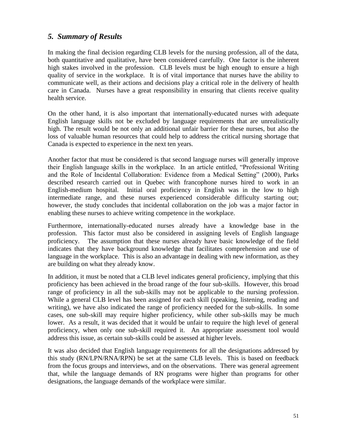# *5. Summary of Results*

In making the final decision regarding CLB levels for the nursing profession, all of the data, both quantitative and qualitative, have been considered carefully. One factor is the inherent high stakes involved in the profession. CLB levels must be high enough to ensure a high quality of service in the workplace. It is of vital importance that nurses have the ability to communicate well, as their actions and decisions play a critical role in the delivery of health care in Canada. Nurses have a great responsibility in ensuring that clients receive quality health service.

On the other hand, it is also important that internationally-educated nurses with adequate English language skills not be excluded by language requirements that are unrealistically high. The result would be not only an additional unfair barrier for these nurses, but also the loss of valuable human resources that could help to address the critical nursing shortage that Canada is expected to experience in the next ten years.

Another factor that must be considered is that second language nurses will generally improve their English language skills in the workplace. In an article entitled, "Professional Writing and the Role of Incidental Collaboration: Evidence from a Medical Setting" (2000), Parks described research carried out in Quebec with francophone nurses hired to work in an English-medium hospital. Initial oral proficiency in English was in the low to high intermediate range, and these nurses experienced considerable difficulty starting out; however, the study concludes that incidental collaboration on the job was a major factor in enabling these nurses to achieve writing competence in the workplace.

Furthermore, internationally-educated nurses already have a knowledge base in the profession. This factor must also be considered in assigning levels of English language proficiency. The assumption that these nurses already have basic knowledge of the field indicates that they have background knowledge that facilitates comprehension and use of language in the workplace. This is also an advantage in dealing with new information, as they are building on what they already know.

In addition, it must be noted that a CLB level indicates general proficiency, implying that this proficiency has been achieved in the broad range of the four sub-skills. However, this broad range of proficiency in all the sub-skills may not be applicable to the nursing profession. While a general CLB level has been assigned for each skill (speaking, listening, reading and writing), we have also indicated the range of proficiency needed for the sub-skills. In some cases, one sub-skill may require higher proficiency, while other sub-skills may be much lower. As a result, it was decided that it would be unfair to require the high level of general proficiency, when only one sub-skill required it. An appropriate assessment tool would address this issue, as certain sub-skills could be assessed at higher levels.

It was also decided that English language requirements for all the designations addressed by this study (RN/LPN/RNA/RPN) be set at the same CLB levels. This is based on feedback from the focus groups and interviews, and on the observations. There was general agreement that, while the language demands of RN programs were higher than programs for other designations, the language demands of the workplace were similar.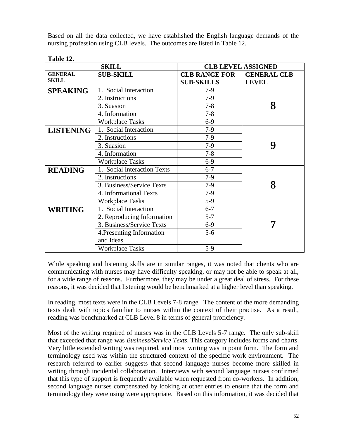Based on all the data collected, we have established the English language demands of the nursing profession using CLB levels. The outcomes are listed in Table 12.

| <b>SKILL</b>     |                             | <b>CLB LEVEL ASSIGNED</b> |                    |
|------------------|-----------------------------|---------------------------|--------------------|
| <b>GENERAL</b>   | <b>SUB-SKILL</b>            | <b>CLB RANGE FOR</b>      | <b>GENERAL CLB</b> |
| <b>SKILL</b>     |                             | <b>SUB-SKILLS</b>         | <b>LEVEL</b>       |
| <b>SPEAKING</b>  | Social Interaction          | $7-9$                     |                    |
|                  | 2. Instructions             | $7-9$                     |                    |
|                  | 3. Suasion                  | $7 - 8$                   | 8                  |
|                  | 4. Information              | $7 - 8$                   |                    |
|                  | <b>Workplace Tasks</b>      | $6-9$                     |                    |
| <b>LISTENING</b> | 1. Social Interaction       | $7-9$                     |                    |
|                  | 2. Instructions             | $7-9$                     |                    |
|                  | 3. Suasion                  | $7-9$                     | 9                  |
|                  | 4. Information              | $7 - 8$                   |                    |
|                  | <b>Workplace Tasks</b>      | $6-9$                     |                    |
| <b>READING</b>   | 1. Social Interaction Texts | $6 - 7$                   |                    |
|                  | 2. Instructions             | $7-9$                     |                    |
|                  | 3. Business/Service Texts   | $7-9$                     | 8                  |
|                  | 4. Informational Texts      | $7-9$                     |                    |
|                  | <b>Workplace Tasks</b>      | $5-9$                     |                    |
| <b>WRITING</b>   | 1. Social Interaction       | $6 - 7$                   |                    |
|                  | 2. Reproducing Information  | $5 - 7$                   |                    |
|                  | 3. Business/Service Texts   | $6-9$                     |                    |
|                  | 4. Presenting Information   | $5 - 6$                   |                    |
|                  | and Ideas                   |                           |                    |
|                  | <b>Workplace Tasks</b>      | $5-9$                     |                    |

# **Table 12.**

While speaking and listening skills are in similar ranges, it was noted that clients who are communicating with nurses may have difficulty speaking, or may not be able to speak at all, for a wide range of reasons. Furthermore, they may be under a great deal of stress. For these reasons, it was decided that listening would be benchmarked at a higher level than speaking.

In reading, most texts were in the CLB Levels 7-8 range. The content of the more demanding texts dealt with topics familiar to nurses within the context of their practise. As a result, reading was benchmarked at CLB Level 8 in terms of general proficiency.

Most of the writing required of nurses was in the CLB Levels 5-7 range. The only sub-skill that exceeded that range was *Business/Service Texts*. This category includes forms and charts. Very little extended writing was required, and most writing was in point form. The form and terminology used was within the structured context of the specific work environment. The research referred to earlier suggests that second language nurses become more skilled in writing through incidental collaboration. Interviews with second language nurses confirmed that this type of support is frequently available when requested from co-workers. In addition, second language nurses compensated by looking at other entries to ensure that the form and terminology they were using were appropriate. Based on this information, it was decided that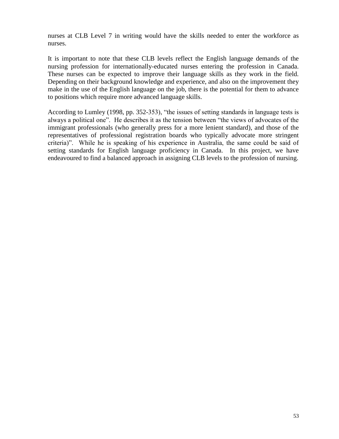nurses at CLB Level 7 in writing would have the skills needed to enter the workforce as nurses.

It is important to note that these CLB levels reflect the English language demands of the nursing profession for internationally-educated nurses entering the profession in Canada. These nurses can be expected to improve their language skills as they work in the field. Depending on their background knowledge and experience, and also on the improvement they make in the use of the English language on the job, there is the potential for them to advance to positions which require more advanced language skills.

According to Lumley (1998, pp. 352-353), "the issues of setting standards in language tests is always a political one". He describes it as the tension between "the views of advocates of the immigrant professionals (who generally press for a more lenient standard), and those of the representatives of professional registration boards who typically advocate more stringent criteria)". While he is speaking of his experience in Australia, the same could be said of setting standards for English language proficiency in Canada. In this project, we have endeavoured to find a balanced approach in assigning CLB levels to the profession of nursing.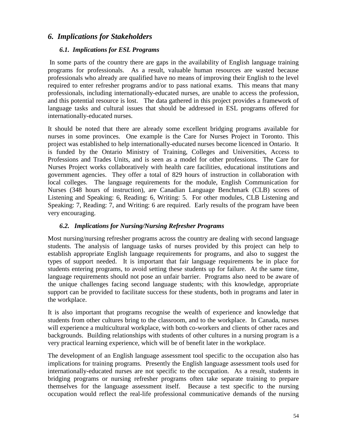# *6. Implications for Stakeholders*

#### *6.1. Implications for ESL Programs*

In some parts of the country there are gaps in the availability of English language training programs for professionals. As a result, valuable human resources are wasted because professionals who already are qualified have no means of improving their English to the level required to enter refresher programs and/or to pass national exams. This means that many professionals, including internationally-educated nurses, are unable to access the profession, and this potential resource is lost. The data gathered in this project provides a framework of language tasks and cultural issues that should be addressed in ESL programs offered for internationally-educated nurses.

It should be noted that there are already some excellent bridging programs available for nurses in some provinces. One example is the Care for Nurses Project in Toronto. This project was established to help internationally-educated nurses become licenced in Ontario. It is funded by the Ontario Ministry of Training, Colleges and Universities, Access to Professions and Trades Units, and is seen as a model for other professions. The Care for Nurses Project works collaboratively with health care facilities, educational institutions and government agencies. They offer a total of 829 hours of instruction in collaboration with local colleges. The language requirements for the module, English Communication for Nurses (348 hours of instruction), are Canadian Language Benchmark (CLB) scores of Listening and Speaking: 6, Reading: 6, Writing: 5. For other modules, CLB Listening and Speaking: 7, Reading: 7, and Writing: 6 are required. Early results of the program have been very encouraging.

## *6.2. Implications for Nursing/Nursing Refresher Programs*

Most nursing/nursing refresher programs across the country are dealing with second language students. The analysis of language tasks of nurses provided by this project can help to establish appropriate English language requirements for programs, and also to suggest the types of support needed. It is important that fair language requirements be in place for students entering programs, to avoid setting these students up for failure. At the same time, language requirements should not pose an unfair barrier. Programs also need to be aware of the unique challenges facing second language students; with this knowledge, appropriate support can be provided to facilitate success for these students, both in programs and later in the workplace.

It is also important that programs recognise the wealth of experience and knowledge that students from other cultures bring to the classroom, and to the workplace. In Canada, nurses will experience a multicultural workplace, with both co-workers and clients of other races and backgrounds. Building relationships with students of other cultures in a nursing program is a very practical learning experience, which will be of benefit later in the workplace.

The development of an English language assessment tool specific to the occupation also has implications for training programs. Presently the English language assessment tools used for internationally-educated nurses are not specific to the occupation. As a result, students in bridging programs or nursing refresher programs often take separate training to prepare themselves for the language assessment itself. Because a test specific to the nursing occupation would reflect the real-life professional communicative demands of the nursing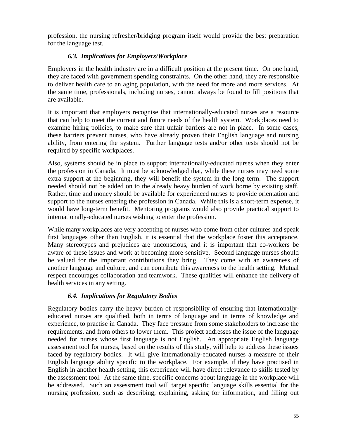profession, the nursing refresher/bridging program itself would provide the best preparation for the language test.

# *6.3. Implications for Employers/Workplace*

Employers in the health industry are in a difficult position at the present time. On one hand, they are faced with government spending constraints. On the other hand, they are responsible to deliver health care to an aging population, with the need for more and more services. At the same time, professionals, including nurses, cannot always be found to fill positions that are available.

It is important that employers recognise that internationally-educated nurses are a resource that can help to meet the current and future needs of the health system. Workplaces need to examine hiring policies, to make sure that unfair barriers are not in place. In some cases, these barriers prevent nurses, who have already proven their English language and nursing ability, from entering the system. Further language tests and/or other tests should not be required by specific workplaces.

Also, systems should be in place to support internationally-educated nurses when they enter the profession in Canada. It must be acknowledged that, while these nurses may need some extra support at the beginning, they will benefit the system in the long term. The support needed should not be added on to the already heavy burden of work borne by existing staff. Rather, time and money should be available for experienced nurses to provide orientation and support to the nurses entering the profession in Canada. While this is a short-term expense, it would have long-term benefit. Mentoring programs would also provide practical support to internationally-educated nurses wishing to enter the profession.

While many workplaces are very accepting of nurses who come from other cultures and speak first languages other than English, it is essential that the workplace foster this acceptance. Many stereotypes and prejudices are unconscious, and it is important that co-workers be aware of these issues and work at becoming more sensitive. Second language nurses should be valued for the important contributions they bring. They come with an awareness of another language and culture, and can contribute this awareness to the health setting. Mutual respect encourages collaboration and teamwork. These qualities will enhance the delivery of health services in any setting.

## *6.4. Implications for Regulatory Bodies*

Regulatory bodies carry the heavy burden of responsibility of ensuring that internationallyeducated nurses are qualified, both in terms of language and in terms of knowledge and experience, to practise in Canada. They face pressure from some stakeholders to increase the requirements, and from others to lower them. This project addresses the issue of the language needed for nurses whose first language is not English. An appropriate English language assessment tool for nurses, based on the results of this study, will help to address these issues faced by regulatory bodies. It will give internationally-educated nurses a measure of their English language ability specific to the workplace. For example, if they have practised in English in another health setting, this experience will have direct relevance to skills tested by the assessment tool. At the same time, specific concerns about language in the workplace will be addressed. Such an assessment tool will target specific language skills essential for the nursing profession, such as describing, explaining, asking for information, and filling out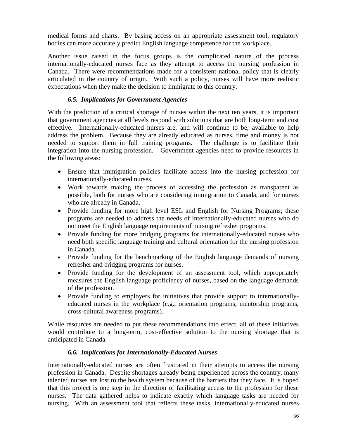medical forms and charts. By basing access on an appropriate assessment tool, regulatory bodies can more accurately predict English language competence for the workplace.

Another issue raised in the focus groups is the complicated nature of the process internationally-educated nurses face as they attempt to access the nursing profession in Canada. There were recommendations made for a consistent national policy that is clearly articulated in the country of origin. With such a policy, nurses will have more realistic expectations when they make the decision to immigrate to this country.

# *6.5. Implications for Government Agencies*

With the prediction of a critical shortage of nurses within the next ten years, it is important that government agencies at all levels respond with solutions that are both long-term and cost effective. Internationally-educated nurses are, and will continue to be, available to help address the problem. Because they are already educated as nurses, time and money is not needed to support them in full training programs. The challenge is to facilitate their integration into the nursing profession. Government agencies need to provide resources in the following areas:

- Ensure that immigration policies facilitate access into the nursing profession for internationally-educated nurses.
- Work towards making the process of accessing the profession as transparent as possible, both for nurses who are considering immigration to Canada, and for nurses who are already in Canada.
- Provide funding for more high level ESL and English for Nursing Programs; these programs are needed to address the needs of internationally-educated nurses who do not meet the English language requirements of nursing refresher programs.
- Provide funding for more bridging programs for internationally-educated nurses who need both specific language training and cultural orientation for the nursing profession in Canada.
- Provide funding for the benchmarking of the English language demands of nursing refresher and bridging programs for nurses.
- Provide funding for the development of an assessment tool, which appropriately measures the English language proficiency of nurses, based on the language demands of the profession.
- Provide funding to employers for initiatives that provide support to internationallyeducated nurses in the workplace (e.g., orientation programs, mentorship programs, cross-cultural awareness programs).

While resources are needed to put these recommendations into effect, all of these initiatives would contribute to a long-term, cost-effective solution to the nursing shortage that is anticipated in Canada.

## *6.6. Implications for Internationally-Educated Nurses*

Internationally-educated nurses are often frustrated in their attempts to access the nursing profession in Canada. Despite shortages already being experienced across the country, many talented nurses are lost to the health system because of the barriers that they face. It is hoped that this project is one step in the direction of facilitating access to the profession for these nurses. The data gathered helps to indicate exactly which language tasks are needed for nursing. With an assessment tool that reflects these tasks, internationally-educated nurses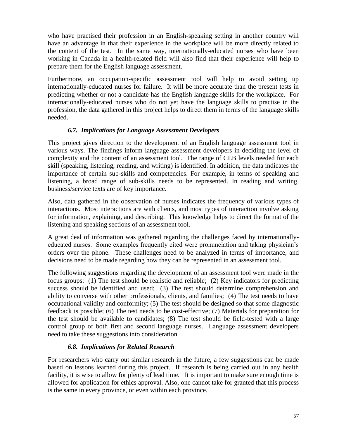who have practised their profession in an English-speaking setting in another country will have an advantage in that their experience in the workplace will be more directly related to the content of the test. In the same way, internationally-educated nurses who have been working in Canada in a health-related field will also find that their experience will help to prepare them for the English language assessment.

Furthermore, an occupation-specific assessment tool will help to avoid setting up internationally-educated nurses for failure. It will be more accurate than the present tests in predicting whether or not a candidate has the English language skills for the workplace. For internationally-educated nurses who do not yet have the language skills to practise in the profession, the data gathered in this project helps to direct them in terms of the language skills needed.

## *6.7. Implications for Language Assessment Developers*

This project gives direction to the development of an English language assessment tool in various ways. The findings inform language assessment developers in deciding the level of complexity and the content of an assessment tool. The range of CLB levels needed for each skill (speaking, listening, reading, and writing) is identified. In addition, the data indicates the importance of certain sub-skills and competencies. For example, in terms of speaking and listening, a broad range of sub-skills needs to be represented. In reading and writing, business/service texts are of key importance.

Also, data gathered in the observation of nurses indicates the frequency of various types of interactions. Most interactions are with clients, and most types of interaction involve asking for information, explaining, and describing. This knowledge helps to direct the format of the listening and speaking sections of an assessment tool.

A great deal of information was gathered regarding the challenges faced by internationallyeducated nurses. Some examples frequently cited were pronunciation and taking physician"s orders over the phone. These challenges need to be analyzed in terms of importance, and decisions need to be made regarding how they can be represented in an assessment tool.

The following suggestions regarding the development of an assessment tool were made in the focus groups: (1) The test should be realistic and reliable; (2) Key indicators for predicting success should be identified and used; (3) The test should determine comprehension and ability to converse with other professionals, clients, and families; (4) The test needs to have occupational validity and conformity; (5) The test should be designed so that some diagnostic feedback is possible; (6) The test needs to be cost-effective; (7) Materials for preparation for the test should be available to candidates; (8) The test should be field-tested with a large control group of both first and second language nurses. Language assessment developers need to take these suggestions into consideration.

## *6.8. Implications for Related Research*

For researchers who carry out similar research in the future, a few suggestions can be made based on lessons learned during this project. If research is being carried out in any health facility, it is wise to allow for plenty of lead time. It is important to make sure enough time is allowed for application for ethics approval. Also, one cannot take for granted that this process is the same in every province, or even within each province.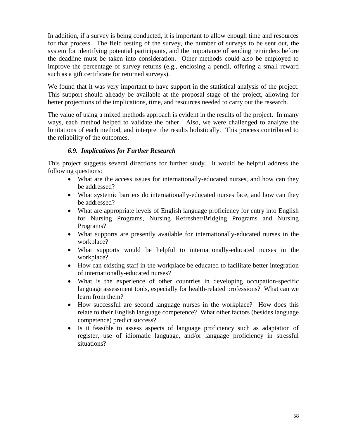In addition, if a survey is being conducted, it is important to allow enough time and resources for that process. The field testing of the survey, the number of surveys to be sent out, the system for identifying potential participants, and the importance of sending reminders before the deadline must be taken into consideration. Other methods could also be employed to improve the percentage of survey returns (e.g., enclosing a pencil, offering a small reward such as a gift certificate for returned surveys).

We found that it was very important to have support in the statistical analysis of the project. This support should already be available at the proposal stage of the project, allowing for better projections of the implications, time, and resources needed to carry out the research.

The value of using a mixed methods approach is evident in the results of the project. In many ways, each method helped to validate the other. Also, we were challenged to analyze the limitations of each method, and interpret the results holistically. This process contributed to the reliability of the outcomes.

## *6.9. Implications for Further Research*

This project suggests several directions for further study. It would be helpful address the following questions:

- What are the access issues for internationally-educated nurses, and how can they be addressed?
- What systemic barriers do internationally-educated nurses face, and how can they be addressed?
- What are appropriate levels of English language proficiency for entry into English for Nursing Programs, Nursing Refresher/Bridging Programs and Nursing Programs?
- What supports are presently available for internationally-educated nurses in the workplace?
- What supports would be helpful to internationally-educated nurses in the workplace?
- How can existing staff in the workplace be educated to facilitate better integration of internationally-educated nurses?
- What is the experience of other countries in developing occupation-specific language assessment tools, especially for health-related professions? What can we learn from them?
- How successful are second language nurses in the workplace? How does this relate to their English language competence? What other factors (besides language competence) predict success?
- Is it feasible to assess aspects of language proficiency such as adaptation of register, use of idiomatic language, and/or language proficiency in stressful situations?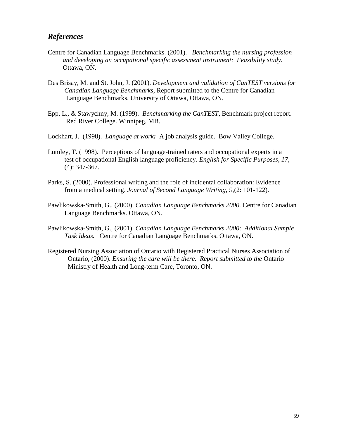# *References*

- Centre for Canadian Language Benchmarks. (2001). *Benchmarking the nursing profession and developing an occupational specific assessment instrument: Feasibility study.*  Ottawa, ON.
- Des Brisay, M. and St. John, J. (2001). *Development and validation of CanTEST versions for Canadian Language Benchmarks*, Report submitted to the Centre for Canadian Language Benchmarks. University of Ottawa, Ottawa, ON.
- Epp, L., & Stawychny, M. (1999). *Benchmarking the CanTEST*, Benchmark project report. Red River College. Winnipeg, MB.
- Lockhart, J. (1998). *Language at work:* A job analysis guide. Bow Valley College.
- Lumley, T. (1998). Perceptions of language-trained raters and occupational experts in a test of occupational English language proficiency. *English for Specific Purposes*, *17*, (4): 347-367.
- Parks, S. (2000). Professional writing and the role of incidental collaboration: Evidence from a medical setting. *Journal of Second Language Writing, 9,*(2: 101-122).
- Pawlikowska-Smith, G., (2000). *Canadian Language Benchmarks 2000*. Centre for Canadian Language Benchmarks. Ottawa, ON.
- Pawlikowska-Smith, G., (2001). *Canadian Language Benchmarks 2000*: *Additional Sample Task Ideas.* Centre for Canadian Language Benchmarks. Ottawa, ON.
- Registered Nursing Association of Ontario with Registered Practical Nurses Association of Ontario, (2000). *Ensuring the care will be there. Report submitted to the* Ontario Ministry of Health and Long-term Care, Toronto, ON.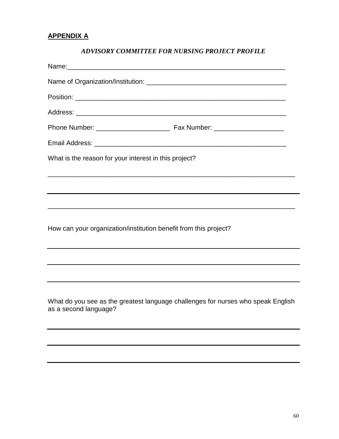# **APPENDIX A**

# *ADVISORY COMMITTEE FOR NURSING PROJECT PROFILE*

| Name: Name:                                                                                                                                          |
|------------------------------------------------------------------------------------------------------------------------------------------------------|
|                                                                                                                                                      |
|                                                                                                                                                      |
|                                                                                                                                                      |
|                                                                                                                                                      |
|                                                                                                                                                      |
| What is the reason for your interest in this project?                                                                                                |
|                                                                                                                                                      |
| ,我们也不会有什么?""我们的人,我们也不会有什么?""我们的人,我们也不会有什么?""我们的人,我们也不会有什么?""我们的人,我们也不会有什么?""我们的人                                                                     |
| ,我们也不能在这里的时候,我们也不能在这里的时候,我们也不能在这里的时候,我们也不能会不能会不能会不能会不能会不能会不能会。""我们的人们也不能会不能会不能会不                                                                     |
| How can your organization/institution benefit from this project?<br>,我们也不会有什么。""我们的人,我们也不会有什么?""我们的人,我们也不会有什么?""我们的人,我们也不会有什么?""我们的人,我们也不会有什么?""我们的人 |
|                                                                                                                                                      |
| ,我们也不会有什么。""我们的人,我们也不会有什么?""我们的人,我们也不会有什么?""我们的人,我们也不会有什么?""我们的人,我们也不会有什么?""我们的人                                                                     |
| What do you see as the greatest language challenges for nurses who speak English<br>as a second language?                                            |
|                                                                                                                                                      |
|                                                                                                                                                      |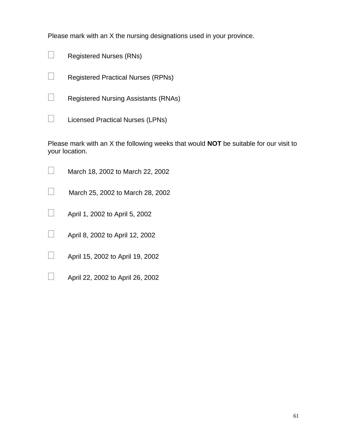Please mark with an X the nursing designations used in your province.

| $\Box$ | <b>Registered Nurses (RNs)</b> |  |
|--------|--------------------------------|--|
|        |                                |  |

Registered Practical Nurses (RPNs)

 $\Box$  Registered Nursing Assistants (RNAs)

 $\Box$  Licensed Practical Nurses (LPNs)

Please mark with an X the following weeks that would **NOT** be suitable for our visit to your location.

| $\Box$ | March 18, 2002 to March 22, 2002 |
|--------|----------------------------------|
|        |                                  |

 $\Box$  March 25, 2002 to March 28, 2002

- $\Box$  April 1, 2002 to April 5, 2002
- $\Box$  April 8, 2002 to April 12, 2002
- $\Box$  April 15, 2002 to April 19, 2002
- $\Box$  April 22, 2002 to April 26, 2002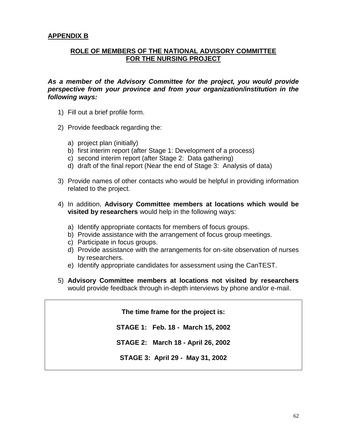## **ROLE OF MEMBERS OF THE NATIONAL ADVISORY COMMITTEE FOR THE NURSING PROJECT**

*As a member of the Advisory Committee for the project, you would provide perspective from your province and from your organization/institution in the following ways:*

- 1) Fill out a brief profile form.
- 2) Provide feedback regarding the:
	- a) project plan (initially)
	- b) first interim report (after Stage 1: Development of a process)
	- c) second interim report (after Stage 2: Data gathering)
	- d) draft of the final report (Near the end of Stage 3: Analysis of data)
- 3) Provide names of other contacts who would be helpful in providing information related to the project.
- 4) In addition, **Advisory Committee members at locations which would be visited by researchers** would help in the following ways:
	- a) Identify appropriate contacts for members of focus groups.
	- b) Provide assistance with the arrangement of focus group meetings.
	- c) Participate in focus groups.
	- d) Provide assistance with the arrangements for on-site observation of nurses by researchers.
	- e) Identify appropriate candidates for assessment using the CanTEST.
- 5) **Advisory Committee members at locations not visited by researchers** would provide feedback through in-depth interviews by phone and/or e-mail.

**The time frame for the project is:**

**STAGE 1: Feb. 18 - March 15, 2002**

**STAGE 2: March 18 - April 26, 2002**

**STAGE 3: April 29 - May 31, 2002**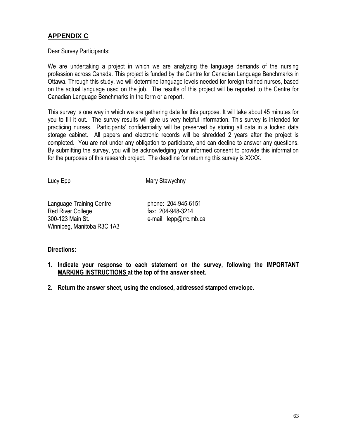# **APPENDIX C**

Dear Survey Participants:

We are undertaking a project in which we are analyzing the language demands of the nursing profession across Canada. This project is funded by the Centre for Canadian Language Benchmarks in Ottawa. Through this study, we will determine language levels needed for foreign trained nurses, based on the actual language used on the job. The results of this project will be reported to the Centre for Canadian Language Benchmarks in the form or a report.

This survey is one way in which we are gathering data for this purpose. It will take about 45 minutes for you to fill it out. The survey results will give us very helpful information. This survey is intended for practicing nurses. Participants' confidentiality will be preserved by storing all data in a locked data storage cabinet. All papers and electronic records will be shredded 2 years after the project is completed. You are not under any obligation to participate, and can decline to answer any questions. By submitting the survey, you will be acknowledging your informed consent to provide this information for the purposes of this research project. The deadline for returning this survey is XXXX.

Lucy Epp Mary Stawychny

| <b>Language Training Centre</b> |
|---------------------------------|
| <b>Red River College</b>        |
| 300-123 Main St.                |
| Winnipeg, Manitoba R3C 1A3      |

phone: 204-945-6151 fax: 204-948-3214 e-mail: lepp@rrc.mb.ca

## **Directions:**

- **1. Indicate your response to each statement on the survey, following the IMPORTANT MARKING INSTRUCTIONS at the top of the answer sheet.**
- **2. Return the answer sheet, using the enclosed, addressed stamped envelope.**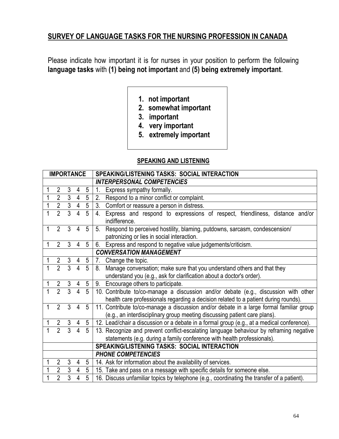# **SURVEY OF LANGUAGE TASKS FOR THE NURSING PROFESSION IN CANADA**

Please indicate how important it is for nurses in your position to perform the following **language tasks** with **(1) being not important** and **(5) being extremely important**.

- **1. not important**
- **2. somewhat important**
- **3. important**
- **4. very important**
- **5. extremely important**

## **SPEAKING AND LISTENING**

| <b>IMPORTANCE</b> |                |                |                |                 | SPEAKING/LISTENING TASKS: SOCIAL INTERACTION                                                        |
|-------------------|----------------|----------------|----------------|-----------------|-----------------------------------------------------------------------------------------------------|
|                   |                |                |                |                 | <b>INTERPERSONAL COMPETENCIES</b>                                                                   |
|                   | $\overline{2}$ | $\mathfrak{Z}$ | 4              | 5               | 1.<br>Express sympathy formally.                                                                    |
| 1                 | $\overline{2}$ | $\overline{3}$ | $\overline{4}$ | $\overline{5}$  | Respond to a minor conflict or complaint.<br>2.                                                     |
|                   | $\overline{2}$ | $\overline{3}$ |                | $4\quad5$       | 3.<br>Comfort or reassure a person in distress.                                                     |
|                   | $\overline{2}$ | $\overline{3}$ | $\overline{4}$ | $\overline{5}$  | Express and respond to expressions of respect, friendliness, distance and/or<br>4.<br>indifference. |
| 1                 | $\overline{2}$ | 3              | 4              | 5               | Respond to perceived hostility, blaming, putdowns, sarcasm, condescension/<br>5.                    |
|                   |                |                |                |                 | patronizing or lies in social interaction.                                                          |
| 1                 | $\overline{2}$ | 3              | 4              | 5               | 6.<br>Express and respond to negative value judgements/criticism.                                   |
|                   |                |                |                |                 | <b>CONVERSATION MANAGEMENT</b>                                                                      |
|                   | $\overline{2}$ | $\mathfrak{Z}$ | 4              | $5\overline{)}$ | Change the topic.<br>7.                                                                             |
|                   | $\overline{2}$ | $\overline{3}$ | 4              | 5               | Manage conversation; make sure that you understand others and that they<br>8.                       |
|                   |                |                |                |                 | understand you (e.g., ask for clarification about a doctor's order).                                |
|                   | $\overline{2}$ | $\mathfrak{Z}$ | $\overline{4}$ | $5\phantom{.0}$ | Encourage others to participate.<br>9.                                                              |
|                   | $\overline{2}$ | $\overline{3}$ | $\overline{4}$ | 5               | 10. Contribute to/co-manage a discussion and/or debate (e.g., discussion with other                 |
|                   |                |                |                |                 | health care professionals regarding a decision related to a patient during rounds).                 |
| 1                 | $\overline{2}$ | 3              | 4              | 5               | 11. Contribute to/co-manage a discussion and/or debate in a large formal familiar group             |
|                   |                |                |                |                 | (e.g., an interdisciplinary group meeting discussing patient care plans).                           |
|                   | 2 <sup>7</sup> | $\mathfrak{Z}$ | 4              | $5\overline{)}$ | 12. Lead/chair a discussion or a debate in a formal group (e.g., at a medical conference).          |
|                   | $\overline{2}$ |                | $\overline{4}$ | 5               | 13. Recognize and prevent conflict-escalating language behaviour by reframing negative              |
|                   |                |                |                |                 | statements (e.g. during a family conference with health professionals).                             |
|                   |                |                |                |                 | SPEAKING/LISTENING TASKS: SOCIAL INTERACTION                                                        |
|                   |                |                |                |                 | <b>PHONE COMPETENCIES</b>                                                                           |
| 1                 | $\overline{2}$ | $\mathfrak{Z}$ | 4              | 5               | 14. Ask for information about the availability of services.                                         |
|                   | $\overline{2}$ | 3              | 4              | 5 <sup>5</sup>  | 15. Take and pass on a message with specific details for someone else.                              |
| 1                 | $\overline{2}$ | 3              | 4              | 5               | 16. Discuss unfamiliar topics by telephone (e.g., coordinating the transfer of a patient).          |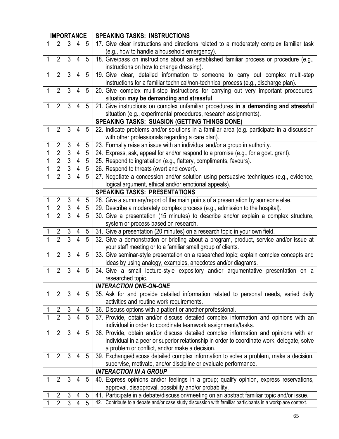| <b>IMPORTANCE</b> |                |                |                |                 | <b>SPEAKING TASKS: INSTRUCTIONS</b>                                                                        |
|-------------------|----------------|----------------|----------------|-----------------|------------------------------------------------------------------------------------------------------------|
| $\mathbf{1}$      | 2              | 3              | 4              | 5               | 17. Give clear instructions and directions related to a moderately complex familiar task                   |
|                   |                |                |                |                 | (e.g., how to handle a household emergency).                                                               |
| $\mathbf{1}$      | 2              | 3              | 4              | 5               | 18. Give/pass on instructions about an established familiar process or procedure (e.g.,                    |
|                   |                |                |                |                 | instructions on how to change dressing).                                                                   |
| $\mathbf{1}$      | $\overline{2}$ | 3              | 4              | 5               | 19. Give clear, detailed information to someone to carry out complex multi-step                            |
|                   |                |                |                |                 | instructions for a familiar technical/non-technical process (e.g., discharge plan).                        |
| $\mathbf 1$       | 2              | 3              | 4              | 5               | 20. Give complex multi-step instructions for carrying out very important procedures;                       |
|                   |                |                |                |                 | situation may be demanding and stressful.                                                                  |
| $\mathbf{1}$      | $\overline{2}$ | $\overline{3}$ | 4              | $5\phantom{.0}$ | 21. Give instructions on complex unfamiliar procedures in a demanding and stressful                        |
|                   |                |                |                |                 | situation (e.g., experimental procedures, research assignments).                                           |
|                   |                |                |                |                 | <b>SPEAKING TASKS: SUASION (GETTING THINGS DONE)</b>                                                       |
| 1                 | $\overline{2}$ | 3              | 4              | 5               | 22. Indicate problems and/or solutions in a familiar area (e.g. participate in a discussion                |
|                   |                |                |                |                 | with other professionals regarding a care plan).                                                           |
| 1                 | $\overline{2}$ | 3              | 4              | 5               | 23. Formally raise an issue with an individual and/or a group in authority.                                |
| 1                 | $\overline{2}$ | $\overline{3}$ | 4              | 5               | 24. Express, ask, appeal for and/or respond to a promise (e.g., for a govt. grant).                        |
| 1                 | $\overline{2}$ | $\overline{3}$ | $\overline{4}$ | $5\phantom{.0}$ | 25. Respond to ingratiation (e.g., flattery, compliments, favours).                                        |
| 1                 | $\overline{2}$ | $\overline{3}$ | $\overline{4}$ | $5\phantom{.0}$ | 26. Respond to threats (overt and covert).                                                                 |
| 1                 | $\overline{2}$ | $\overline{3}$ | $\overline{4}$ | 5               | 27. Negotiate a concession and/or solution using persuasive techniques (e.g., evidence,                    |
|                   |                |                |                |                 | logical argument, ethical and/or emotional appeals).                                                       |
|                   |                |                |                |                 | <b>SPEAKING TASKS: PRESENTATIONS</b>                                                                       |
| 1                 | $\overline{2}$ | $\mathfrak{Z}$ | $\overline{4}$ | 5               | 28. Give a summary/report of the main points of a presentation by someone else.                            |
| $\mathbf 1$       | $\overline{2}$ | $\overline{3}$ | $\overline{4}$ | $5\phantom{.0}$ | 29. Describe a moderately complex process (e.g., admission to the hospital).                               |
|                   | $\overline{2}$ | $\overline{3}$ | $\overline{4}$ | $\overline{5}$  | 30. Give a presentation (15 minutes) to describe and/or explain a complex structure,                       |
|                   |                |                |                |                 | system or process based on research.                                                                       |
|                   |                | $\frac{3}{3}$  |                | 5               | 31. Give a presentation (20 minutes) on a research topic in your own field.                                |
| $\overline{1}$    | $rac{2}{2}$    |                | $\overline{4}$ | $\overline{5}$  | 32. Give a demonstration or briefing about a program, product, service and/or issue at                     |
|                   |                |                |                |                 | your staff meeting or to a familiar small group of clients.                                                |
| $\mathbf{1}$      | $\overline{2}$ | 3              | 4              | $5\phantom{.}$  | 33. Give seminar-style presentation on a researched topic; explain complex concepts and                    |
|                   |                |                |                |                 | ideas by using analogy, examples, anecdotes and/or diagrams.                                               |
| 1                 | $\overline{2}$ | 3              | 4              | 5               | 34. Give a small lecture-style expository and/or argumentative presentation on a                           |
|                   |                |                |                |                 | researched topic.                                                                                          |
|                   |                |                |                |                 | <b>INTERACTION ONE-ON-ONE</b>                                                                              |
| 1                 | $\overline{2}$ | 3              | 4              | 5               | 35. Ask for and provide detailed information related to personal needs, varied daily                       |
|                   |                |                |                |                 | activities and routine work requirements.                                                                  |
|                   | $\overline{2}$ | 3              | 4              | 5               | 36. Discuss options with a patient or another professional.                                                |
|                   | $\overline{2}$ | $\overline{3}$ | $\overline{4}$ | 5               | 37. Provide, obtain and/or discuss detailed complex information and opinions with an                       |
|                   |                |                |                |                 | individual in order to coordinate teamwork assignments/tasks.                                              |
| 1                 | $\overline{2}$ | 3              | 4              | 5               | 38. Provide, obtain and/or discuss detailed complex information and opinions with an                       |
|                   |                |                |                |                 | individual in a peer or superior relationship in order to coordinate work, delegate, solve                 |
|                   |                |                |                |                 | a problem or conflict, and/or make a decision.                                                             |
| 1                 | $\overline{2}$ | 3              | 4              | 5               | 39. Exchange/discuss detailed complex information to solve a problem, make a decision,                     |
|                   |                |                |                |                 | supervise, motivate, and/or discipline or evaluate performance.                                            |
|                   |                |                |                |                 | <b>INTERACTION IN A GROUP</b>                                                                              |
|                   | $\overline{2}$ | 3              | 4              | 5               | 40. Express opinions and/or feelings in a group; qualify opinion, express reservations,                    |
|                   |                |                |                |                 | approval, disapproval, possibility and/or probability.                                                     |
|                   | $\overline{2}$ | 3              | 4              | 5               | 41. Participate in a debate/discussion/meeting on an abstract familiar topic and/or issue.                 |
|                   | $\overline{2}$ | $\overline{3}$ | 4              | $\overline{5}$  | 42. Contribute to a debate and/or case study discussion with familiar participants in a workplace context. |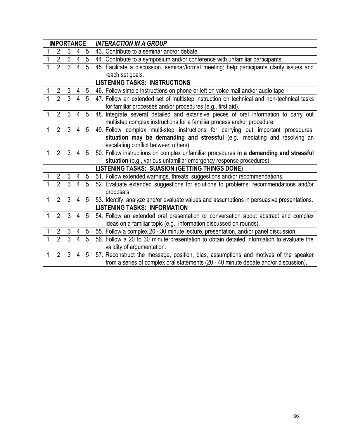| <b>IMPORTANCE</b> |                |                |                |                | <b>INTERACTION IN A GROUP</b>                                                             |  |  |  |  |
|-------------------|----------------|----------------|----------------|----------------|-------------------------------------------------------------------------------------------|--|--|--|--|
|                   | 2              | 3              | 4              | 5              | 43. Contribute to a seminar and/or debate.                                                |  |  |  |  |
| 1                 | $\overline{2}$ | $\overline{3}$ | $\overline{4}$ | $\overline{5}$ | 44. Contribute to a symposium and/or conference with unfamiliar participants.             |  |  |  |  |
|                   | $\overline{2}$ | $\overline{3}$ | $\overline{4}$ | 5              | 45. Facilitate a discussion, seminar/formal meeting; help participants clarify issues and |  |  |  |  |
|                   |                |                |                |                | reach set goals.                                                                          |  |  |  |  |
|                   |                |                |                |                | <b>LISTENING TASKS: INSTRUCTIONS</b>                                                      |  |  |  |  |
| 1                 | $\overline{2}$ | $\overline{3}$ | 4              | 5              | 46. Follow simple instructions on phone or left on voice mail and/or audio tape.          |  |  |  |  |
|                   | $\overline{2}$ | $\overline{3}$ | $\overline{4}$ | 5              | 47. Follow an extended set of multistep instruction on technical and non-technical tasks  |  |  |  |  |
|                   |                |                |                |                | for familiar processes and/or procedures (e.g., first aid).                               |  |  |  |  |
| 1                 | $\overline{2}$ | $\overline{3}$ | $\overline{4}$ | 5              | 48. Integrate several detailed and extensive pieces of oral information to carry out      |  |  |  |  |
|                   |                |                |                |                | multistep complex instructions for a familiar process and/or procedure.                   |  |  |  |  |
| 1                 | $\overline{2}$ | $\overline{3}$ | $\overline{4}$ | 5              | 49. Follow complex multi-step instructions for carrying out important procedures;         |  |  |  |  |
|                   |                |                |                |                | situation may be demanding and stressful (e.g., mediating and resolving an                |  |  |  |  |
|                   |                |                |                |                | escalating conflict between others).                                                      |  |  |  |  |
| 1                 | $2^{\circ}$    | $\mathcal{S}$  | $\overline{4}$ | 5              | 50. Follow instructions on complex unfamiliar procedures in a demanding and stressful     |  |  |  |  |
|                   |                |                |                |                | situation (e.g., various unfamiliar emergency response procedures).                       |  |  |  |  |
|                   |                |                |                |                | <b>LISTENING TASKS: SUASION (GETTING THINGS DONE)</b>                                     |  |  |  |  |
|                   | $\overline{2}$ | $\mathfrak{Z}$ | 4              | 5              | 51. Follow extended warnings, threats, suggestions and/or recommendations.                |  |  |  |  |
|                   | $\overline{2}$ | $\overline{3}$ | $\overline{4}$ | 5              | 52. Evaluate extended suggestions for solutions to problems, recommendations and/or       |  |  |  |  |
|                   |                |                |                |                | proposals.                                                                                |  |  |  |  |
| 1                 | $\overline{2}$ | $\overline{3}$ | 4              | 5              | 53. Identify, analyze and/or evaluate values and assumptions in persuasive presentations. |  |  |  |  |
|                   |                |                |                |                | <b>LISTENING TASKS: INFORMATION</b>                                                       |  |  |  |  |
| 1                 | $\overline{2}$ | $\overline{3}$ | $\overline{4}$ | 5              | 54. Follow an extended oral presentation or conversation about abstract and complex       |  |  |  |  |
|                   |                |                |                |                | ideas on a familiar topic (e.g., information discussed on rounds).                        |  |  |  |  |
|                   | $\overline{2}$ | 3              | 4              | 5              | 55. Follow a complex 20 - 30 minute lecture, presentation, and/or panel discussion.       |  |  |  |  |
| $\overline{1}$    | $\overline{2}$ | $\overline{3}$ | $\overline{4}$ | 5              | 56. Follow a 20 to 30 minute presentation to obtain detailed information to evaluate the  |  |  |  |  |
|                   |                |                |                |                | validity of argumentation.                                                                |  |  |  |  |
| 1                 | $\overline{2}$ | 3              | 4              | 5              | 57. Reconstruct the message, position, bias, assumptions and motives of the speaker       |  |  |  |  |
|                   |                |                |                |                | from a series of complex oral statements (20 - 40 minute debate and/or discussion).       |  |  |  |  |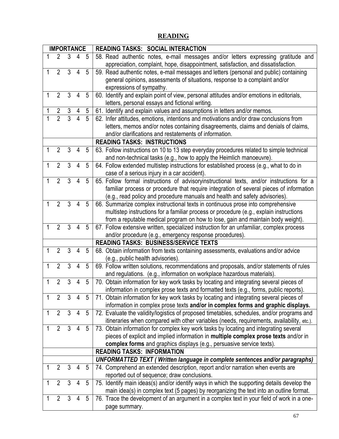# **READING**

| <b>IMPORTANCE</b> |                                                         |                |                |                | <b>READING TASKS: SOCIAL INTERACTION</b>                                                                                                                               |
|-------------------|---------------------------------------------------------|----------------|----------------|----------------|------------------------------------------------------------------------------------------------------------------------------------------------------------------------|
| 1                 | $\overline{2}$                                          | 3              | 4              | 5              | 58. Read authentic notes, e-mail messages and/or letters expressing gratitude and<br>appreciation, complaint, hope, disappointment, satisfaction, and dissatisfaction. |
| 1                 | $\overline{2}$                                          | 3              | 4              | 5              | 59. Read authentic notes, e-mail messages and letters (personal and public) containing                                                                                 |
|                   |                                                         |                |                |                | general opinions, assessments of situations, response to a complaint and/or                                                                                            |
|                   |                                                         |                |                |                | expressions of sympathy.                                                                                                                                               |
| 1                 | $\overline{2}$                                          | 3              | 4              | 5              | 60. Identify and explain point of view, personal attitudes and/or emotions in editorials,                                                                              |
|                   |                                                         |                |                |                | letters, personal essays and fictional writing.                                                                                                                        |
|                   | $\overline{2}$                                          | 3              |                | 5              | 61. Identify and explain values and assumptions in letters and/or memos.                                                                                               |
|                   | $\overline{2}$                                          | $\overline{3}$ | $\overline{4}$ | $\overline{5}$ | 62. Infer attitudes, emotions, intentions and motivations and/or draw conclusions from                                                                                 |
|                   |                                                         |                |                |                | letters, memos and/or notes containing disagreements, claims and denials of claims,                                                                                    |
|                   |                                                         |                |                |                | and/or clarifications and restatements of information.                                                                                                                 |
|                   |                                                         |                |                |                | <b>READING TASKS: INSTRUCTIONS</b>                                                                                                                                     |
| 1                 | $\overline{2}$                                          | 3              | 4              | 5              | 63. Follow instructions on 10 to 13 step everyday procedures related to simple technical                                                                               |
|                   |                                                         |                |                |                | and non-technical tasks (e.g., how to apply the Heimlich manoeuvre).                                                                                                   |
| 1                 | $\overline{2}$                                          | 3              | 4              | 5              | 64. Follow extended multistep instructions for established process (e.g., what to do in                                                                                |
|                   |                                                         |                |                |                | case of a serious injury in a car accident).                                                                                                                           |
| 1                 | $\overline{2}$                                          | 3              | 4              | 5              | 65. Follow formal instructions of advisoryinstructional texts, and/or instructions for a                                                                               |
|                   |                                                         |                |                |                | familiar process or procedure that require integration of several pieces of information                                                                                |
|                   |                                                         |                |                |                | (e.g., read policy and procedure manuals and health and safety advisories).                                                                                            |
| 1                 | $\overline{2}$                                          | 3              | 4              | 5              | 66. Summarize complex instructional texts in continuous prose into comprehensive                                                                                       |
|                   |                                                         |                |                |                | multistep instructions for a familiar process or procedure (e.g., explain instructions                                                                                 |
|                   |                                                         |                |                |                | from a reputable medical program on how to lose, gain and maintain body weight).                                                                                       |
| 1                 | $\overline{2}$                                          | 3              | 4              | 5              | 67. Follow extensive written, specialized instruction for an unfamiliar, complex process                                                                               |
|                   | and/or procedure (e.g., emergency response procedures). |                |                |                |                                                                                                                                                                        |
|                   |                                                         |                |                |                | <b>READING TASKS: BUSINESS/SERVICE TEXTS</b>                                                                                                                           |
| 1                 | $\overline{2}$                                          | 3              | 4              | 5              | 68. Obtain information from texts containing assessments, evaluations and/or advice<br>(e.g., public health advisories).                                               |
| 1                 | $\overline{2}$                                          | 3              | 4              | 5              | 69. Follow written solutions, recommendations and proposals, and/or statements of rules                                                                                |
|                   |                                                         |                |                |                | and regulations. (e.g., information on workplace hazardous materials).                                                                                                 |
| 1                 | $\overline{2}$                                          | 3              | 4              | 5              | 70. Obtain information for key work tasks by locating and integrating several pieces of                                                                                |
|                   |                                                         |                |                |                | information in complex prose texts and formatted texts (e.g., forms, public reports).                                                                                  |
| 1                 | $\overline{2}$                                          | $\mathfrak{Z}$ | 4              | 5              | 71. Obtain information for key work tasks by locating and integrating several pieces of                                                                                |
|                   |                                                         |                |                |                | information in complex prose texts and/or in complex forms and graphic displays.                                                                                       |
| 1                 | $\overline{2}$                                          | $\mathfrak{Z}$ | $\overline{4}$ | 5              | 72. Evaluate the validity/logistics of proposed timetables, schedules, and/or programs and                                                                             |
|                   |                                                         |                |                |                | itineraries when compared with other variables (needs, requirements, availability, etc.).                                                                              |
| 1                 | $\overline{2}$                                          | $\mathfrak{Z}$ | 4              | 5              | 73. Obtain information for complex key work tasks by locating and integrating several                                                                                  |
|                   |                                                         |                |                |                | pieces of explicit and implied information in multiple complex prose texts and/or in                                                                                   |
|                   |                                                         |                |                |                | complex forms and graphics displays (e.g., persuasive service texts).                                                                                                  |
|                   |                                                         |                |                |                | <b>READING TASKS: INFORMATION</b>                                                                                                                                      |
|                   |                                                         |                |                |                | UNFORMATTED TEXT (Written language in complete sentences and/or paragraphs)                                                                                            |
| 1                 | $\overline{2}$                                          | 3              | 4              | 5              | 74. Comprehend an extended description, report and/or narration when events are                                                                                        |
|                   |                                                         |                |                |                | reported out of sequence; draw conclusions.                                                                                                                            |
| 1                 | $\overline{2}$                                          | 3              | 4              | 5              | 75. Identify main ideas(s) and/or identify ways in which the supporting details develop the                                                                            |
|                   |                                                         |                |                |                | main idea(s) in complex text (5 pages) by reorganizing the text into an outline format.                                                                                |
| 1                 | $\overline{2}$                                          | 3              | 4              | 5              | 76. Trace the development of an argument in a complex text in your field of work in a one-                                                                             |
|                   |                                                         |                |                |                | page summary.                                                                                                                                                          |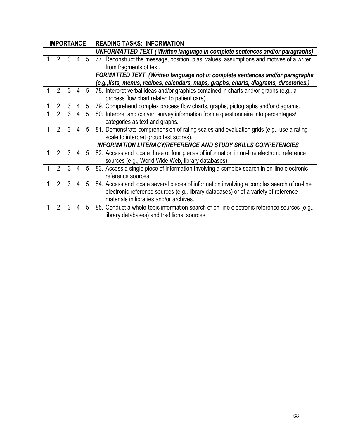|  | <b>IMPORTANCE</b>                                                                                                                                       |                     |                |                | <b>READING TASKS: INFORMATION</b>                                                           |
|--|---------------------------------------------------------------------------------------------------------------------------------------------------------|---------------------|----------------|----------------|---------------------------------------------------------------------------------------------|
|  |                                                                                                                                                         |                     |                |                | UNFORMATTED TEXT (Written language in complete sentences and/or paragraphs)                 |
|  | $\mathfrak{D}$                                                                                                                                          | 3                   | $\overline{4}$ | $\overline{5}$ | 77. Reconstruct the message, position, bias, values, assumptions and motives of a writer    |
|  |                                                                                                                                                         |                     |                |                | from fragments of text.                                                                     |
|  |                                                                                                                                                         |                     |                |                | FORMATTED TEXT (Written language not in complete sentences and/or paragraphs                |
|  |                                                                                                                                                         |                     |                |                | (e.g., lists, menus, recipes, calendars, maps, graphs, charts, diagrams, directories.)      |
|  |                                                                                                                                                         | $2 \quad 3 \quad 4$ |                | 5              | 78. Interpret verbal ideas and/or graphics contained in charts and/or graphs (e.g., a       |
|  |                                                                                                                                                         |                     |                |                | process flow chart related to patient care).                                                |
|  | $\overline{2}$<br>$\mathbf{3}$<br>79. Comprehend complex process flow charts, graphs, pictographs and/or diagrams.<br>$5\overline{)}$<br>$\overline{4}$ |                     |                |                |                                                                                             |
|  | $\overline{2}$                                                                                                                                          | $\overline{3}$      | $\overline{4}$ | 5              | 80. Interpret and convert survey information from a questionnaire into percentages/         |
|  |                                                                                                                                                         |                     |                |                | categories as text and graphs.                                                              |
|  | $\mathcal{P}$                                                                                                                                           | $\mathcal{S}$       | $\overline{4}$ | 5              | 81. Demonstrate comprehension of rating scales and evaluation grids (e.g., use a rating     |
|  |                                                                                                                                                         |                     |                |                | scale to interpret group test scores).                                                      |
|  |                                                                                                                                                         |                     |                |                | <b>INFORMATION LITERACY/REFERENCE AND STUDY SKILLS COMPETENCIES</b>                         |
|  |                                                                                                                                                         | $2 \quad 3 \quad 4$ |                | 5              | 82. Access and locate three or four pieces of information in on-line electronic reference   |
|  |                                                                                                                                                         |                     |                |                | sources (e.g., World Wide Web, library databases).                                          |
|  | $\overline{2}$                                                                                                                                          | 3                   | 4              | 5              | 83. Access a single piece of information involving a complex search in on-line electronic   |
|  |                                                                                                                                                         |                     |                |                | reference sources.                                                                          |
|  | $\mathcal{P}$                                                                                                                                           | 3                   | 4              | 5              | 84. Access and locate several pieces of information involving a complex search of on-line   |
|  |                                                                                                                                                         |                     |                |                | electronic reference sources (e.g., library databases) or of a variety of reference         |
|  |                                                                                                                                                         |                     |                |                | materials in libraries and/or archives.                                                     |
|  | $\overline{2}$                                                                                                                                          | 3                   | 4              | 5              | 85. Conduct a whole-topic information search of on-line electronic reference sources (e.g., |
|  | library databases) and traditional sources.                                                                                                             |                     |                |                |                                                                                             |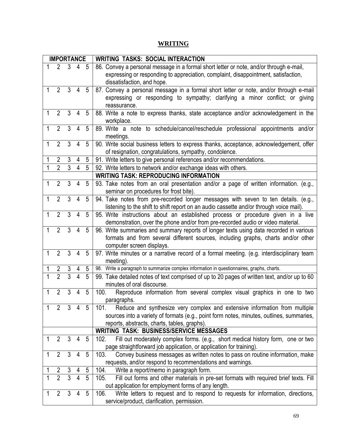# **WRITING**

|   | <b>IMPORTANCE</b> |                |                     |                | <b>WRITING TASKS: SOCIAL INTERACTION</b>                                                                                                                                                                   |
|---|-------------------|----------------|---------------------|----------------|------------------------------------------------------------------------------------------------------------------------------------------------------------------------------------------------------------|
|   | $2^{\circ}$       |                | $3 \quad 4 \quad 5$ |                | 86. Convey a personal message in a formal short letter or note, and/or through e-mail,<br>expressing or responding to appreciation, complaint, disappointment, satisfaction,<br>dissatisfaction, and hope. |
|   | $2^{\circ}$       | $\mathbf{3}$   | $\overline{4}$      | 5              | 87. Convey a personal message in a formal short letter or note, and/or through e-mail<br>expressing or responding to sympathy; clarifying a minor conflict; or giving<br>reassurance.                      |
|   | $\overline{2}$    | 3              | 4                   | 5              | 88. Write a note to express thanks, state acceptance and/or acknowledgement in the<br>workplace.                                                                                                           |
| 1 | $\overline{2}$    | 3              | 4                   | 5              | 89. Write a note to schedule/cancel/reschedule professional appointments and/or<br>meetings.                                                                                                               |
| 1 | $\overline{2}$    | 3              | 4                   | 5              | 90. Write social business letters to express thanks, acceptance, acknowledgement, offer<br>of resignation, congratulations, sympathy, condolence.                                                          |
|   | $\overline{2}$    | 3              | 4                   | 5              | 91. Write letters to give personal references and/or recommendations.                                                                                                                                      |
|   | $\overline{2}$    | $\overline{3}$ | $\overline{4}$      | 5              | 92. Write letters to network and/or exchange ideas with others.                                                                                                                                            |
|   |                   |                |                     |                | <b>WRITING TASK: REPRODUCING INFORMATION</b>                                                                                                                                                               |
| 1 | $\overline{2}$    | 3              | 4                   | 5              | 93. Take notes from an oral presentation and/or a page of written information. (e.g.,<br>seminar on procedures for frost bite).                                                                            |
| 1 | $\overline{2}$    | 3              | 4                   | 5              | 94. Take notes from pre-recorded longer messages with seven to ten details. (e.g.,<br>listening to the shift to shift report on an audio cassette and/or through voice mail).                              |
|   | $\overline{2}$    | 3              | $\overline{4}$      | 5              | 95. Write instructions about an established process or procedure given in a live<br>demonstration, over the phone and/or from pre-recorded audio or video material.                                        |
| 1 | $\overline{2}$    | $\overline{3}$ | $\overline{4}$      | 5              | 96. Write summaries and summary reports of longer texts using data recorded in various<br>formats and from several different sources, including graphs, charts and/or other<br>computer screen displays.   |
| 1 | $\overline{2}$    | $\overline{3}$ | $\overline{4}$      | 5              | 97. Write minutes or a narrative record of a formal meeting. (e.g. interdisciplinary team<br>meeting).                                                                                                     |
|   | $\overline{c}$    | 3              |                     | 5              | 98. Write a paragraph to summarize complex information in questionnaires, graphs, charts.                                                                                                                  |
|   | $\overline{2}$    | $\overline{3}$ | 4                   | $\overline{5}$ | 99. Take detailed notes of text comprised of up to 20 pages of written text, and/or up to 60<br>minutes of oral discourse.                                                                                 |
|   | $\overline{2}$    | 3              | 4                   | 5              | 100.<br>Reproduce information from several complex visual graphics in one to two<br>paragraphs.                                                                                                            |
|   | 2                 | 3              | 4                   | 5              | 101.<br>Reduce and synthesize very complex and extensive information from multiple                                                                                                                         |
|   |                   |                |                     |                | sources into a variety of formats (e.g., point form notes, minutes, outlines, summaries,                                                                                                                   |
|   |                   |                |                     |                | reports, abstracts, charts, tables, graphs).                                                                                                                                                               |
|   |                   |                |                     |                | <b>WRITING TASK: BUSINESS/SERVICE MESSAGES</b>                                                                                                                                                             |
|   | $\overline{2}$    | 3              | 4                   | 5              | Fill out moderately complex forms. (e.g., short medical history form, one or two<br>102.                                                                                                                   |
|   |                   |                |                     |                | page straightforward job application, or application for training).                                                                                                                                        |
|   | $\overline{2}$    | 3              | 4                   | 5              | 103.<br>Convey business messages as written notes to pass on routine information, make                                                                                                                     |
|   |                   |                |                     |                | requests, and/or respond to recommendations and warnings.                                                                                                                                                  |
|   | $\overline{2}$    | 3              | 4                   | 5              | Write a report/memo in paragraph form.<br>104.                                                                                                                                                             |
|   | $\overline{2}$    | $\overline{3}$ | $\overline{4}$      | 5              | Fill out forms and other materials in pre-set formats with required brief texts. Fill<br>105.<br>out application for employment forms of any length.                                                       |
|   | $\overline{2}$    | 3              | 4                   | 5              | 106.<br>Write letters to request and to respond to requests for information, directions,<br>service/product, clarification, permission.                                                                    |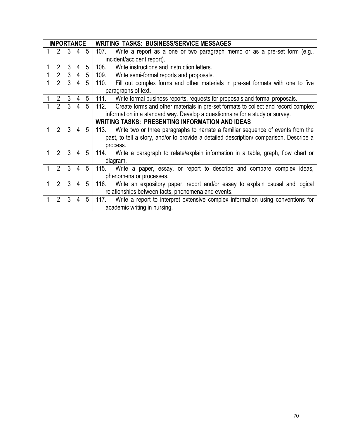| <b>IMPORTANCE</b> |                                                                               |                             |                |                 | <b>WRITING TASKS: BUSINESS/SERVICE MESSAGES</b>                                           |  |  |  |  |
|-------------------|-------------------------------------------------------------------------------|-----------------------------|----------------|-----------------|-------------------------------------------------------------------------------------------|--|--|--|--|
|                   |                                                                               | $2 \quad 3 \quad 4$         |                | -5              | 107.<br>Write a report as a one or two paragraph memo or as a pre-set form (e.g.,         |  |  |  |  |
|                   |                                                                               |                             |                |                 | incident/accident report).                                                                |  |  |  |  |
|                   | $\overline{2}$                                                                | 3                           | 4              | 5               | 108.<br>Write instructions and instruction letters.                                       |  |  |  |  |
|                   | $\overline{2}$                                                                | 3 <sup>7</sup>              | $\overline{4}$ | 5               | 109.<br>Write semi-formal reports and proposals.                                          |  |  |  |  |
|                   | $\overline{2}$                                                                | 3                           | $\overline{4}$ | 5               | 110.<br>Fill out complex forms and other materials in pre-set formats with one to five    |  |  |  |  |
|                   |                                                                               |                             |                |                 | paragraphs of text.                                                                       |  |  |  |  |
|                   | $\overline{2}$                                                                | 3                           | 4              | 5               | 111.<br>Write formal business reports, requests for proposals and formal proposals.       |  |  |  |  |
|                   | $\overline{2}$                                                                | 3                           | 4              | 5               | Create forms and other materials in pre-set formats to collect and record complex<br>112. |  |  |  |  |
|                   | information in a standard way. Develop a questionnaire for a study or survey. |                             |                |                 |                                                                                           |  |  |  |  |
|                   | <b>WRITING TASKS: PRESENTING INFORMATION AND IDEAS</b>                        |                             |                |                 |                                                                                           |  |  |  |  |
|                   |                                                                               | $2 \quad 3 \quad 4 \quad 5$ |                |                 | Write two or three paragraphs to narrate a familiar sequence of events from the<br>113.   |  |  |  |  |
|                   |                                                                               |                             |                |                 | past, to tell a story, and/or to provide a detailed description/ comparison. Describe a   |  |  |  |  |
|                   |                                                                               |                             |                |                 | process.                                                                                  |  |  |  |  |
| 1                 |                                                                               | $2 \quad 3 \quad 4$         |                | $5\overline{)}$ | Write a paragraph to relate/explain information in a table, graph, flow chart or<br>114.  |  |  |  |  |
|                   |                                                                               |                             |                |                 | diagram.                                                                                  |  |  |  |  |
| 1                 | $\overline{2}$                                                                | 3                           | 4              | 5               | Write a paper, essay, or report to describe and compare complex ideas,<br>115.            |  |  |  |  |
|                   |                                                                               |                             |                |                 | phenomena or processes.                                                                   |  |  |  |  |
|                   | $\overline{2}$                                                                | 3                           | $\overline{4}$ | 5               | 116.<br>Write an expository paper, report and/or essay to explain causal and logical      |  |  |  |  |
|                   |                                                                               |                             |                |                 | relationships between facts, phenomena and events.                                        |  |  |  |  |
|                   | $\overline{2}$                                                                | 3                           | 4              | 5               | Write a report to interpret extensive complex information using conventions for<br>117.   |  |  |  |  |
|                   |                                                                               |                             |                |                 | academic writing in nursing.                                                              |  |  |  |  |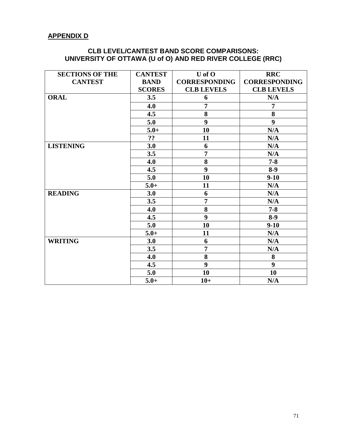### **APPENDIX D**

# **CLB LEVEL/CANTEST BAND SCORE COMPARISONS: UNIVERSITY OF OTTAWA (U of O) AND RED RIVER COLLEGE (RRC)**

| <b>SECTIONS OF THE</b> | <b>CANTEST</b> | $U$ of $O$           | <b>RRC</b>           |
|------------------------|----------------|----------------------|----------------------|
| <b>CANTEST</b>         | <b>BAND</b>    | <b>CORRESPONDING</b> | <b>CORRESPONDING</b> |
|                        | <b>SCORES</b>  | <b>CLB LEVELS</b>    | <b>CLB LEVELS</b>    |
| <b>ORAL</b>            | 3.5            | 6                    | N/A                  |
|                        | 4.0            | $\overline{7}$       | 7                    |
|                        | 4.5            | 8                    | 8                    |
|                        | 5.0            | 9                    | 9                    |
|                        | $5.0+$         | 10                   | N/A                  |
|                        | ??             | 11                   | N/A                  |
| <b>LISTENING</b>       | 3.0            | 6                    | N/A                  |
|                        | 3.5            | $\overline{7}$       | N/A                  |
|                        | 4.0            | 8                    | $7 - 8$              |
|                        | 4.5            | 9                    | $8-9$                |
|                        | 5.0            | 10                   | $9-10$               |
|                        | $5.0+$         | 11                   | N/A                  |
| <b>READING</b>         | 3.0            | 6                    | N/A                  |
|                        | 3.5            | $\overline{7}$       | N/A                  |
|                        | 4.0            | 8                    | $7 - 8$              |
|                        | 4.5            | 9                    | $8-9$                |
|                        | 5.0            | 10                   | $9-10$               |
|                        | $5.0+$         | 11                   | N/A                  |
| <b>WRITING</b>         | 3.0            | 6                    | N/A                  |
|                        | 3.5            | $\overline{7}$       | N/A                  |
|                        | 4.0            | 8                    | 8                    |
|                        | 4.5            | 9                    | 9                    |
|                        | 5.0            | 10                   | 10                   |
|                        | $5.0+$         | $10+$                | N/A                  |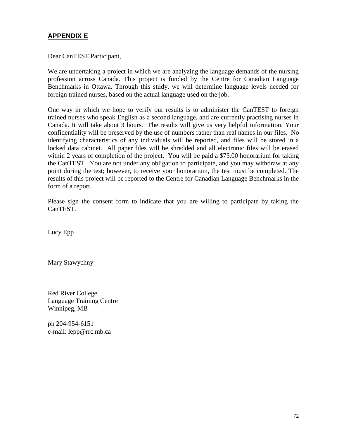### **APPENDIX E**

Dear CanTEST Participant,

We are undertaking a project in which we are analyzing the language demands of the nursing profession across Canada. This project is funded by the Centre for Canadian Language Benchmarks in Ottawa. Through this study, we will determine language levels needed for foreign trained nurses, based on the actual language used on the job.

One way in which we hope to verify our results is to administer the CanTEST to foreign trained nurses who speak English as a second language, and are currently practising nurses in Canada. It will take about 3 hours. The results will give us very helpful information. Your confidentiality will be preserved by the use of numbers rather than real names in our files. No identifying characteristics of any individuals will be reported, and files will be stored in a locked data cabinet. All paper files will be shredded and all electronic files will be erased within 2 years of completion of the project. You will be paid a \$75.00 honorarium for taking the CanTEST. You are not under any obligation to participate, and you may withdraw at any point during the test; however, to receive your honorarium, the test must be completed. The results of this project will be reported to the Centre for Canadian Language Benchmarks in the form of a report.

Please sign the consent form to indicate that you are willing to participate by taking the CanTEST.

Lucy Epp

Mary Stawychny

Red River College Language Training Centre Winnipeg, MB

ph 204-954-6151 e-mail: lepp@rrc.mb.ca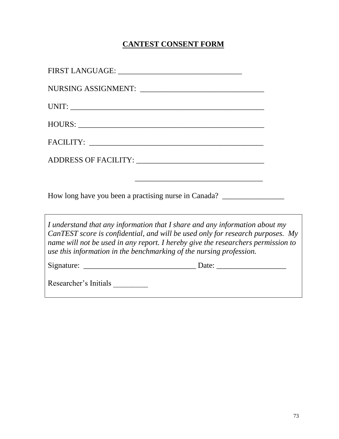# **CANTEST CONSENT FORM**

| How long have you been a practising nurse in Canada? ___________________________                                                                                                                                                                                                                                         |  |
|--------------------------------------------------------------------------------------------------------------------------------------------------------------------------------------------------------------------------------------------------------------------------------------------------------------------------|--|
| I understand that any information that I share and any information about my<br>CanTEST score is confidential, and will be used only for research purposes. My<br>name will not be used in any report. I hereby give the researchers permission to<br>use this information in the benchmarking of the nursing profession. |  |
|                                                                                                                                                                                                                                                                                                                          |  |
|                                                                                                                                                                                                                                                                                                                          |  |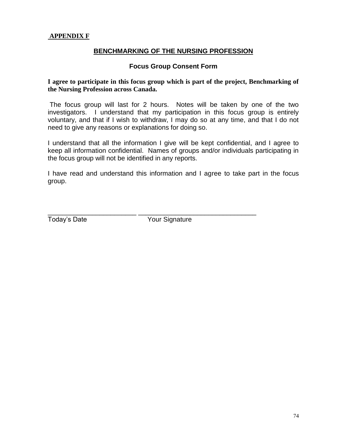### **BENCHMARKING OF THE NURSING PROFESSION**

#### **Focus Group Consent Form**

#### **I agree to participate in this focus group which is part of the project, Benchmarking of the Nursing Profession across Canada.**

The focus group will last for 2 hours. Notes will be taken by one of the two investigators. I understand that my participation in this focus group is entirely voluntary, and that if I wish to withdraw, I may do so at any time, and that I do not need to give any reasons or explanations for doing so.

I understand that all the information I give will be kept confidential, and I agree to keep all information confidential. Names of groups and/or individuals participating in the focus group will not be identified in any reports.

I have read and understand this information and I agree to take part in the focus group.

Today's Date Your Signature

\_\_\_\_\_\_\_\_\_\_\_\_\_\_\_\_\_\_\_\_\_\_\_\_ \_\_\_\_\_\_\_\_\_\_\_\_\_\_\_\_\_\_\_\_\_\_\_\_\_\_\_\_\_\_\_\_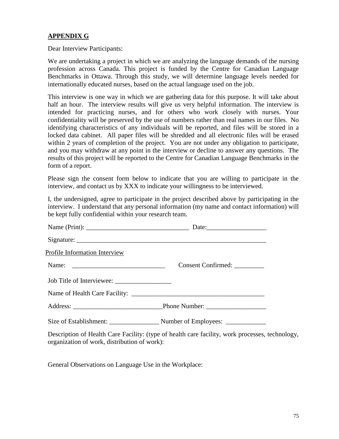### **APPENDIX G**

Dear Interview Participants:

We are undertaking a project in which we are analyzing the language demands of the nursing profession across Canada. This project is funded by the Centre for Canadian Language Benchmarks in Ottawa. Through this study, we will determine language levels needed for internationally educated nurses, based on the actual language used on the job.

This interview is one way in which we are gathering data for this purpose. It will take about half an hour. The interview results will give us very helpful information. The interview is intended for practicing nurses, and for others who work closely with nurses. Your confidentiality will be preserved by the use of numbers rather than real names in our files. No identifying characteristics of any individuals will be reported, and files will be stored in a locked data cabinet. All paper files will be shredded and all electronic files will be erased within 2 years of completion of the project. You are not under any obligation to participate, and you may withdraw at any point in the interview or decline to answer any questions. The results of this project will be reported to the Centre for Canadian Language Benchmarks in the form of a report.

Please sign the consent form below to indicate that you are willing to participate in the interview, and contact us by XXX to indicate your willingness to be interviewed.

I, the undersigned, agree to participate in the project described above by participating in the interview. I understand that any personal information (my name and contact information) will be kept fully confidential within your research team.

| <b>Profile Information Interview</b> |                                                                                                 |
|--------------------------------------|-------------------------------------------------------------------------------------------------|
|                                      | Consent Confirmed: __________                                                                   |
|                                      |                                                                                                 |
|                                      |                                                                                                 |
|                                      |                                                                                                 |
|                                      |                                                                                                 |
|                                      | Description of Health Care Facility: (type of health care facility, work processes, technology, |

organization of work, distribution of work):

General Observations on Language Use in the Workplace: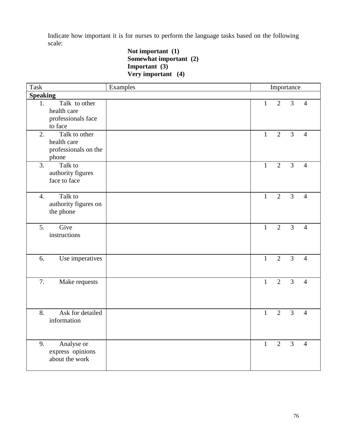Indicate how important it is for nurses to perform the language tasks based on the following scale:

**Not important (1) Somewhat important (2) Important (3) Very important (4)**

| <b>Task</b>      |                                                                          | Examples |              | Importance     |                |                |
|------------------|--------------------------------------------------------------------------|----------|--------------|----------------|----------------|----------------|
| <b>Speaking</b>  |                                                                          |          |              |                |                |                |
| 1.               | Talk to other<br>health care<br>professionals face                       |          | $\mathbf{1}$ | $\overline{2}$ | $\overline{3}$ | $\overline{4}$ |
| 2.               | to face<br>Talk to other<br>health care<br>professionals on the<br>phone |          | $\mathbf{1}$ | $\overline{2}$ | $\overline{3}$ | 4              |
| 3.               | Talk to<br>authority figures<br>face to face                             |          | $\mathbf{1}$ | $\overline{2}$ | $\overline{3}$ | 4              |
| $\overline{4}$ . | Talk to<br>authority figures on<br>the phone                             |          | $\mathbf{1}$ | $\overline{2}$ | $\overline{3}$ | $\overline{4}$ |
| 5.               | Give<br>instructions                                                     |          | $\mathbf{1}$ | $\overline{2}$ | $\overline{3}$ | $\overline{4}$ |
| 6.               | Use imperatives                                                          |          | $\mathbf{1}$ | $\overline{2}$ | $\overline{3}$ | $\overline{4}$ |
| 7.               | Make requests                                                            |          | $\mathbf{1}$ | $\overline{2}$ | $\overline{3}$ | $\overline{4}$ |
| 8.               | Ask for detailed<br>information                                          |          | $\mathbf{1}$ | $\overline{2}$ | $\overline{3}$ | $\overline{4}$ |
| 9.               | Analyse or<br>express opinions<br>about the work                         |          | $\mathbf{1}$ | $\overline{2}$ | $\overline{3}$ | $\overline{4}$ |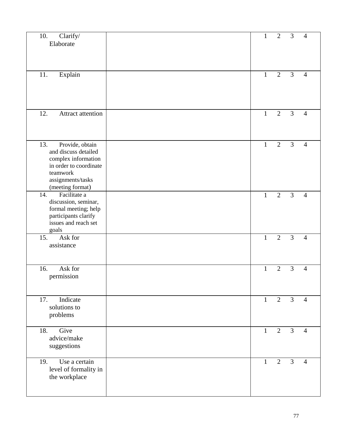| Clarify/<br>10.<br>Elaborate                                                                                                                         | $\mathbf{1}$ | $\overline{2}$ | 3              | $\overline{4}$ |
|------------------------------------------------------------------------------------------------------------------------------------------------------|--------------|----------------|----------------|----------------|
| Explain<br>11.                                                                                                                                       | $\mathbf{1}$ | $\overline{2}$ | 3              | 4              |
| 12.<br>Attract attention                                                                                                                             | $\mathbf{1}$ | $\overline{2}$ | $\overline{3}$ | $\overline{4}$ |
| 13.<br>Provide, obtain<br>and discuss detailed<br>complex information<br>in order to coordinate<br>teamwork<br>assignments/tasks<br>(meeting format) | $\mathbf{1}$ | $\overline{2}$ | 3              | $\overline{4}$ |
| Facilitate a<br>14.<br>discussion, seminar,<br>formal meeting; help<br>participants clarify<br>issues and reach set<br>goals                         | $\mathbf{1}$ | $\overline{2}$ | 3              | $\overline{4}$ |
| Ask for<br>15.<br>assistance                                                                                                                         | $\mathbf{1}$ | $\overline{2}$ | 3              | $\overline{4}$ |
| 16.<br>Ask for<br>permission                                                                                                                         | $\mathbf{1}$ | $\overline{2}$ | 3              | $\overline{4}$ |
| Indicate<br>17.<br>solutions to<br>problems                                                                                                          | $\mathbf{1}$ | $\overline{2}$ | $\mathfrak{Z}$ | $\overline{4}$ |
| Give<br>18.<br>advice/make<br>suggestions                                                                                                            | $\mathbf{1}$ | $\mathbf{2}$   | 3              | $\overline{4}$ |
| Use a certain<br>19.<br>level of formality in<br>the workplace                                                                                       | $\mathbf{1}$ | $\overline{2}$ | 3              | $\overline{4}$ |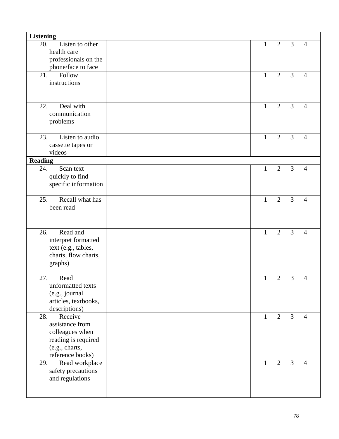| <b>Listening</b>                                                                                                  |              |                |                |                |
|-------------------------------------------------------------------------------------------------------------------|--------------|----------------|----------------|----------------|
| 20.<br>Listen to other<br>health care                                                                             | 1            | $\overline{2}$ | 3              | $\overline{4}$ |
| professionals on the                                                                                              |              |                |                |                |
| phone/face to face<br>21.<br>Follow                                                                               | $\mathbf{1}$ | 2              | $\overline{3}$ | $\overline{4}$ |
| instructions                                                                                                      |              |                |                |                |
| Deal with<br>22.<br>communication<br>problems                                                                     | $\mathbf{1}$ | $\overline{2}$ | $\overline{3}$ | $\overline{4}$ |
| Listen to audio<br>23.<br>cassette tapes or<br>videos                                                             | $\mathbf{1}$ | $\overline{2}$ | 3              | $\overline{4}$ |
| <b>Reading</b>                                                                                                    |              |                |                |                |
| Scan text<br>24.<br>quickly to find<br>specific information                                                       | $\mathbf{1}$ | $\overline{2}$ | $\overline{3}$ | $\overline{4}$ |
| Recall what has<br>25.<br>been read                                                                               | $\mathbf{1}$ | $\overline{2}$ | 3              | $\overline{4}$ |
| Read and<br>26.<br>interpret formatted<br>text (e.g., tables,<br>charts, flow charts,<br>graphs)                  | $\mathbf{1}$ | $\overline{2}$ | 3              | $\overline{4}$ |
| 27.<br>Read<br>unformatted texts<br>(e.g., journal<br>articles, textbooks,<br>descriptions)                       | $\mathbf{1}$ | $\overline{2}$ | 3              | $\overline{4}$ |
| Receive<br>28.<br>assistance from<br>colleagues when<br>reading is required<br>(e.g., charts,<br>reference books) | $\mathbf{1}$ | $\overline{2}$ | 3              | $\overline{4}$ |
| Read workplace<br>29.<br>safety precautions<br>and regulations                                                    | $\mathbf{1}$ | $\overline{2}$ | 3              | $\overline{4}$ |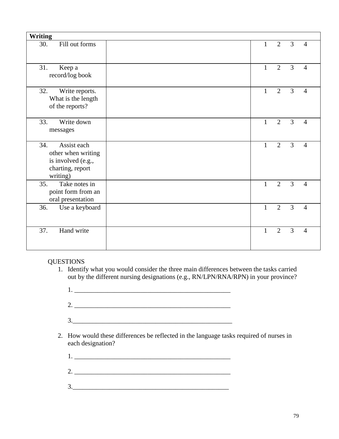| <b>Writing</b>                                                                                 |              |                |   |                |
|------------------------------------------------------------------------------------------------|--------------|----------------|---|----------------|
| Fill out forms<br>30.                                                                          | $\mathbf{1}$ | $\overline{2}$ | 3 | $\overline{4}$ |
| 31.<br>Keep a<br>record/log book                                                               | $\mathbf{1}$ | $\overline{2}$ | 3 | $\overline{4}$ |
| 32.<br>Write reports.<br>What is the length<br>of the reports?                                 | $\mathbf{1}$ | $\overline{2}$ | 3 | $\overline{4}$ |
| 33.<br>Write down<br>messages                                                                  | $\mathbf{1}$ | $\overline{2}$ | 3 | $\overline{4}$ |
| Assist each<br>34.<br>other when writing<br>is involved (e.g.,<br>charting, report<br>writing) | $\mathbf{1}$ | $\overline{2}$ | 3 | $\overline{4}$ |
| Take notes in<br>35.<br>point form from an<br>oral presentation                                | $\mathbf{1}$ | $\overline{2}$ | 3 | $\overline{4}$ |
| Use a keyboard<br>36.                                                                          | $\mathbf{1}$ | $\overline{2}$ | 3 | $\overline{4}$ |
| Hand write<br>37.                                                                              | $\mathbf{1}$ | $\overline{2}$ | 3 | $\overline{4}$ |

#### **QUESTIONS**

- 1. Identify what you would consider the three main differences between the tasks carried out by the different nursing designations (e.g., RN/LPN/RNA/RPN) in your province?
	- $1.$   $\Box$
	- 2. \_\_\_\_\_\_\_\_\_\_\_\_\_\_\_\_\_\_\_\_\_\_\_\_\_\_\_\_\_\_\_\_\_\_\_\_\_\_\_\_\_\_\_\_\_\_\_
	- $3.$
- 2. How would these differences be reflected in the language tasks required of nurses in each designation?
	- 1. \_\_\_\_\_\_\_\_\_\_\_\_\_\_\_\_\_\_\_\_\_\_\_\_\_\_\_\_\_\_\_\_\_\_\_\_\_\_\_\_\_\_\_\_\_\_\_
	- 2. \_\_\_\_\_\_\_\_\_\_\_\_\_\_\_\_\_\_\_\_\_\_\_\_\_\_\_\_\_\_\_\_\_\_\_\_\_\_\_\_\_\_\_\_\_\_\_
	- $3.$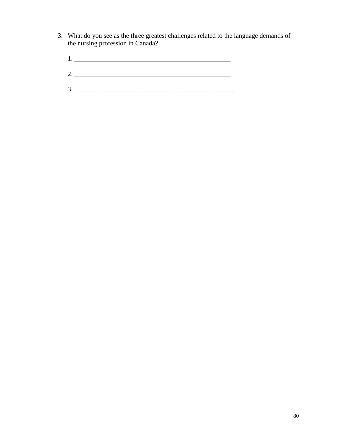- 3. What do you see as the three greatest challenges related to the language demands of the nursing profession in Canada?
	- 1. \_\_\_\_\_\_\_\_\_\_\_\_\_\_\_\_\_\_\_\_\_\_\_\_\_\_\_\_\_\_\_\_\_\_\_\_\_\_\_\_\_\_\_\_\_\_\_
	- 2. \_\_\_\_\_\_\_\_\_\_\_\_\_\_\_\_\_\_\_\_\_\_\_\_\_\_\_\_\_\_\_\_\_\_\_\_\_\_\_\_\_\_\_\_\_\_\_
	- 3.\_\_\_\_\_\_\_\_\_\_\_\_\_\_\_\_\_\_\_\_\_\_\_\_\_\_\_\_\_\_\_\_\_\_\_\_\_\_\_\_\_\_\_\_\_\_\_\_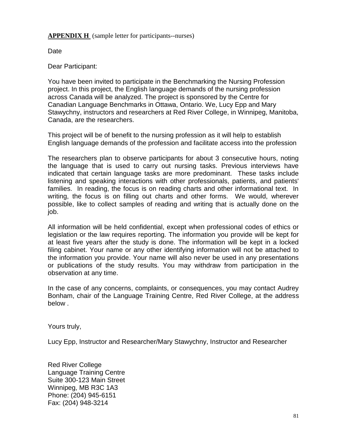**APPENDIX H** (sample letter for participants--nurses)

Date

Dear Participant:

You have been invited to participate in the Benchmarking the Nursing Profession project. In this project, the English language demands of the nursing profession across Canada will be analyzed. The project is sponsored by the Centre for Canadian Language Benchmarks in Ottawa, Ontario. We, Lucy Epp and Mary Stawychny, instructors and researchers at Red River College, in Winnipeg, Manitoba, Canada, are the researchers.

This project will be of benefit to the nursing profession as it will help to establish English language demands of the profession and facilitate access into the profession

The researchers plan to observe participants for about 3 consecutive hours, noting the language that is used to carry out nursing tasks. Previous interviews have indicated that certain language tasks are more predominant. These tasks include listening and speaking interactions with other professionals, patients, and patients' families. In reading, the focus is on reading charts and other informational text. In writing, the focus is on filling out charts and other forms. We would, wherever possible, like to collect samples of reading and writing that is actually done on the job.

All information will be held confidential, except when professional codes of ethics or legislation or the law requires reporting. The information you provide will be kept for at least five years after the study is done. The information will be kept in a locked filing cabinet. Your name or any other identifying information will not be attached to the information you provide. Your name will also never be used in any presentations or publications of the study results. You may withdraw from participation in the observation at any time.

In the case of any concerns, complaints, or consequences, you may contact Audrey Bonham, chair of the Language Training Centre, Red River College, at the address below .

Yours truly,

Lucy Epp, Instructor and Researcher/Mary Stawychny, Instructor and Researcher

Red River College Language Training Centre Suite 300-123 Main Street Winnipeg, MB R3C 1A3 Phone: (204) 945-6151 Fax: (204) 948-3214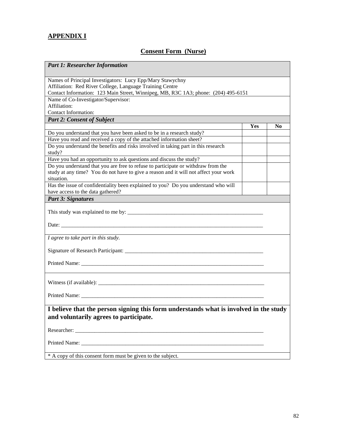## **APPENDIX I**

# **Consent Form (Nurse)**

| <b>Part 1: Researcher Information</b>                                                                                           |     |                |
|---------------------------------------------------------------------------------------------------------------------------------|-----|----------------|
| Names of Principal Investigators: Lucy Epp/Mary Stawychny<br>Affiliation: Red River College, Language Training Centre           |     |                |
| Contact Information: 123 Main Street, Winnipeg, MB, R3C 1A3; phone: (204) 495-6151                                              |     |                |
| Name of Co-Investigator/Supervisor:                                                                                             |     |                |
| Affiliation:                                                                                                                    |     |                |
| Contact Information:                                                                                                            |     |                |
| <b>Part 2: Consent of Subject</b>                                                                                               |     |                |
|                                                                                                                                 | Yes | N <sub>0</sub> |
| Do you understand that you have been asked to be in a research study?                                                           |     |                |
| Have you read and received a copy of the attached information sheet?                                                            |     |                |
| Do you understand the benefits and risks involved in taking part in this research<br>study?                                     |     |                |
| Have you had an opportunity to ask questions and discuss the study?                                                             |     |                |
| Do you understand that you are free to refuse to participate or withdraw from the                                               |     |                |
| study at any time? You do not have to give a reason and it will not affect your work<br>situation.                              |     |                |
| Has the issue of confidentiality been explained to you? Do you understand who will                                              |     |                |
| have access to the data gathered?                                                                                               |     |                |
| <b>Part 3: Signatures</b>                                                                                                       |     |                |
| Date:                                                                                                                           |     |                |
| I agree to take part in this study.                                                                                             |     |                |
|                                                                                                                                 |     |                |
|                                                                                                                                 |     |                |
|                                                                                                                                 |     |                |
|                                                                                                                                 |     |                |
| I believe that the person signing this form understands what is involved in the study<br>and voluntarily agrees to participate. |     |                |
|                                                                                                                                 |     |                |
|                                                                                                                                 |     |                |
| * A copy of this consent form must be given to the subject.                                                                     |     |                |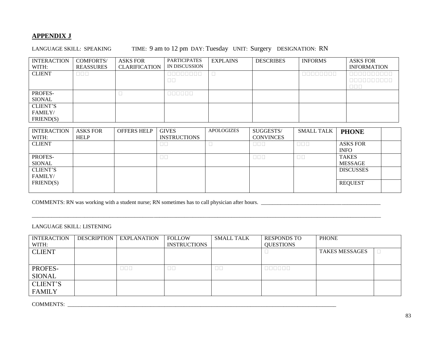### **APPENDIX J**

LANGUAGE SKILL: SPEAKING TIME: 9 am to 12 pm DAY: Tuesday UNIT: Surgery DESIGNATION: RN

| <b>INTERACTION</b> | <b>COMFORTS/</b>   | <b>ASKS FOR</b>      | <b>PARTICIPATES</b>                                 | <b>EXPLAINS</b> | <b>DESCRIBES</b> | <b>INFORMS</b>                                                                                                                                                                                                                       | <b>ASKS FOR</b>                                                                                                                                                                                                                                                                                                                                                                  |
|--------------------|--------------------|----------------------|-----------------------------------------------------|-----------------|------------------|--------------------------------------------------------------------------------------------------------------------------------------------------------------------------------------------------------------------------------------|----------------------------------------------------------------------------------------------------------------------------------------------------------------------------------------------------------------------------------------------------------------------------------------------------------------------------------------------------------------------------------|
| WITH:              | <b>REASSURES</b>   | <b>CLARIFICATION</b> | IN DISCUSSION                                       |                 |                  |                                                                                                                                                                                                                                      | <b>INFORMATION</b>                                                                                                                                                                                                                                                                                                                                                               |
| <b>CLIENT</b>      | $\Box\,\Box\,\Box$ |                      | and the contract of the contract of the contract of |                 |                  | <u> De la Barca de la Barca de la Barca de la Barca de la Barca de la Barca de la Barca de la Barca de la Barca de la Barca de la Barca de la Barca de la Barca de la Barca de la Barca de la Barca de la Barca de la Barca de l</u> | $\begin{array}{c} \rule{0pt}{2.5ex} \rule{0pt}{2.5ex} \rule{0pt}{2.5ex} \rule{0pt}{2.5ex} \rule{0pt}{2.5ex} \rule{0pt}{2.5ex} \rule{0pt}{2.5ex} \rule{0pt}{2.5ex} \rule{0pt}{2.5ex} \rule{0pt}{2.5ex} \rule{0pt}{2.5ex} \rule{0pt}{2.5ex} \rule{0pt}{2.5ex} \rule{0pt}{2.5ex} \rule{0pt}{2.5ex} \rule{0pt}{2.5ex} \rule{0pt}{2.5ex} \rule{0pt}{2.5ex} \rule{0pt}{2.5ex} \rule{0$ |
|                    |                    |                      | $\Box$ $\Box$                                       |                 |                  |                                                                                                                                                                                                                                      | 8888888888                                                                                                                                                                                                                                                                                                                                                                       |
|                    |                    |                      |                                                     |                 |                  |                                                                                                                                                                                                                                      | $\Box$                                                                                                                                                                                                                                                                                                                                                                           |
| PROFES-            |                    |                      | 000000                                              |                 |                  |                                                                                                                                                                                                                                      |                                                                                                                                                                                                                                                                                                                                                                                  |
| SIONAL             |                    |                      |                                                     |                 |                  |                                                                                                                                                                                                                                      |                                                                                                                                                                                                                                                                                                                                                                                  |
| <b>CLIENT'S</b>    |                    |                      |                                                     |                 |                  |                                                                                                                                                                                                                                      |                                                                                                                                                                                                                                                                                                                                                                                  |
| FAMILY/            |                    |                      |                                                     |                 |                  |                                                                                                                                                                                                                                      |                                                                                                                                                                                                                                                                                                                                                                                  |
| FRIEND(S)          |                    |                      |                                                     |                 |                  |                                                                                                                                                                                                                                      |                                                                                                                                                                                                                                                                                                                                                                                  |

| <b>INTERACTION</b> | <b>ASKS FOR</b> | <b>OFFERS HELP</b> | <b>GIVES</b>        | <b>APOLOGIZES</b> | SUGGESTS/        | <b>SMALL TALK</b> | <b>PHONE</b>     |  |
|--------------------|-----------------|--------------------|---------------------|-------------------|------------------|-------------------|------------------|--|
| WITH:              | <b>HELP</b>     |                    | <b>INSTRUCTIONS</b> |                   | <b>CONVINCES</b> |                   |                  |  |
| <b>CLIENT</b>      |                 |                    | $\Box$              |                   | $\Box \Box \Box$ | $\Box \Box \Box$  | <b>ASKS FOR</b>  |  |
|                    |                 |                    |                     |                   |                  |                   | <b>INFO</b>      |  |
| PROFES-            |                 |                    | $\Box$ $\Box$       |                   | $\Box \Box \Box$ | $\Box$            | <b>TAKES</b>     |  |
| SIONAL             |                 |                    |                     |                   |                  |                   | <b>MESSAGE</b>   |  |
| <b>CLIENT'S</b>    |                 |                    |                     |                   |                  |                   | <b>DISCUSSES</b> |  |
| FAMILY/            |                 |                    |                     |                   |                  |                   |                  |  |
| FRIEND(S)          |                 |                    |                     |                   |                  |                   | <b>REQUEST</b>   |  |
|                    |                 |                    |                     |                   |                  |                   |                  |  |

COMMENTS: RN was working with a student nurse; RN sometimes has to call physician after hours. \_\_\_\_\_\_\_\_\_\_\_\_\_\_\_\_\_\_\_\_\_\_\_\_\_\_\_\_\_\_\_\_\_\_\_\_\_\_\_\_\_\_\_

#### LANGUAGE SKILL: LISTENING

| <b>INTERACTION</b> | <b>DESCRIPTION</b> | <b>EXPLANATION</b> | <b>FOLLOW</b>       | <b>SMALL TALK</b> | <b>RESPONDS TO</b> | <b>PHONE</b>          |  |
|--------------------|--------------------|--------------------|---------------------|-------------------|--------------------|-----------------------|--|
| WITH:              |                    |                    | <b>INSTRUCTIONS</b> |                   | <b>QUESTIONS</b>   |                       |  |
| <b>CLIENT</b>      |                    |                    |                     |                   |                    | <b>TAKES MESSAGES</b> |  |
|                    |                    |                    |                     |                   |                    |                       |  |
|                    |                    |                    |                     |                   |                    |                       |  |
| PROFES-            |                    | பபப                | $\Box$              | $\Box$            | 000000             |                       |  |
| <b>SIONAL</b>      |                    |                    |                     |                   |                    |                       |  |
| <b>CLIENT'S</b>    |                    |                    |                     |                   |                    |                       |  |
| <b>FAMILY</b>      |                    |                    |                     |                   |                    |                       |  |

\_\_\_\_\_\_\_\_\_\_\_\_\_\_\_\_\_\_\_\_\_\_\_\_\_\_\_\_\_\_\_\_\_\_\_\_\_\_\_\_\_\_\_\_\_\_\_\_\_\_\_\_\_\_\_\_\_\_\_\_\_\_\_\_\_\_\_\_\_\_\_\_\_\_\_\_\_\_\_\_\_\_\_\_\_\_\_\_\_\_\_\_\_\_\_\_\_\_\_\_\_\_\_\_\_\_\_\_\_\_\_\_\_\_\_\_\_\_\_\_\_\_\_\_\_\_

COMMENTS: \_\_\_\_\_\_\_\_\_\_\_\_\_\_\_\_\_\_\_\_\_\_\_\_\_\_\_\_\_\_\_\_\_\_\_\_\_\_\_\_\_\_\_\_\_\_\_\_\_\_\_\_\_\_\_\_\_\_\_\_\_\_\_\_\_\_\_\_\_\_\_\_\_\_\_\_\_\_\_\_\_\_\_\_\_\_\_\_\_\_\_\_\_\_\_\_\_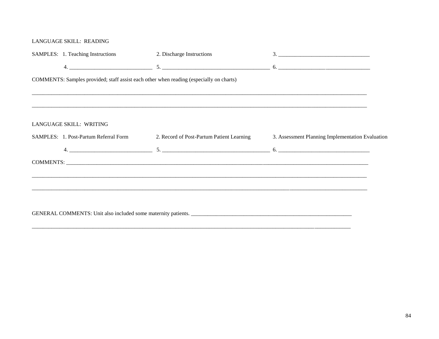#### LANGUAGE SKILL: READING

| SAMPLES: 1. Teaching Instructions                                                       | 2. Discharge Instructions                 |                                                  |
|-----------------------------------------------------------------------------------------|-------------------------------------------|--------------------------------------------------|
|                                                                                         |                                           |                                                  |
| COMMENTS: Samples provided; staff assist each other when reading (especially on charts) |                                           |                                                  |
|                                                                                         |                                           |                                                  |
|                                                                                         |                                           |                                                  |
|                                                                                         |                                           |                                                  |
| LANGUAGE SKILL: WRITING                                                                 |                                           |                                                  |
| SAMPLES: 1. Post-Partum Referral Form                                                   | 2. Record of Post-Partum Patient Learning | 3. Assessment Planning Implementation Evaluation |
|                                                                                         |                                           |                                                  |
|                                                                                         |                                           |                                                  |
|                                                                                         |                                           |                                                  |
|                                                                                         |                                           |                                                  |
|                                                                                         |                                           |                                                  |
|                                                                                         |                                           |                                                  |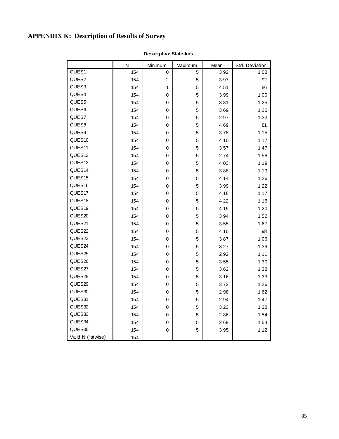# **APPENDIX K: Description of Results of Survey**

|                    | Ν   | Minimum      | Maximum | Mean | Std. Deviation |
|--------------------|-----|--------------|---------|------|----------------|
| QUES1              | 154 | 0            | 5       | 3.92 | 1.08           |
| QUES2              | 154 | 2            | 5       | 3.97 | .92            |
| QUES3              | 154 | $\mathbf{1}$ | 5       | 4.51 | .86            |
| QUES4              | 154 | 0            | 5       | 3.99 | 1.00           |
| QUES5              | 154 | 0            | 5       | 3.81 | 1.25           |
| QUES6              | 154 | 0            | 5       | 3.69 | 1.20           |
| QUES7              | 154 | 0            | 5       | 2.97 | 1.32           |
| QUES8              | 154 | 0            | 5       | 4.69 | .81            |
| QUES9              | 154 | 0            | 5       | 3.78 | 1.15           |
| QUES10             | 154 | 0            | 5       | 4.10 | 1.17           |
| QUES11             | 154 | 0            | 5       | 3.57 | 1.47           |
| QUES12             | 154 | 0            | 5       | 2.74 | 1.58           |
| QUES13             | 154 | 0            | 5       | 4.03 | 1.19           |
| QUES14             | 154 | 0            | 5       | 3.88 | 1.19           |
| QUES15             | 154 | 0            | 5       | 4.14 | 1.26           |
| QUES16             | 154 | 0            | 5       | 3.99 | 1.22           |
| QUES17             | 154 | 0            | 5       | 4.16 | 1.17           |
| QUES18             | 154 | 0            | 5       | 4.22 | 1.16           |
| QUES19             | 154 | 0            | 5       | 4.19 | 1.20           |
| QUES20             | 154 | 0            | 5       | 3.94 | 1.52           |
| QUES21             | 154 | 0            | 5       | 3.55 | 1.67           |
| QUES22             | 154 | 0            | 5       | 4.10 | .98            |
| QUES23             | 154 | 0            | 5       | 3.87 | 1.06           |
| QUES24             | 154 | 0            | 5       | 3.27 | 1.39           |
| QUES25             | 154 | 0            | 5       | 2.92 | 1.11           |
| QUES26             | 154 | $\pmb{0}$    | 5       | 3.55 | 1.30           |
| QUES27             | 154 | $\mathbf 0$  | 5       | 3.62 | 1.38           |
| QUES28             | 154 | 0            | 5       | 3.16 | 1.33           |
| QUES29             | 154 | 0            | 5       | 3.72 | 1.26           |
| QUES30             | 154 | 0            | 5       | 2.98 | 1.62           |
| QUES31             | 154 | 0            | 5       | 2.94 | 1.47           |
| QUES32             | 154 | 0            | 5       | 3.23 | 1.38           |
| QUES33             | 154 | 0            | 5       | 2.86 | 1.54           |
| QUES34             | 154 | 0            | 5       | 2.69 | 1.54           |
| QUES35             | 154 | 0            | 5       | 3.95 | 1.12           |
| Valid N (listwise) | 154 |              |         |      |                |

**Descriptive Statistics**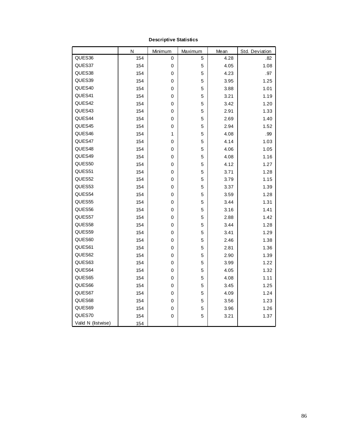|                    | N   | Minimum | Maximum | Mean | Std. Deviation |
|--------------------|-----|---------|---------|------|----------------|
| QUES36             | 154 | 0       | 5       | 4.28 | .82            |
| QUES37             | 154 | 0       | 5       | 4.05 | 1.08           |
| QUES38             | 154 | 0       | 5       | 4.23 | .97            |
| QUES39             | 154 | 0       | 5       | 3.95 | 1.25           |
| QUES40             | 154 | 0       | 5       | 3.88 | 1.01           |
| QUES41             | 154 | 0       | 5       | 3.21 | 1.19           |
| QUES42             | 154 | 0       | 5       | 3.42 | 1.20           |
| QUES43             | 154 | 0       | 5       | 2.91 | 1.33           |
| QUES44             | 154 | 0       | 5       | 2.69 | 1.40           |
| QUES45             | 154 | 0       | 5       | 2.94 | 1.52           |
| QUES46             | 154 | 1       | 5       | 4.08 | .99            |
| QUES47             | 154 | 0       | 5       | 4.14 | 1.03           |
| QUES48             | 154 | 0       | 5       | 4.06 | 1.05           |
| QUES49             | 154 | 0       | 5       | 4.08 | 1.16           |
| QUES50             | 154 | 0       | 5       | 4.12 | 1.27           |
| QUES51             | 154 | 0       | 5       | 3.71 | 1.28           |
| QUES52             | 154 | 0       | 5       | 3.79 | 1.15           |
| QUES53             | 154 | 0       | 5       | 3.37 | 1.39           |
| QUES54             | 154 | 0       | 5       | 3.59 | 1.28           |
| QUES55             | 154 | 0       | 5       | 3.44 | 1.31           |
| QUES56             | 154 | 0       | 5       | 3.16 | 1.41           |
| QUES57             | 154 | 0       | 5       | 2.88 | 1.42           |
| QUES58             | 154 | 0       | 5       | 3.44 | 1.28           |
| QUES59             | 154 | 0       | 5       | 3.41 | 1.29           |
| QUES60             | 154 | 0       | 5       | 2.46 | 1.38           |
| QUES61             | 154 | 0       | 5       | 2.81 | 1.36           |
| QUES62             | 154 | 0       | 5       | 2.90 | 1.39           |
| QUES63             | 154 | 0       | 5       | 3.99 | 1.22           |
| QUES64             | 154 | 0       | 5       | 4.05 | 1.32           |
| QUES65             | 154 | 0       | 5       | 4.08 | 1.11           |
| QUES66             | 154 | 0       | 5       | 3.45 | 1.25           |
| QUES67             | 154 | 0       | 5       | 4.09 | 1.24           |
| QUES68             | 154 | 0       | 5       | 3.56 | 1.23           |
| QUES69             | 154 | 0       | 5       | 3.96 | 1.26           |
| QUES70             | 154 | 0       | 5       | 3.21 | 1.37           |
| Valid N (listwise) | 154 |         |         |      |                |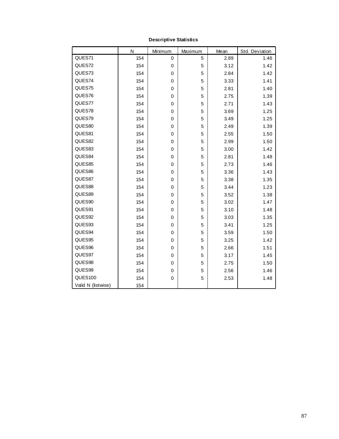|                    | N   | Minimum     | Maximum | Mean | Std. Deviation |
|--------------------|-----|-------------|---------|------|----------------|
| QUES71             | 154 | 0           | 5       | 2.89 | 1.46           |
| QUES72             | 154 | 0           | 5       | 3.12 | 1.42           |
| QUES73             | 154 | 0           | 5       | 2.84 | 1.42           |
| QUES74             | 154 | 0           | 5       | 3.33 | 1.41           |
| QUES75             | 154 | 0           | 5       | 2.81 | 1.40           |
| QUES76             | 154 | 0           | 5       | 2.75 | 1.39           |
| QUES77             | 154 | 0           | 5       | 2.71 | 1.43           |
| QUES78             | 154 | 0           | 5       | 3.69 | 1.25           |
| QUES79             | 154 | 0           | 5       | 3.49 | 1.25           |
| QUES80             | 154 | $\mathbf 0$ | 5       | 2.49 | 1.39           |
| QUES81             | 154 | 0           | 5       | 2.55 | 1.50           |
| QUES82             | 154 | 0           | 5       | 2.99 | 1.50           |
| QUES83             | 154 | 0           | 5       | 3.00 | 1.42           |
| QUES84             | 154 | 0           | 5       | 2.81 | 1.48           |
| QUES85             | 154 | 0           | 5       | 2.73 | 1.46           |
| QUES86             | 154 | 0           | 5       | 3.36 | 1.43           |
| QUES87             | 154 | 0           | 5       | 3.38 | 1.35           |
| QUES88             | 154 | 0           | 5       | 3.44 | 1.23           |
| QUES89             | 154 | 0           | 5       | 3.52 | 1.38           |
| QUES90             | 154 | 0           | 5       | 3.02 | 1.47           |
| QUES91             | 154 | 0           | 5       | 3.10 | 1.48           |
| QUES92             | 154 | 0           | 5       | 3.03 | 1.35           |
| QUES93             | 154 | 0           | 5       | 3.41 | 1.25           |
| QUES94             | 154 | 0           | 5       | 3.59 | 1.50           |
| QUES95             | 154 | 0           | 5       | 3.25 | 1.42           |
| QUES96             | 154 | 0           | 5       | 2.66 | 1.51           |
| QUES97             | 154 | 0           | 5       | 3.17 | 1.45           |
| QUES98             | 154 | 0           | 5       | 2.75 | 1.50           |
| QUES99             | 154 | 0           | 5       | 2.56 | 1.46           |
| QUES100            | 154 | 0           | 5       | 2.53 | 1.48           |
| Valid N (listwise) | 154 |             |         |      |                |